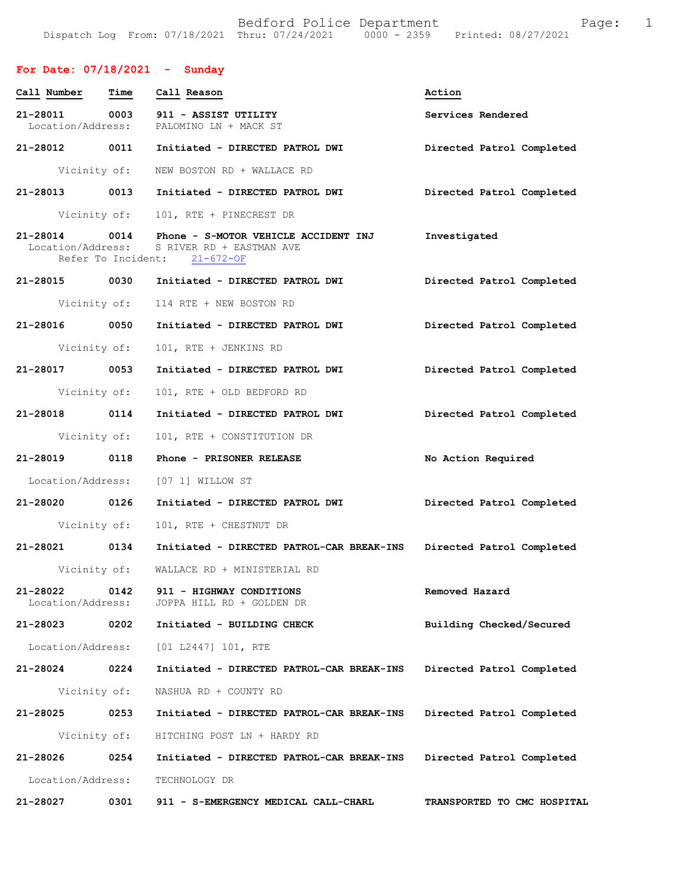#### **For Date: 07/18/2021 - Sunday**

| Call Number                   | Time | Call Reason                                                                                                        | Action                    |
|-------------------------------|------|--------------------------------------------------------------------------------------------------------------------|---------------------------|
| 21-28011<br>Location/Address: | 0003 | 911 - ASSIST UTILITY<br>PALOMINO LN + MACK ST                                                                      | Services Rendered         |
| 21-28012 0011                 |      | Initiated - DIRECTED PATROL DWI                                                                                    | Directed Patrol Completed |
| Vicinity of:                  |      | NEW BOSTON RD + WALLACE RD                                                                                         |                           |
| 21-28013 0013                 |      | Initiated - DIRECTED PATROL DWI                                                                                    | Directed Patrol Completed |
| Vicinity of:                  |      | 101, RTE + PINECREST DR                                                                                            |                           |
| 21-28014                      | 0014 | Phone - S-MOTOR VEHICLE ACCIDENT INJ<br>Location/Address: S RIVER RD + EASTMAN AVE<br>Refer To Incident: 21-672-OF | Investigated              |
| 21-28015 0030                 |      | Initiated - DIRECTED PATROL DWI                                                                                    | Directed Patrol Completed |
| Vicinity of:                  |      | 114 RTE + NEW BOSTON RD                                                                                            |                           |
| 21-28016 0050                 |      | Initiated - DIRECTED PATROL DWI                                                                                    | Directed Patrol Completed |
| Vicinity of:                  |      | 101, RTE + JENKINS RD                                                                                              |                           |
| 21-28017 0053                 |      | Initiated - DIRECTED PATROL DWI                                                                                    | Directed Patrol Completed |
| Vicinity of:                  |      | 101, RTE + OLD BEDFORD RD                                                                                          |                           |
| 21-28018 0114                 |      | Initiated - DIRECTED PATROL DWI                                                                                    | Directed Patrol Completed |
| Vicinity of:                  |      | 101, RTE + CONSTITUTION DR                                                                                         |                           |
| 21-28019 0118                 |      | Phone - PRISONER RELEASE                                                                                           | No Action Required        |
|                               |      |                                                                                                                    |                           |
| Location/Address:             |      | [07 1] WILLOW ST                                                                                                   |                           |
| 21-28020 0126                 |      | Initiated - DIRECTED PATROL DWI                                                                                    | Directed Patrol Completed |
| Vicinity of:                  |      | 101, RTE + CHESTNUT DR                                                                                             |                           |
| 21-28021 0134                 |      | Initiated - DIRECTED PATROL-CAR BREAK-INS                                                                          | Directed Patrol Completed |
|                               |      | Vicinity of: WALLACE RD + MINISTERIAL RD                                                                           |                           |
| 21-28022<br>Location/Address: | 0142 | 911 - HIGHWAY CONDITIONS<br>JOPPA HILL RD + GOLDEN DR                                                              | Removed Hazard            |
| 21-28023                      | 0202 | Initiated - BUILDING CHECK                                                                                         | Building Checked/Secured  |
| Location/Address:             |      | [01 L2447] 101, RTE                                                                                                |                           |
| 21-28024                      | 0224 | Initiated - DIRECTED PATROL-CAR BREAK-INS                                                                          | Directed Patrol Completed |
| Vicinity of:                  |      | NASHUA RD + COUNTY RD                                                                                              |                           |
| 21-28025                      | 0253 | Initiated - DIRECTED PATROL-CAR BREAK-INS                                                                          | Directed Patrol Completed |
| Vicinity of:                  |      | HITCHING POST LN + HARDY RD                                                                                        |                           |
| 21-28026                      | 0254 | Initiated - DIRECTED PATROL-CAR BREAK-INS                                                                          | Directed Patrol Completed |
| Location/Address:             |      | TECHNOLOGY DR                                                                                                      |                           |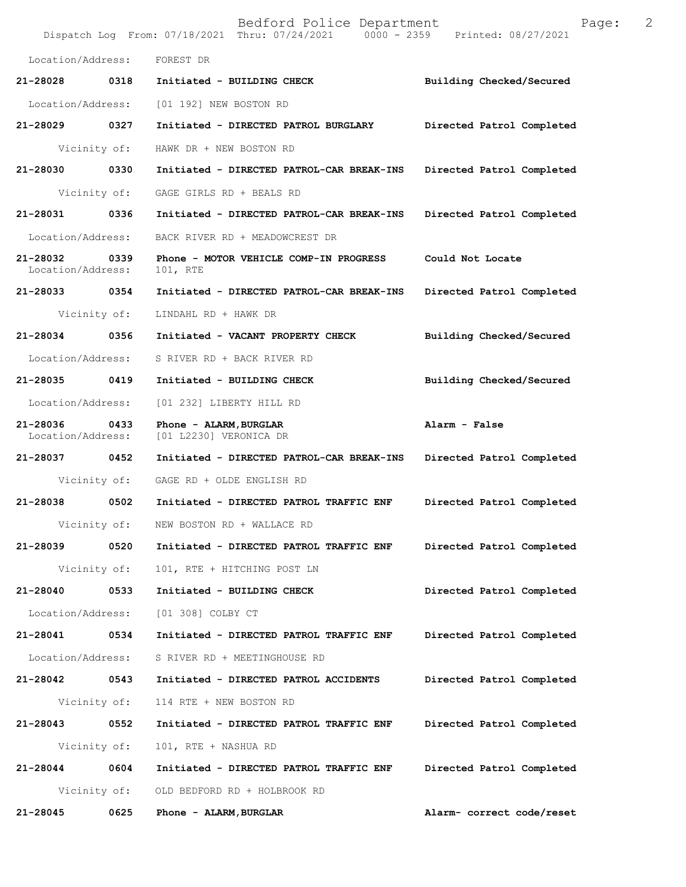|                               |              | Bedford Police Department<br>Dispatch Log From: 07/18/2021 Thru: 07/24/2021 0000 - 2359 Printed: 08/27/2021 | Page:                     | 2 |
|-------------------------------|--------------|-------------------------------------------------------------------------------------------------------------|---------------------------|---|
| Location/Address:             |              | FOREST DR                                                                                                   |                           |   |
| 21-28028                      | 0318         | Initiated - BUILDING CHECK                                                                                  | Building Checked/Secured  |   |
| Location/Address:             |              | [01 192] NEW BOSTON RD                                                                                      |                           |   |
| 21-28029                      | 0327         | Initiated - DIRECTED PATROL BURGLARY                                                                        | Directed Patrol Completed |   |
| Vicinity of:                  |              | HAWK DR + NEW BOSTON RD                                                                                     |                           |   |
| 21-28030                      | 0330         | Initiated - DIRECTED PATROL-CAR BREAK-INS                                                                   | Directed Patrol Completed |   |
|                               | Vicinity of: | GAGE GIRLS RD + BEALS RD                                                                                    |                           |   |
| 21-28031                      | 0336         | Initiated - DIRECTED PATROL-CAR BREAK-INS                                                                   | Directed Patrol Completed |   |
| Location/Address:             |              | BACK RIVER RD + MEADOWCREST DR                                                                              |                           |   |
| 21-28032<br>Location/Address: | 0339         | Phone - MOTOR VEHICLE COMP-IN PROGRESS<br>101, RTE                                                          | Could Not Locate          |   |
| 21-28033 0354                 |              | Initiated - DIRECTED PATROL-CAR BREAK-INS                                                                   | Directed Patrol Completed |   |
| Vicinity of:                  |              | LINDAHL RD + HAWK DR                                                                                        |                           |   |
| 21-28034                      | 0356         | Initiated - VACANT PROPERTY CHECK                                                                           | Building Checked/Secured  |   |
| Location/Address:             |              | S RIVER RD + BACK RIVER RD                                                                                  |                           |   |
| 21-28035                      | 0419         | Initiated - BUILDING CHECK                                                                                  | Building Checked/Secured  |   |
| Location/Address:             |              | [01 232] LIBERTY HILL RD                                                                                    |                           |   |
| 21-28036<br>Location/Address: | 0433         | Phone - ALARM, BURGLAR<br>[01 L2230] VERONICA DR                                                            | Alarm - False             |   |
| 21-28037                      | 0452         | Initiated - DIRECTED PATROL-CAR BREAK-INS                                                                   | Directed Patrol Completed |   |
|                               | Vicinity of: | GAGE RD + OLDE ENGLISH RD                                                                                   |                           |   |
| 21-28038                      | 0502         | Initiated - DIRECTED PATROL TRAFFIC ENF                                                                     | Directed Patrol Completed |   |
|                               | Vicinity of: | NEW BOSTON RD + WALLACE RD                                                                                  |                           |   |
| 21-28039                      | 0520         | Initiated - DIRECTED PATROL TRAFFIC ENF                                                                     | Directed Patrol Completed |   |
|                               | Vicinity of: | 101, RTE + HITCHING POST LN                                                                                 |                           |   |
| 21-28040                      | 0533         | Initiated - BUILDING CHECK                                                                                  | Directed Patrol Completed |   |
| Location/Address:             |              | [01 308] COLBY CT                                                                                           |                           |   |
| 21-28041                      | 0534         | Initiated - DIRECTED PATROL TRAFFIC ENF                                                                     | Directed Patrol Completed |   |
| Location/Address:             |              | S RIVER RD + MEETINGHOUSE RD                                                                                |                           |   |
| 21-28042                      | 0543         | Initiated - DIRECTED PATROL ACCIDENTS                                                                       | Directed Patrol Completed |   |
|                               | Vicinity of: | 114 RTE + NEW BOSTON RD                                                                                     |                           |   |
| 21-28043                      | 0552         | Initiated - DIRECTED PATROL TRAFFIC ENF                                                                     | Directed Patrol Completed |   |
|                               | Vicinity of: | 101, RTE + NASHUA RD                                                                                        |                           |   |
| 21-28044                      | 0604         | Initiated - DIRECTED PATROL TRAFFIC ENF                                                                     | Directed Patrol Completed |   |
|                               | Vicinity of: | OLD BEDFORD RD + HOLBROOK RD                                                                                |                           |   |
| 21-28045                      | 0625         | Phone - ALARM, BURGLAR                                                                                      | Alarm- correct code/reset |   |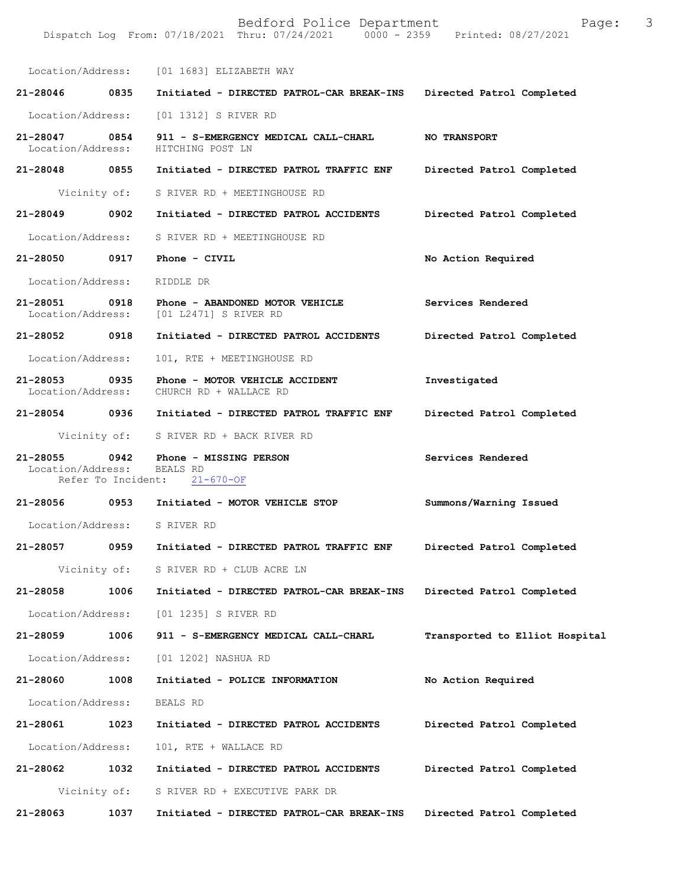Bedford Police Department Page: 3 Dispatch Log From: 07/18/2021 Thru: 07/24/2021 Location/Address: [01 1683] ELIZABETH WAY **21-28046 0835 Initiated - DIRECTED PATROL-CAR BREAK-INS Directed Patrol Completed**  Location/Address: [01 1312] S RIVER RD **21-28047 0854 911 - S-EMERGENCY MEDICAL CALL-CHARL NO TRANSPORT**  Location/Address: **21-28048 0855 Initiated - DIRECTED PATROL TRAFFIC ENF Directed Patrol Completed**  Vicinity of: S RIVER RD + MEETINGHOUSE RD **21-28049 0902 Initiated - DIRECTED PATROL ACCIDENTS Directed Patrol Completed**  Location/Address: S RIVER RD + MEETINGHOUSE RD **21-28050 0917 Phone - CIVIL No Action Required**  Location/Address: RIDDLE DR **21-28051 0918 Phone - ABANDONED MOTOR VEHICLE Services Rendered** Location/Address: [01 L2471] S RIVER RD Location/Address: [01 L2471] S RIVER RD **21-28052 0918 Initiated - DIRECTED PATROL ACCIDENTS Directed Patrol Completed**  Location/Address: 101, RTE + MEETINGHOUSE RD **21-28053 0935 Phone - MOTOR VEHICLE ACCIDENT Investigated**  Location/Address: CHURCH RD + WALLACE RD **21-28054 0936 Initiated - DIRECTED PATROL TRAFFIC ENF Directed Patrol Completed**  Vicinity of: S RIVER RD + BACK RIVER RD **21-28055 0942 Phone - MISSING PERSON Services Rendered**  Location/Address: BEALS RD<br>Refer To Incident: 21-670-OF Refer To Incident: **21-28056 0953 Initiated - MOTOR VEHICLE STOP Summons/Warning Issued**  Location/Address: S RIVER RD **21-28057 0959 Initiated - DIRECTED PATROL TRAFFIC ENF Directed Patrol Completed**  Vicinity of: S RIVER RD + CLUB ACRE LN **21-28058 1006 Initiated - DIRECTED PATROL-CAR BREAK-INS Directed Patrol Completed**  Location/Address: [01 1235] S RIVER RD **21-28059 1006 911 - S-EMERGENCY MEDICAL CALL-CHARL Transported to Elliot Hospital** Location/Address: [01 1202] NASHUA RD **21-28060 1008 Initiated - POLICE INFORMATION No Action Required**  Location/Address: BEALS RD **21-28061 1023 Initiated - DIRECTED PATROL ACCIDENTS Directed Patrol Completed**  Location/Address: 101, RTE + WALLACE RD **21-28062 1032 Initiated - DIRECTED PATROL ACCIDENTS Directed Patrol Completed**  Vicinity of: S RIVER RD + EXECUTIVE PARK DR **21-28063 1037 Initiated - DIRECTED PATROL-CAR BREAK-INS Directed Patrol Completed**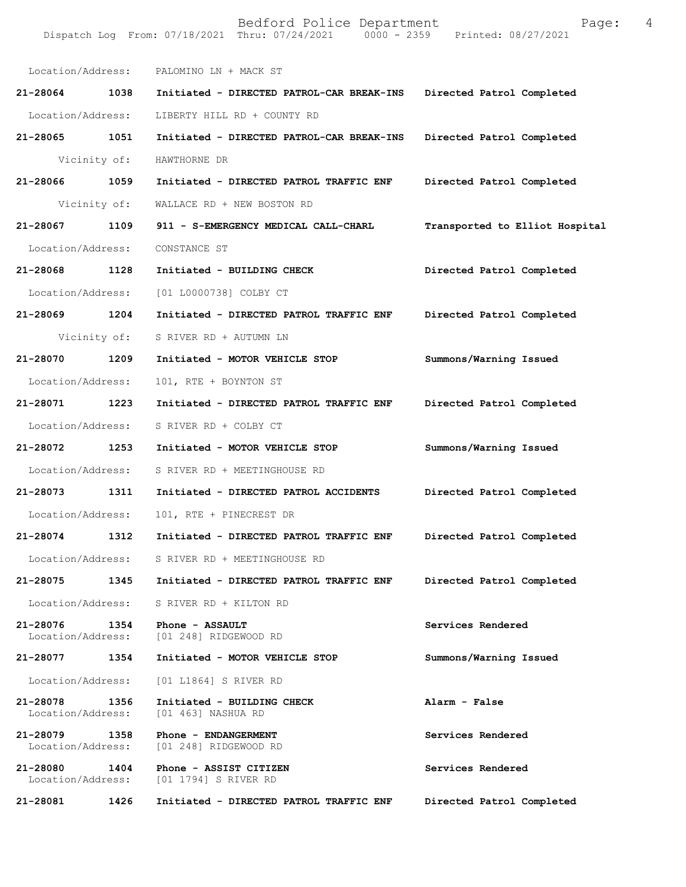|                               |      | Location/Address: PALOMINO LN + MACK ST                    |                                |
|-------------------------------|------|------------------------------------------------------------|--------------------------------|
| 21-28064 1038                 |      | Initiated - DIRECTED PATROL-CAR BREAK-INS                  | Directed Patrol Completed      |
| Location/Address:             |      | LIBERTY HILL RD + COUNTY RD                                |                                |
| $21 - 28065$                  | 1051 | Initiated - DIRECTED PATROL-CAR BREAK-INS                  | Directed Patrol Completed      |
| Vicinity of:                  |      | HAWTHORNE DR                                               |                                |
| 21-28066 1059                 |      | Initiated - DIRECTED PATROL TRAFFIC ENF                    | Directed Patrol Completed      |
| Vicinity of:                  |      | WALLACE RD + NEW BOSTON RD                                 |                                |
| 21-28067 1109                 |      | 911 - S-EMERGENCY MEDICAL CALL-CHARL                       | Transported to Elliot Hospital |
| Location/Address:             |      | CONSTANCE ST                                               |                                |
| 21-28068 1128                 |      | Initiated - BUILDING CHECK                                 | Directed Patrol Completed      |
| Location/Address:             |      | [01 L0000738] COLBY CT                                     |                                |
| 21-28069 1204                 |      | Initiated - DIRECTED PATROL TRAFFIC ENF                    | Directed Patrol Completed      |
| Vicinity of:                  |      | S RIVER RD + AUTUMN LN                                     |                                |
| 21-28070                      | 1209 | Initiated - MOTOR VEHICLE STOP                             | Summons/Warning Issued         |
| Location/Address:             |      | 101, RTE + BOYNTON ST                                      |                                |
| 21-28071 1223                 |      | Initiated - DIRECTED PATROL TRAFFIC ENF                    | Directed Patrol Completed      |
| Location/Address:             |      | S RIVER RD + COLBY CT                                      |                                |
| 21-28072 1253                 |      | Initiated - MOTOR VEHICLE STOP                             | Summons/Warning Issued         |
| Location/Address:             |      | S RIVER RD + MEETINGHOUSE RD                               |                                |
| 21-28073                      | 1311 | Initiated - DIRECTED PATROL ACCIDENTS                      | Directed Patrol Completed      |
| Location/Address:             |      | 101, RTE + PINECREST DR                                    |                                |
| 21-28074 1312                 |      | Initiated - DIRECTED PATROL TRAFFIC ENF                    | Directed Patrol Completed      |
| Location/Address:             |      | S RIVER RD + MEETINGHOUSE RD                               |                                |
| 21-28075                      | 1345 | Initiated - DIRECTED PATROL TRAFFIC ENF                    | Directed Patrol Completed      |
| Location/Address:             |      | S RIVER RD + KILTON RD                                     |                                |
| 21-28076                      | 1354 | Phone - ASSAULT<br>Location/Address: [01 248] RIDGEWOOD RD | Services Rendered              |
| 21-28077                      | 1354 | Initiated - MOTOR VEHICLE STOP                             | Summons/Warning Issued         |
| Location/Address:             |      | [01 L1864] S RIVER RD                                      |                                |
| 21-28078<br>Location/Address: | 1356 | Initiated - BUILDING CHECK<br>[01 463] NASHUA RD           | Alarm - False                  |
| 21-28079<br>Location/Address: | 1358 | Phone - ENDANGERMENT<br>[01 248] RIDGEWOOD RD              | Services Rendered              |
| 21-28080<br>Location/Address: | 1404 | Phone - ASSIST CITIZEN<br>[01 1794] S RIVER RD             | Services Rendered              |
| 21-28081                      | 1426 | Initiated - DIRECTED PATROL TRAFFIC ENF                    | Directed Patrol Completed      |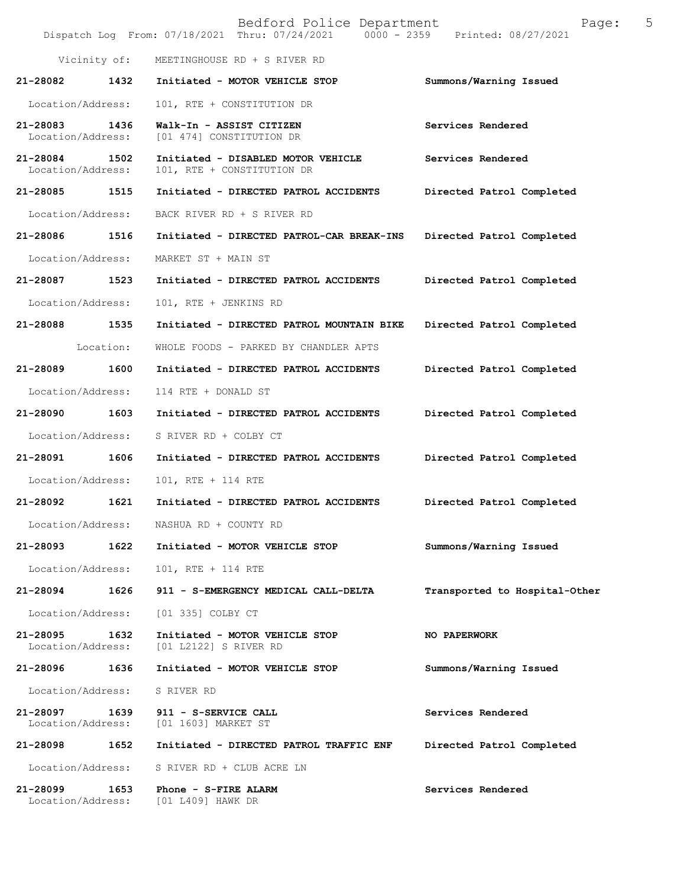|                               |           | Bedford Police Department<br>Dispatch Log From: 07/18/2021 Thru: 07/24/2021 | 5<br>Page:<br>0000 - 2359 Printed: 08/27/2021 |
|-------------------------------|-----------|-----------------------------------------------------------------------------|-----------------------------------------------|
| Vicinity of:                  |           | MEETINGHOUSE RD + S RIVER RD                                                |                                               |
| 21-28082                      | 1432      | Initiated - MOTOR VEHICLE STOP                                              | Summons/Warning Issued                        |
| Location/Address:             |           | 101, RTE + CONSTITUTION DR                                                  |                                               |
| 21-28083<br>Location/Address: | 1436      | Walk-In - ASSIST CITIZEN<br>[01 474] CONSTITUTION DR                        | Services Rendered                             |
| 21-28084<br>Location/Address: | 1502      | Initiated - DISABLED MOTOR VEHICLE<br>101, RTE + CONSTITUTION DR            | Services Rendered                             |
| 21-28085                      | 1515      | Initiated - DIRECTED PATROL ACCIDENTS                                       | Directed Patrol Completed                     |
| Location/Address:             |           | BACK RIVER RD + S RIVER RD                                                  |                                               |
| 21-28086                      | 1516      | Initiated - DIRECTED PATROL-CAR BREAK-INS                                   | Directed Patrol Completed                     |
| Location/Address:             |           | MARKET ST + MAIN ST                                                         |                                               |
| 21-28087                      | 1523      | Initiated - DIRECTED PATROL ACCIDENTS                                       | Directed Patrol Completed                     |
| Location/Address:             |           | 101, RTE + JENKINS RD                                                       |                                               |
| 21-28088                      | 1535      | Initiated - DIRECTED PATROL MOUNTAIN BIKE                                   | Directed Patrol Completed                     |
|                               | Location: | WHOLE FOODS - PARKED BY CHANDLER APTS                                       |                                               |
| 21-28089                      | 1600      | Initiated - DIRECTED PATROL ACCIDENTS                                       | Directed Patrol Completed                     |
| Location/Address:             |           | 114 RTE + DONALD ST                                                         |                                               |
| 21-28090                      | 1603      | Initiated - DIRECTED PATROL ACCIDENTS                                       | Directed Patrol Completed                     |
| Location/Address:             |           | S RIVER RD + COLBY CT                                                       |                                               |
| 21-28091                      | 1606      | Initiated - DIRECTED PATROL ACCIDENTS                                       | Directed Patrol Completed                     |
| Location/Address:             |           | 101, RTE + 114 RTE                                                          |                                               |
| 21-28092                      | 1621      | Initiated - DIRECTED PATROL ACCIDENTS                                       | Directed Patrol Completed                     |
| Location/Address:             |           | NASHUA RD + COUNTY RD                                                       |                                               |
| 21-28093                      | 1622      | Initiated - MOTOR VEHICLE STOP                                              | Summons/Warning Issued                        |
| Location/Address:             |           | 101, RTE + 114 RTE                                                          |                                               |
| 21-28094                      | 1626      | 911 - S-EMERGENCY MEDICAL CALL-DELTA                                        | Transported to Hospital-Other                 |
| Location/Address:             |           | [01 335] COLBY CT                                                           |                                               |
| 21-28095<br>Location/Address: | 1632      | Initiated - MOTOR VEHICLE STOP<br>[01 L2122] S RIVER RD                     | <b>NO PAPERWORK</b>                           |
| 21-28096                      | 1636      | Initiated - MOTOR VEHICLE STOP                                              | Summons/Warning Issued                        |
| Location/Address:             |           | S RIVER RD                                                                  |                                               |
| 21-28097<br>Location/Address: | 1639      | 911 - S-SERVICE CALL<br>[01 1603] MARKET ST                                 | Services Rendered                             |
| 21-28098                      | 1652      | Initiated - DIRECTED PATROL TRAFFIC ENF                                     | Directed Patrol Completed                     |
| Location/Address:             |           | S RIVER RD + CLUB ACRE LN                                                   |                                               |
| 21-28099<br>Location/Address: | 1653      | Phone - S-FIRE ALARM<br>[01 L409] HAWK DR                                   | Services Rendered                             |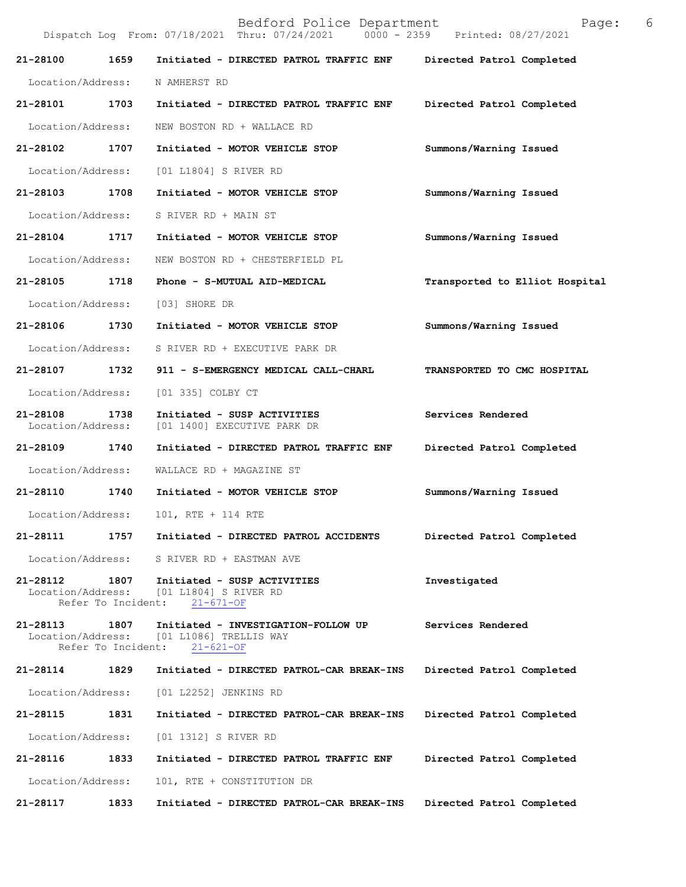Bedford Police Department Page: 6 Dispatch Log From:  $07/18/2021$  Thru:  $07/24/2021$ **21-28100 1659 Initiated - DIRECTED PATROL TRAFFIC ENF Directed Patrol Completed**  Location/Address: N AMHERST RD **21-28101 1703 Initiated - DIRECTED PATROL TRAFFIC ENF Directed Patrol Completed**  Location/Address: NEW BOSTON RD + WALLACE RD **21-28102 1707 Initiated - MOTOR VEHICLE STOP Summons/Warning Issued**  Location/Address: [01 L1804] S RIVER RD **21-28103 1708 Initiated - MOTOR VEHICLE STOP Summons/Warning Issued**  Location/Address: S RIVER RD + MAIN ST **21-28104 1717 Initiated - MOTOR VEHICLE STOP Summons/Warning Issued**  Location/Address: NEW BOSTON RD + CHESTERFIELD PL **21-28105 1718 Phone - S-MUTUAL AID-MEDICAL Transported to Elliot Hospital** Location/Address: [03] SHORE DR **21-28106 1730 Initiated - MOTOR VEHICLE STOP Summons/Warning Issued**  Location/Address: S RIVER RD + EXECUTIVE PARK DR **21-28107 1732 911 - S-EMERGENCY MEDICAL CALL-CHARL TRANSPORTED TO CMC HOSPITAL**  Location/Address: [01 335] COLBY CT **21-28108 1738 Initiated - SUSP ACTIVITIES Services Rendered**  [01 1400] EXECUTIVE PARK DR **21-28109 1740 Initiated - DIRECTED PATROL TRAFFIC ENF Directed Patrol Completed**  Location/Address: WALLACE RD + MAGAZINE ST **21-28110 1740 Initiated - MOTOR VEHICLE STOP Summons/Warning Issued**  Location/Address: 101, RTE + 114 RTE **21-28111 1757 Initiated - DIRECTED PATROL ACCIDENTS Directed Patrol Completed**  Location/Address: S RIVER RD + EASTMAN AVE **21-28112 1807 Initiated - SUSP ACTIVITIES Investigated**  [01 L1804] S RIVER RD<br>ent: 21-671-OF Refer To Incident: **21-28113 1807 Initiated - INVESTIGATION-FOLLOW UP Services Rendered**  Location/Address: [01 L1086] TRELLIS WAY<br>Refer To Incident: 21-621-OF Refer To Incident: **21-28114 1829 Initiated - DIRECTED PATROL-CAR BREAK-INS Directed Patrol Completed**  Location/Address: [01 L2252] JENKINS RD **21-28115 1831 Initiated - DIRECTED PATROL-CAR BREAK-INS Directed Patrol Completed**  Location/Address: [01 1312] S RIVER RD **21-28116 1833 Initiated - DIRECTED PATROL TRAFFIC ENF Directed Patrol Completed**  Location/Address: 101, RTE + CONSTITUTION DR

**21-28117 1833 Initiated - DIRECTED PATROL-CAR BREAK-INS Directed Patrol Completed**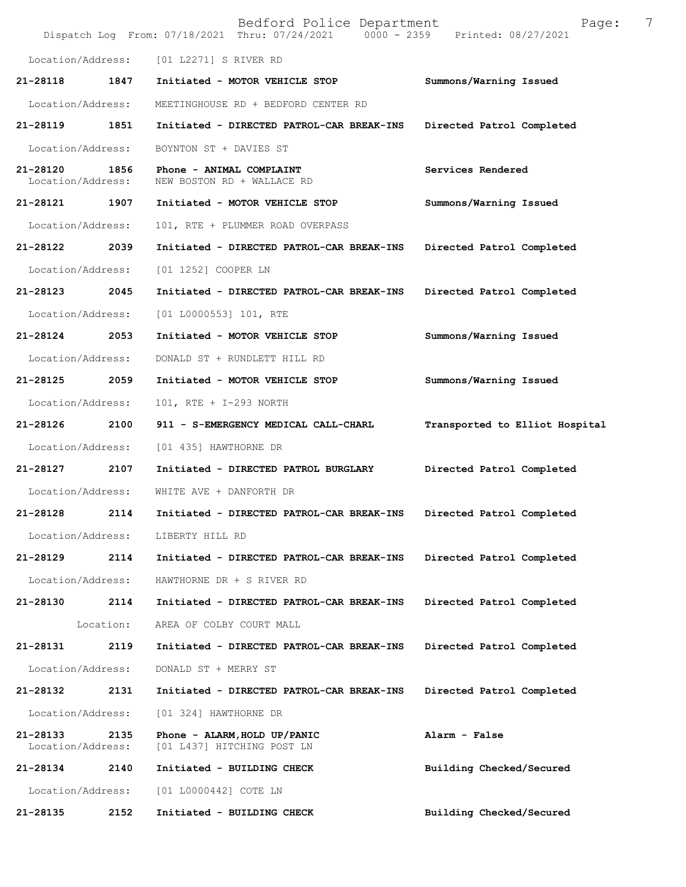|                               |           | Bedford Police Department<br>Dispatch Log From: 07/18/2021 Thru: 07/24/2021 0000 - 2359 | 7<br>Page:<br>Printed: 08/27/2021 |
|-------------------------------|-----------|-----------------------------------------------------------------------------------------|-----------------------------------|
| Location/Address:             |           | [01 L2271] S RIVER RD                                                                   |                                   |
| 21-28118                      | 1847      | Initiated - MOTOR VEHICLE STOP                                                          | Summons/Warning Issued            |
| Location/Address:             |           | MEETINGHOUSE RD + BEDFORD CENTER RD                                                     |                                   |
| 21-28119                      | 1851      | Initiated - DIRECTED PATROL-CAR BREAK-INS                                               | Directed Patrol Completed         |
| Location/Address:             |           | BOYNTON ST + DAVIES ST                                                                  |                                   |
| 21-28120<br>Location/Address: | 1856      | Phone - ANIMAL COMPLAINT<br>NEW BOSTON RD + WALLACE RD                                  | Services Rendered                 |
| 21-28121                      | 1907      | Initiated - MOTOR VEHICLE STOP                                                          | Summons/Warning Issued            |
| Location/Address:             |           | 101, RTE + PLUMMER ROAD OVERPASS                                                        |                                   |
| 21-28122                      | 2039      | Initiated - DIRECTED PATROL-CAR BREAK-INS                                               | Directed Patrol Completed         |
| Location/Address:             |           | [01 1252] COOPER LN                                                                     |                                   |
| 21-28123                      | 2045      | Initiated - DIRECTED PATROL-CAR BREAK-INS                                               | Directed Patrol Completed         |
| Location/Address:             |           | [01 L0000553] 101, RTE                                                                  |                                   |
| 21-28124                      | 2053      | Initiated - MOTOR VEHICLE STOP                                                          | Summons/Warning Issued            |
| Location/Address:             |           | DONALD ST + RUNDLETT HILL RD                                                            |                                   |
| 21-28125                      | 2059      | Initiated - MOTOR VEHICLE STOP                                                          | Summons/Warning Issued            |
| Location/Address:             |           | 101, RTE + I-293 NORTH                                                                  |                                   |
| 21-28126                      | 2100      | 911 - S-EMERGENCY MEDICAL CALL-CHARL                                                    | Transported to Elliot Hospital    |
| Location/Address:             |           | [01 435] HAWTHORNE DR                                                                   |                                   |
| 21-28127                      | 2107      | Initiated - DIRECTED PATROL BURGLARY                                                    | Directed Patrol Completed         |
| Location/Address:             |           | WHITE AVE + DANFORTH DR                                                                 |                                   |
| 21-28128                      | 2114      | Initiated - DIRECTED PATROL-CAR BREAK-INS                                               | Directed Patrol Completed         |
| Location/Address:             |           | LIBERTY HILL RD                                                                         |                                   |
| 21-28129                      | 2114      | Initiated - DIRECTED PATROL-CAR BREAK-INS                                               | Directed Patrol Completed         |
| Location/Address:             |           | HAWTHORNE DR + S RIVER RD                                                               |                                   |
| 21-28130                      | 2114      | Initiated - DIRECTED PATROL-CAR BREAK-INS                                               | Directed Patrol Completed         |
|                               | Location: | AREA OF COLBY COURT MALL                                                                |                                   |
| 21-28131                      | 2119      | Initiated - DIRECTED PATROL-CAR BREAK-INS                                               | Directed Patrol Completed         |
| Location/Address:             |           | DONALD ST + MERRY ST                                                                    |                                   |
| 21-28132                      | 2131      | Initiated - DIRECTED PATROL-CAR BREAK-INS                                               | Directed Patrol Completed         |
| Location/Address:             |           | [01 324] HAWTHORNE DR                                                                   |                                   |
| 21-28133<br>Location/Address: | 2135      | Phone - ALARM, HOLD UP/PANIC<br>[01 L437] HITCHING POST LN                              | Alarm - False                     |
| 21-28134                      | 2140      | Initiated - BUILDING CHECK                                                              | Building Checked/Secured          |
| Location/Address:             |           | [01 L0000442] COTE LN                                                                   |                                   |
| 21-28135                      | 2152      | Initiated - BUILDING CHECK                                                              | Building Checked/Secured          |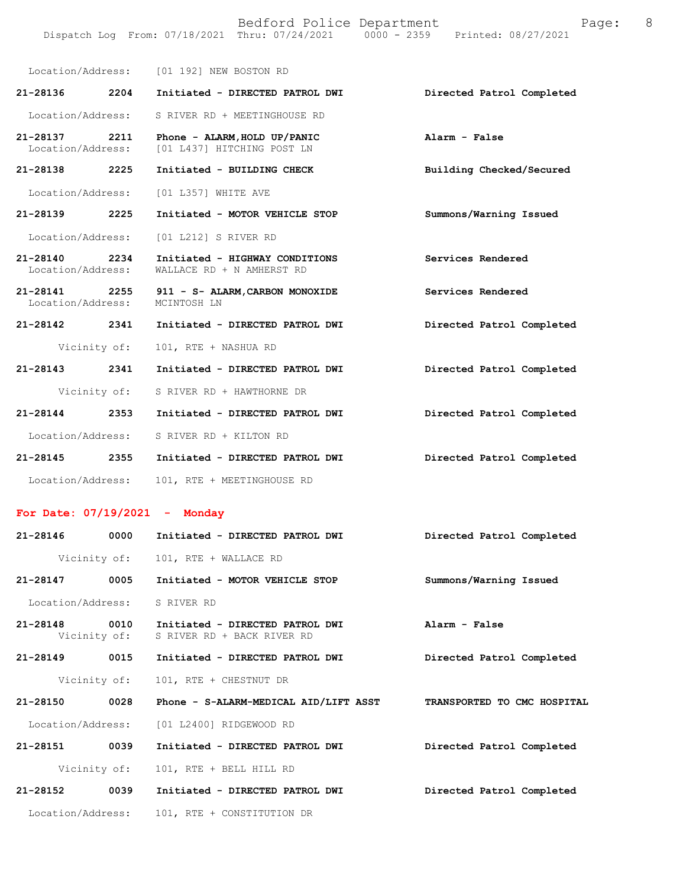|                                                                                | Bedford Police Department |  | Page: | - 8 |
|--------------------------------------------------------------------------------|---------------------------|--|-------|-----|
| Dispatch Log From: 07/18/2021 Thru: 07/24/2021 0000 - 2359 Printed: 08/27/2021 |                           |  |       |     |

|                                    |              | Location/Address: [01 192] NEW BOSTON RD                    |                           |
|------------------------------------|--------------|-------------------------------------------------------------|---------------------------|
| 21-28136 2204                      |              | Initiated - DIRECTED PATROL DWI                             | Directed Patrol Completed |
| Location/Address:                  |              | S RIVER RD + MEETINGHOUSE RD                                |                           |
| 21-28137 2211<br>Location/Address: |              | Phone - ALARM, HOLD UP/PANIC<br>[01 L437] HITCHING POST LN  | Alarm - False             |
| 21-28138 2225                      |              | Initiated - BUILDING CHECK                                  | Building Checked/Secured  |
|                                    |              | Location/Address: [01 L357] WHITE AVE                       |                           |
| 21-28139 2225                      |              | Initiated - MOTOR VEHICLE STOP                              | Summons/Warning Issued    |
|                                    |              | Location/Address: [01 L212] S RIVER RD                      |                           |
| 21-28140 2234<br>Location/Address: |              | Initiated - HIGHWAY CONDITIONS<br>WALLACE RD + N AMHERST RD | Services Rendered         |
| 21-28141 2255<br>Location/Address: |              | 911 - S- ALARM, CARBON MONOXIDE<br>MCINTOSH LN              | Services Rendered         |
| 21-28142 2341                      |              | Initiated - DIRECTED PATROL DWI                             | Directed Patrol Completed |
|                                    | Vicinity of: | 101, RTE + NASHUA RD                                        |                           |
| 21-28143 2341                      |              | Initiated - DIRECTED PATROL DWI                             | Directed Patrol Completed |
|                                    | Vicinity of: | S RIVER RD + HAWTHORNE DR                                   |                           |
| 21-28144 2353                      |              | Initiated - DIRECTED PATROL DWI                             | Directed Patrol Completed |
|                                    |              | Location/Address: S RIVER RD + KILTON RD                    |                           |
| 21-28145 2355                      |              | Initiated - DIRECTED PATROL DWI                             | Directed Patrol Completed |
| Location/Address:                  |              | 101, RTE + MEETINGHOUSE RD                                  |                           |

### **For Date: 07/19/2021 - Monday**

| 21-28146          | 0000         | Initiated - DIRECTED PATROL DWI                               | Directed Patrol Completed   |
|-------------------|--------------|---------------------------------------------------------------|-----------------------------|
|                   | Vicinity of: | 101, RTE + WALLACE RD                                         |                             |
| 21-28147 0005     |              | Initiated - MOTOR VEHICLE STOP                                | Summons/Warning Issued      |
|                   |              | Location/Address: S RIVER RD                                  |                             |
| 21-28148 0010     | Vicinity of: | Initiated - DIRECTED PATROL DWI<br>S RIVER RD + BACK RIVER RD | Alarm - False               |
| 21-28149 0015     |              | Initiated - DIRECTED PATROL DWI                               | Directed Patrol Completed   |
|                   |              | Vicinity of: 101, RTE + CHESTNUT DR                           |                             |
| 21-28150          | 0028         | Phone - S-ALARM-MEDICAL AID/LIFT ASST                         | TRANSPORTED TO CMC HOSPITAL |
|                   |              | Location/Address: [01 L2400] RIDGEWOOD RD                     |                             |
| 21-28151          | 0039         | Initiated - DIRECTED PATROL DWI                               | Directed Patrol Completed   |
|                   | Vicinity of: | 101, RTE + BELL HILL RD                                       |                             |
| 21-28152          | 0039         | Initiated - DIRECTED PATROL DWI                               | Directed Patrol Completed   |
| Location/Address: |              | 101, RTE + CONSTITUTION DR                                    |                             |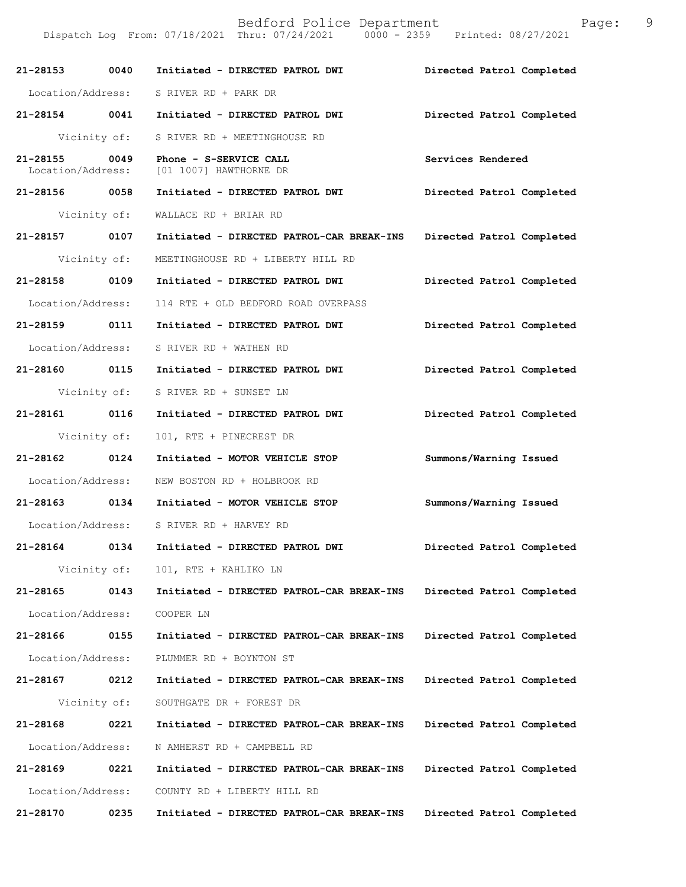| 21-28153 0040                      |              | Initiated - DIRECTED PATROL DWI                       | Directed Patrol Completed |
|------------------------------------|--------------|-------------------------------------------------------|---------------------------|
| Location/Address:                  |              | S RIVER RD + PARK DR                                  |                           |
|                                    |              | 21-28154 0041 Initiated - DIRECTED PATROL DWI         | Directed Patrol Completed |
|                                    | Vicinity of: | S RIVER RD + MEETINGHOUSE RD                          |                           |
| 21-28155 0049<br>Location/Address: |              | Phone - S-SERVICE CALL<br>[01 1007] HAWTHORNE DR      | Services Rendered         |
| 21-28156 0058                      |              | Initiated - DIRECTED PATROL DWI                       | Directed Patrol Completed |
|                                    | Vicinity of: | WALLACE RD + BRIAR RD                                 |                           |
| 21-28157 0107                      |              | Initiated - DIRECTED PATROL-CAR BREAK-INS             | Directed Patrol Completed |
|                                    | Vicinity of: | MEETINGHOUSE RD + LIBERTY HILL RD                     |                           |
| 21-28158 0109                      |              | Initiated - DIRECTED PATROL DWI                       | Directed Patrol Completed |
|                                    |              | Location/Address: 114 RTE + OLD BEDFORD ROAD OVERPASS |                           |
|                                    |              | 21-28159 0111 Initiated - DIRECTED PATROL DWI         | Directed Patrol Completed |
| Location/Address:                  |              | S RIVER RD + WATHEN RD                                |                           |
| 21-28160 0115                      |              | Initiated - DIRECTED PATROL DWI                       | Directed Patrol Completed |
|                                    |              | Vicinity of: S RIVER RD + SUNSET LN                   |                           |
| 21-28161 0116                      |              | Initiated - DIRECTED PATROL DWI                       | Directed Patrol Completed |
|                                    | Vicinity of: | 101, RTE + PINECREST DR                               |                           |
| 21-28162 0124                      |              | Initiated - MOTOR VEHICLE STOP                        | Summons/Warning Issued    |
|                                    |              | Location/Address: NEW BOSTON RD + HOLBROOK RD         |                           |
|                                    |              | 21-28163 0134 Initiated - MOTOR VEHICLE STOP          | Summons/Warning Issued    |
|                                    |              | Location/Address: S RIVER RD + HARVEY RD              |                           |
| 21-28164                           | 0134         | Initiated - DIRECTED PATROL DWI                       | Directed Patrol Completed |
|                                    | Vicinity of: | 101, RTE + KAHLIKO LN                                 |                           |
| 21-28165                           | 0143         | Initiated - DIRECTED PATROL-CAR BREAK-INS             | Directed Patrol Completed |
| Location/Address:                  |              | COOPER LN                                             |                           |
| 21-28166                           | 0155         | Initiated - DIRECTED PATROL-CAR BREAK-INS             | Directed Patrol Completed |
| Location/Address:                  |              | PLUMMER RD + BOYNTON ST                               |                           |
| 21-28167                           | 0212         | Initiated - DIRECTED PATROL-CAR BREAK-INS             | Directed Patrol Completed |
|                                    | Vicinity of: | SOUTHGATE DR + FOREST DR                              |                           |
| 21-28168                           | 0221         | Initiated - DIRECTED PATROL-CAR BREAK-INS             | Directed Patrol Completed |
| Location/Address:                  |              | N AMHERST RD + CAMPBELL RD                            |                           |
| 21-28169                           | 0221         | Initiated - DIRECTED PATROL-CAR BREAK-INS             | Directed Patrol Completed |
| Location/Address:                  |              | COUNTY RD + LIBERTY HILL RD                           |                           |
| 21-28170                           | 0235         | Initiated - DIRECTED PATROL-CAR BREAK-INS             | Directed Patrol Completed |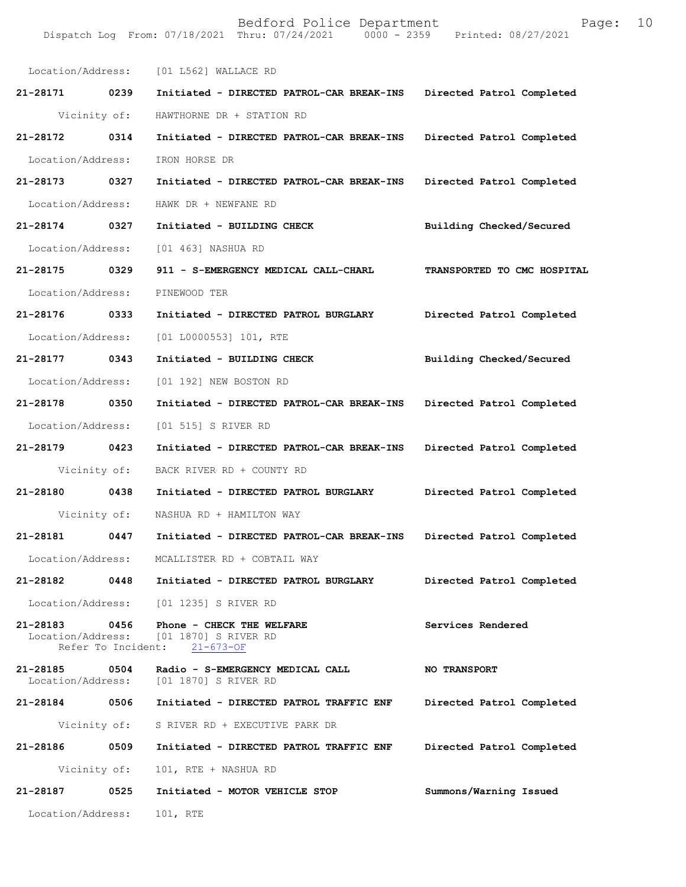| Location/Address:             |                            | [01 L562] WALLACE RD                                                                   |                             |
|-------------------------------|----------------------------|----------------------------------------------------------------------------------------|-----------------------------|
| 21-28171 0239                 |                            | Initiated - DIRECTED PATROL-CAR BREAK-INS                                              | Directed Patrol Completed   |
| Vicinity of:                  |                            | HAWTHORNE DR + STATION RD                                                              |                             |
| 21-28172                      | 0314                       | Initiated - DIRECTED PATROL-CAR BREAK-INS                                              | Directed Patrol Completed   |
| Location/Address:             |                            | IRON HORSE DR                                                                          |                             |
| 21-28173 0327                 |                            | Initiated - DIRECTED PATROL-CAR BREAK-INS                                              | Directed Patrol Completed   |
| Location/Address:             |                            | HAWK DR + NEWFANE RD                                                                   |                             |
| 21-28174 0327                 |                            | Initiated - BUILDING CHECK                                                             | Building Checked/Secured    |
| Location/Address:             |                            | [01 463] NASHUA RD                                                                     |                             |
| 21-28175 0329                 |                            | 911 - S-EMERGENCY MEDICAL CALL-CHARL                                                   | TRANSPORTED TO CMC HOSPITAL |
| Location/Address:             |                            | PINEWOOD TER                                                                           |                             |
| 21-28176 0333                 |                            | Initiated - DIRECTED PATROL BURGLARY                                                   | Directed Patrol Completed   |
| Location/Address:             |                            | [01 L0000553] 101, RTE                                                                 |                             |
| 21-28177 0343                 |                            | Initiated - BUILDING CHECK                                                             | Building Checked/Secured    |
| Location/Address:             |                            | [01 192] NEW BOSTON RD                                                                 |                             |
| 21-28178 0350                 |                            | Initiated - DIRECTED PATROL-CAR BREAK-INS                                              | Directed Patrol Completed   |
| Location/Address:             |                            | [01 515] S RIVER RD                                                                    |                             |
| 21-28179 0423                 |                            | Initiated - DIRECTED PATROL-CAR BREAK-INS                                              | Directed Patrol Completed   |
| Vicinity of:                  |                            | BACK RIVER RD + COUNTY RD                                                              |                             |
| 21-28180 0438                 |                            | Initiated - DIRECTED PATROL BURGLARY                                                   | Directed Patrol Completed   |
| Vicinity of:                  |                            | NASHUA RD + HAMILTON WAY                                                               |                             |
| 21-28181                      | 0447                       | Initiated - DIRECTED PATROL-CAR BREAK-INS                                              | Directed Patrol Completed   |
| Location/Address:             |                            | MCALLISTER RD + COBTAIL WAY                                                            |                             |
| 21-28182                      | 0448                       | Initiated - DIRECTED PATROL BURGLARY                                                   | Directed Patrol Completed   |
| Location/Address:             |                            | [01 1235] S RIVER RD                                                                   |                             |
| 21-28183                      | 0456<br>Refer To Incident: | Phone - CHECK THE WELFARE<br>Location/Address: [01 1870] S RIVER RD<br>$21 - 673 - OF$ | Services Rendered           |
| 21-28185<br>Location/Address: | 0504                       | Radio - S-EMERGENCY MEDICAL CALL<br>[01 1870] S RIVER RD                               | <b>NO TRANSPORT</b>         |
| 21-28184                      | 0506                       | Initiated - DIRECTED PATROL TRAFFIC ENF                                                | Directed Patrol Completed   |
| Vicinity of:                  |                            | S RIVER RD + EXECUTIVE PARK DR                                                         |                             |
| 21-28186                      | 0509                       | Initiated - DIRECTED PATROL TRAFFIC ENF                                                | Directed Patrol Completed   |
| Vicinity of:                  |                            | 101, RTE + NASHUA RD                                                                   |                             |
| 21-28187                      | 0525                       | Initiated - MOTOR VEHICLE STOP                                                         | Summons/Warning Issued      |
| Location/Address:             |                            | 101, RTE                                                                               |                             |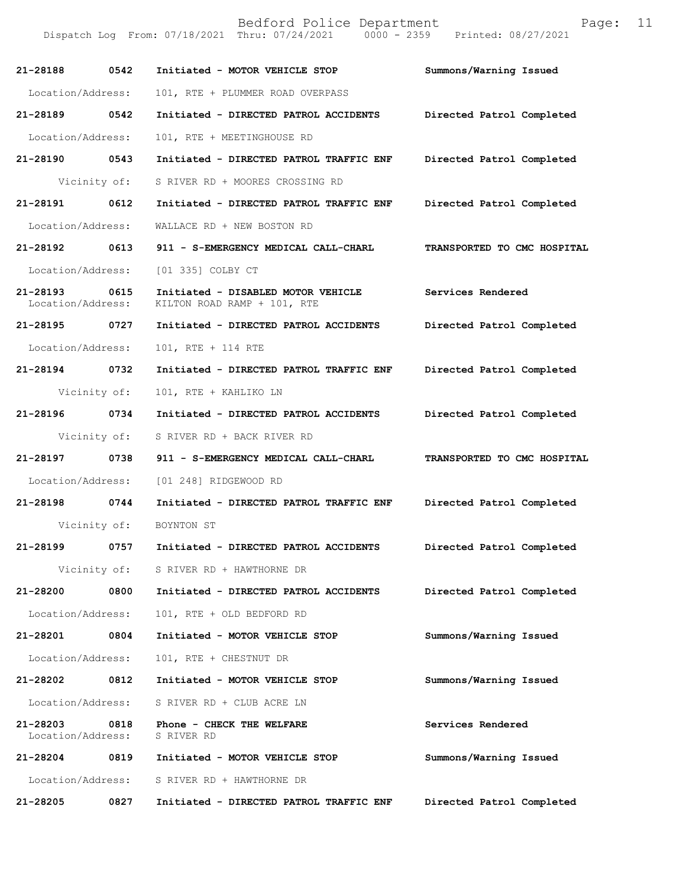Dispatch Log From: 07/18/2021 Thru: 07/24/2021 0000 - 2359 Printed: 08/27/2021

| 21-28188                           | 0542         | Initiated - MOTOR VEHICLE STOP                                    | Summons/Warning Issued      |
|------------------------------------|--------------|-------------------------------------------------------------------|-----------------------------|
| Location/Address:                  |              | 101, RTE + PLUMMER ROAD OVERPASS                                  |                             |
| 21-28189                           | 0542         | Initiated - DIRECTED PATROL ACCIDENTS                             | Directed Patrol Completed   |
| Location/Address:                  |              | 101, RTE + MEETINGHOUSE RD                                        |                             |
| 21-28190 0543                      |              | Initiated - DIRECTED PATROL TRAFFIC ENF                           | Directed Patrol Completed   |
|                                    | Vicinity of: | S RIVER RD + MOORES CROSSING RD                                   |                             |
| 21-28191 0612                      |              | Initiated - DIRECTED PATROL TRAFFIC ENF                           | Directed Patrol Completed   |
| Location/Address:                  |              | WALLACE RD + NEW BOSTON RD                                        |                             |
| 21-28192 0613                      |              | 911 - S-EMERGENCY MEDICAL CALL-CHARL                              | TRANSPORTED TO CMC HOSPITAL |
| Location/Address:                  |              | [01 335] COLBY CT                                                 |                             |
| 21-28193 0615<br>Location/Address: |              | Initiated - DISABLED MOTOR VEHICLE<br>KILTON ROAD RAMP + 101, RTE | Services Rendered           |
| 21-28195 0727                      |              | Initiated - DIRECTED PATROL ACCIDENTS                             | Directed Patrol Completed   |
| Location/Address:                  |              | 101, RTE + 114 RTE                                                |                             |
| 21-28194 0732                      |              | Initiated - DIRECTED PATROL TRAFFIC ENF                           | Directed Patrol Completed   |
|                                    | Vicinity of: | 101, RTE + KAHLIKO LN                                             |                             |
| 21-28196                           | 0734         | Initiated - DIRECTED PATROL ACCIDENTS                             | Directed Patrol Completed   |
|                                    | Vicinity of: | S RIVER RD + BACK RIVER RD                                        |                             |
| 21-28197 0738                      |              | 911 - S-EMERGENCY MEDICAL CALL-CHARL                              | TRANSPORTED TO CMC HOSPITAL |
| Location/Address:                  |              | [01 248] RIDGEWOOD RD                                             |                             |
| 21-28198 0744                      |              | Initiated - DIRECTED PATROL TRAFFIC ENF                           | Directed Patrol Completed   |
|                                    | Vicinity of: | BOYNTON ST                                                        |                             |
|                                    |              |                                                                   | Directed Patrol Completed   |
|                                    |              | Vicinity of: S RIVER RD + HAWTHORNE DR                            |                             |
| 21-28200                           | 0800         | Initiated - DIRECTED PATROL ACCIDENTS                             | Directed Patrol Completed   |
| Location/Address:                  |              | 101, RTE + OLD BEDFORD RD                                         |                             |
| 21-28201                           | 0804         | Initiated - MOTOR VEHICLE STOP                                    | Summons/Warning Issued      |
| Location/Address:                  |              | 101, RTE + CHESTNUT DR                                            |                             |
| 21-28202 0812                      |              | Initiated - MOTOR VEHICLE STOP                                    | Summons/Warning Issued      |
| Location/Address:                  |              | S RIVER RD + CLUB ACRE LN                                         |                             |
| 21-28203<br>Location/Address:      | 0818         | Phone - CHECK THE WELFARE<br>S RIVER RD                           | Services Rendered           |
| 21-28204 0819                      |              | Initiated - MOTOR VEHICLE STOP                                    | Summons/Warning Issued      |
| Location/Address:                  |              | S RIVER RD + HAWTHORNE DR                                         |                             |
| 21-28205                           | 0827         | Initiated - DIRECTED PATROL TRAFFIC ENF                           | Directed Patrol Completed   |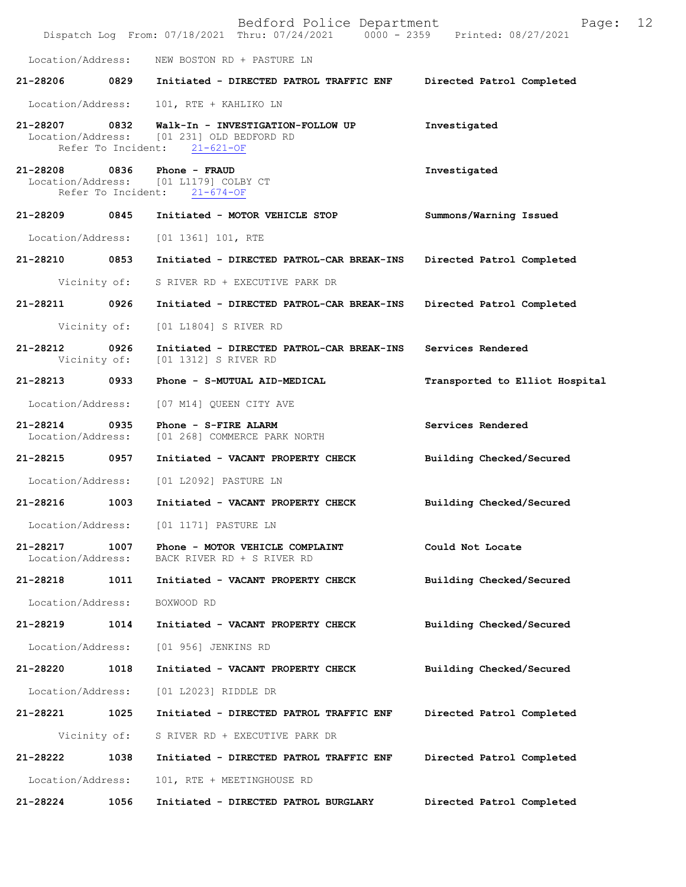|                                    |                    | Bedford Police Department<br>Dispatch Log From: 07/18/2021 Thru: 07/24/2021 0000 - 2359 Printed: 08/27/2021 | Page:                          | 12 |
|------------------------------------|--------------------|-------------------------------------------------------------------------------------------------------------|--------------------------------|----|
| Location/Address:                  |                    | NEW BOSTON RD + PASTURE LN                                                                                  |                                |    |
| 21-28206                           | 0829               | Initiated - DIRECTED PATROL TRAFFIC ENF                                                                     | Directed Patrol Completed      |    |
| Location/Address:                  |                    | 101, RTE + KAHLIKO LN                                                                                       |                                |    |
| 21-28207 0832                      | Refer To Incident: | Walk-In - INVESTIGATION-FOLLOW UP<br>Location/Address: [01 231] OLD BEDFORD RD<br>$21 - 621 - OF$           | Investigated                   |    |
| 21-28208 0836                      | Refer To Incident: | Phone - FRAUD<br>Location/Address: [01 L1179] COLBY CT<br>$21 - 674 - OF$                                   | Investigated                   |    |
| 21-28209 0845                      |                    | Initiated - MOTOR VEHICLE STOP                                                                              | Summons/Warning Issued         |    |
| Location/Address:                  |                    | [01 1361] 101, RTE                                                                                          |                                |    |
| 21-28210                           | 0853               | Initiated - DIRECTED PATROL-CAR BREAK-INS                                                                   | Directed Patrol Completed      |    |
|                                    | Vicinity of:       | S RIVER RD + EXECUTIVE PARK DR                                                                              |                                |    |
| 21-28211                           | 0926               | Initiated - DIRECTED PATROL-CAR BREAK-INS                                                                   | Directed Patrol Completed      |    |
|                                    | Vicinity of:       | [01 L1804] S RIVER RD                                                                                       |                                |    |
| 21-28212                           | 0926               | Initiated - DIRECTED PATROL-CAR BREAK-INS<br>Vicinity of: [01 1312] S RIVER RD                              | Services Rendered              |    |
| 21-28213                           | 0933               | Phone - S-MUTUAL AID-MEDICAL                                                                                | Transported to Elliot Hospital |    |
| Location/Address:                  |                    | [07 M14] QUEEN CITY AVE                                                                                     |                                |    |
| 21-28214 0935<br>Location/Address: |                    | Phone - S-FIRE ALARM<br>[01 268] COMMERCE PARK NORTH                                                        | Services Rendered              |    |
| 21-28215                           | 0957               | Initiated - VACANT PROPERTY CHECK                                                                           | Building Checked/Secured       |    |
| Location/Address:                  |                    | [01 L2092] PASTURE LN                                                                                       |                                |    |
| 21-28216                           | 1003               | Initiated - VACANT PROPERTY CHECK                                                                           | Building Checked/Secured       |    |
| Location/Address:                  |                    | [01 1171] PASTURE LN                                                                                        |                                |    |
| $21 - 28217$<br>Location/Address:  | 1007               | Phone - MOTOR VEHICLE COMPLAINT<br>BACK RIVER RD + S RIVER RD                                               | Could Not Locate               |    |
| 21-28218                           | 1011               | Initiated - VACANT PROPERTY CHECK                                                                           | Building Checked/Secured       |    |
| Location/Address:                  |                    | BOXWOOD RD                                                                                                  |                                |    |
| 21-28219                           | 1014               | Initiated - VACANT PROPERTY CHECK                                                                           | Building Checked/Secured       |    |
| Location/Address:                  |                    | [01 956] JENKINS RD                                                                                         |                                |    |
| 21-28220                           | 1018               | Initiated - VACANT PROPERTY CHECK                                                                           | Building Checked/Secured       |    |
| Location/Address:                  |                    | [01 L2023] RIDDLE DR                                                                                        |                                |    |
| 21-28221                           | 1025               | Initiated - DIRECTED PATROL TRAFFIC ENF                                                                     | Directed Patrol Completed      |    |
|                                    | Vicinity of:       | S RIVER RD + EXECUTIVE PARK DR                                                                              |                                |    |
| 21-28222                           | 1038               | Initiated - DIRECTED PATROL TRAFFIC ENF                                                                     | Directed Patrol Completed      |    |
| Location/Address:                  |                    | 101, RTE + MEETINGHOUSE RD                                                                                  |                                |    |
| 21-28224                           | 1056               | Initiated - DIRECTED PATROL BURGLARY                                                                        | Directed Patrol Completed      |    |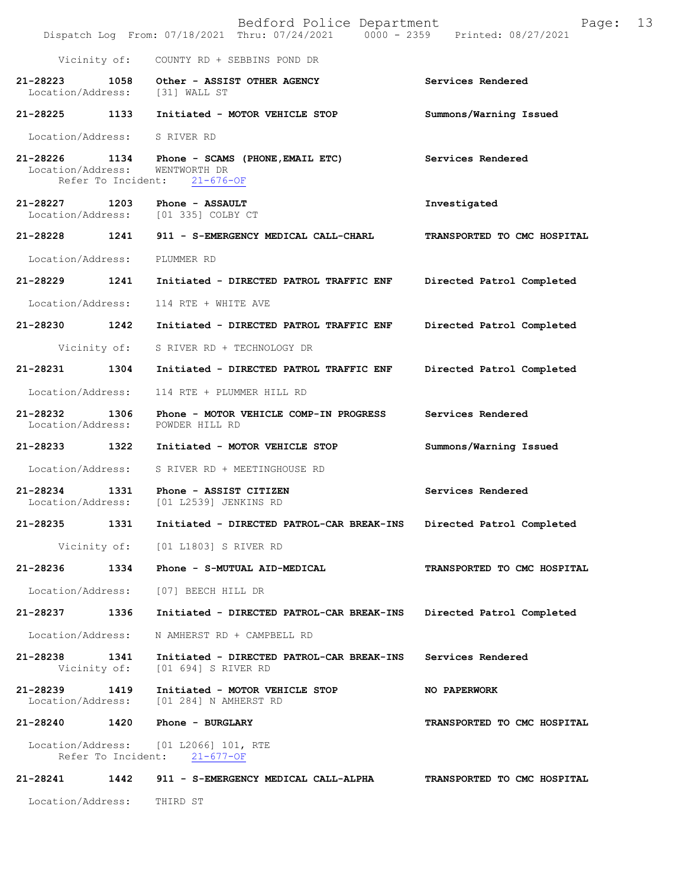|                               |                    | Bedford Police Department<br>Dispatch Log From: 07/18/2021 Thru: 07/24/2021 0000 - 2359 Printed: 08/27/2021 | Page:                       | 13 |
|-------------------------------|--------------------|-------------------------------------------------------------------------------------------------------------|-----------------------------|----|
|                               | Vicinity of:       | COUNTY RD + SEBBINS POND DR                                                                                 |                             |    |
| 21-28223<br>Location/Address: | 1058               | Other - ASSIST OTHER AGENCY<br>[31] WALL ST                                                                 | Services Rendered           |    |
| 21-28225 1133                 |                    | Initiated - MOTOR VEHICLE STOP                                                                              | Summons/Warning Issued      |    |
|                               |                    | Location/Address: S RIVER RD                                                                                |                             |    |
| 21-28226<br>Location/Address: | Refer To Incident: | 1134 Phone - SCAMS (PHONE, EMAIL ETC)<br>WENTWORTH DR<br>$21 - 676 - OF$                                    | Services Rendered           |    |
| 21-28227<br>Location/Address: | 1203               | Phone - ASSAULT<br>[01 335] COLBY CT                                                                        | Investigated                |    |
| 21-28228 1241                 |                    | 911 - S-EMERGENCY MEDICAL CALL-CHARL                                                                        | TRANSPORTED TO CMC HOSPITAL |    |
| Location/Address:             |                    | PLUMMER RD                                                                                                  |                             |    |
| 21-28229                      | 1241               | Initiated - DIRECTED PATROL TRAFFIC ENF                                                                     | Directed Patrol Completed   |    |
| Location/Address:             |                    | 114 RTE + WHITE AVE                                                                                         |                             |    |
| 21-28230 1242                 |                    | Initiated - DIRECTED PATROL TRAFFIC ENF                                                                     | Directed Patrol Completed   |    |
|                               | Vicinity of:       | S RIVER RD + TECHNOLOGY DR                                                                                  |                             |    |
| 21-28231                      | 1304               | Initiated - DIRECTED PATROL TRAFFIC ENF                                                                     | Directed Patrol Completed   |    |
| Location/Address:             |                    | 114 RTE + PLUMMER HILL RD                                                                                   |                             |    |
| 21-28232 1306                 |                    | Phone - MOTOR VEHICLE COMP-IN PROGRESS<br>Location/Address: POWDER HILL RD                                  | Services Rendered           |    |
| 21-28233 1322                 |                    | Initiated - MOTOR VEHICLE STOP                                                                              | Summons/Warning Issued      |    |
|                               |                    | Location/Address: S RIVER RD + MEETINGHOUSE RD                                                              |                             |    |
| 21-28234                      | 1331               | Phone - ASSIST CITIZEN<br>Location/Address: [01 L2539] JENKINS RD                                           | Services Rendered           |    |
| 21-28235                      | 1331               | Initiated - DIRECTED PATROL-CAR BREAK-INS                                                                   | Directed Patrol Completed   |    |
|                               |                    | Vicinity of: [01 L1803] S RIVER RD                                                                          |                             |    |
| 21-28236                      |                    | 1334 Phone - S-MUTUAL AID-MEDICAL                                                                           | TRANSPORTED TO CMC HOSPITAL |    |
| Location/Address:             |                    | [07] BEECH HILL DR                                                                                          |                             |    |
| 21-28237                      | 1336               | Initiated - DIRECTED PATROL-CAR BREAK-INS                                                                   | Directed Patrol Completed   |    |
| Location/Address:             |                    | N AMHERST RD + CAMPBELL RD                                                                                  |                             |    |
| 21-28238 1341                 |                    | Initiated - DIRECTED PATROL-CAR BREAK-INS<br>Vicinity of: [01 694] S RIVER RD                               | Services Rendered           |    |
| 21-28239<br>Location/Address: | 1419               | Initiated - MOTOR VEHICLE STOP<br>[01 284] N AMHERST RD                                                     | <b>NO PAPERWORK</b>         |    |
|                               |                    | 21-28240 1420 Phone - BURGLARY                                                                              | TRANSPORTED TO CMC HOSPITAL |    |
|                               |                    | Location/Address: [01 L2066] 101, RTE<br>Refer To Incident: 21-677-OF                                       |                             |    |
| 21-28241 1442                 |                    | 911 - S-EMERGENCY MEDICAL CALL-ALPHA                                                                        | TRANSPORTED TO CMC HOSPITAL |    |
| Location/Address:             |                    | THIRD ST                                                                                                    |                             |    |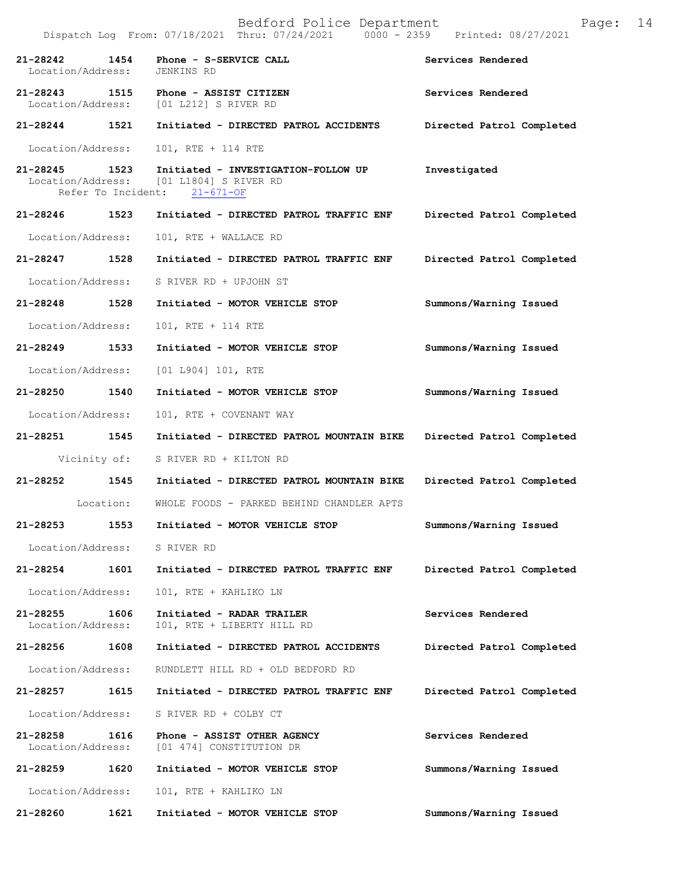|                                       |           | Dispatch Log From: 07/18/2021 Thru: 07/24/2021<br>$0000 - 2359$                                                | Printed: 08/27/2021       |
|---------------------------------------|-----------|----------------------------------------------------------------------------------------------------------------|---------------------------|
| 1454<br>21-28242<br>Location/Address: |           | Phone - S-SERVICE CALL<br>JENKINS RD                                                                           | Services Rendered         |
| 21-28243 1515                         |           | Phone - ASSIST CITIZEN<br>Location/Address: [01 L212] S RIVER RD                                               | Services Rendered         |
| 21-28244 1521                         |           | Initiated - DIRECTED PATROL ACCIDENTS                                                                          | Directed Patrol Completed |
| Location/Address:                     |           | 101, RTE + 114 RTE                                                                                             |                           |
| 21-28245 1523                         |           | Initiated - INVESTIGATION-FOLLOW UP<br>Location/Address: [01 L1804] S RIVER RD<br>Refer To Incident: 21-671-OF | Investigated              |
| 21-28246 1523                         |           | Initiated - DIRECTED PATROL TRAFFIC ENF                                                                        | Directed Patrol Completed |
| Location/Address:                     |           | 101, RTE + WALLACE RD                                                                                          |                           |
| 21-28247 1528                         |           | Initiated - DIRECTED PATROL TRAFFIC ENF                                                                        | Directed Patrol Completed |
| Location/Address:                     |           | S RIVER RD + UPJOHN ST                                                                                         |                           |
| 21-28248 1528                         |           | Initiated - MOTOR VEHICLE STOP                                                                                 | Summons/Warning Issued    |
| Location/Address:                     |           | 101, RTE + 114 RTE                                                                                             |                           |
| 21-28249 1533                         |           | Initiated - MOTOR VEHICLE STOP                                                                                 | Summons/Warning Issued    |
| Location/Address:                     |           | $[01 L904] 101$ , RTE                                                                                          |                           |
| 21-28250 1540                         |           | Initiated - MOTOR VEHICLE STOP                                                                                 | Summons/Warning Issued    |
| Location/Address:                     |           | 101, RTE + COVENANT WAY                                                                                        |                           |
| 21-28251 1545                         |           | Initiated - DIRECTED PATROL MOUNTAIN BIKE                                                                      | Directed Patrol Completed |
| Vicinity of:                          |           | S RIVER RD + KILTON RD                                                                                         |                           |
| 21-28252 1545                         |           | Initiated - DIRECTED PATROL MOUNTAIN BIKE                                                                      | Directed Patrol Completed |
|                                       | Location: | WHOLE FOODS - PARKED BEHIND CHANDLER APTS                                                                      |                           |
| $21 - 28253$                          | 1553      | Initiated - MOTOR VEHICLE STOP                                                                                 | Summons/Warning Issued    |
| Location/Address: S RIVER RD          |           |                                                                                                                |                           |
| $21 - 28254$                          | 1601      | Initiated - DIRECTED PATROL TRAFFIC ENF                                                                        | Directed Patrol Completed |
| Location/Address:                     |           | 101, RTE + KAHLIKO LN                                                                                          |                           |
| 21-28255<br>Location/Address:         | 1606      | Initiated - RADAR TRAILER<br>101, RTE + LIBERTY HILL RD                                                        | Services Rendered         |
| 21-28256                              | 1608      | Initiated - DIRECTED PATROL ACCIDENTS                                                                          | Directed Patrol Completed |
| Location/Address:                     |           | RUNDLETT HILL RD + OLD BEDFORD RD                                                                              |                           |
| 21-28257 1615                         |           | Initiated - DIRECTED PATROL TRAFFIC ENF                                                                        | Directed Patrol Completed |
| Location/Address:                     |           | S RIVER RD + COLBY CT                                                                                          |                           |
| 21-28258<br>Location/Address:         | 1616      | Phone - ASSIST OTHER AGENCY<br>[01 474] CONSTITUTION DR                                                        | Services Rendered         |
| 21-28259                              | 1620      | Initiated - MOTOR VEHICLE STOP                                                                                 | Summons/Warning Issued    |
| Location/Address:                     |           | 101, RTE + KAHLIKO LN                                                                                          |                           |
| 21-28260                              | 1621      | Initiated - MOTOR VEHICLE STOP                                                                                 | Summons/Warning Issued    |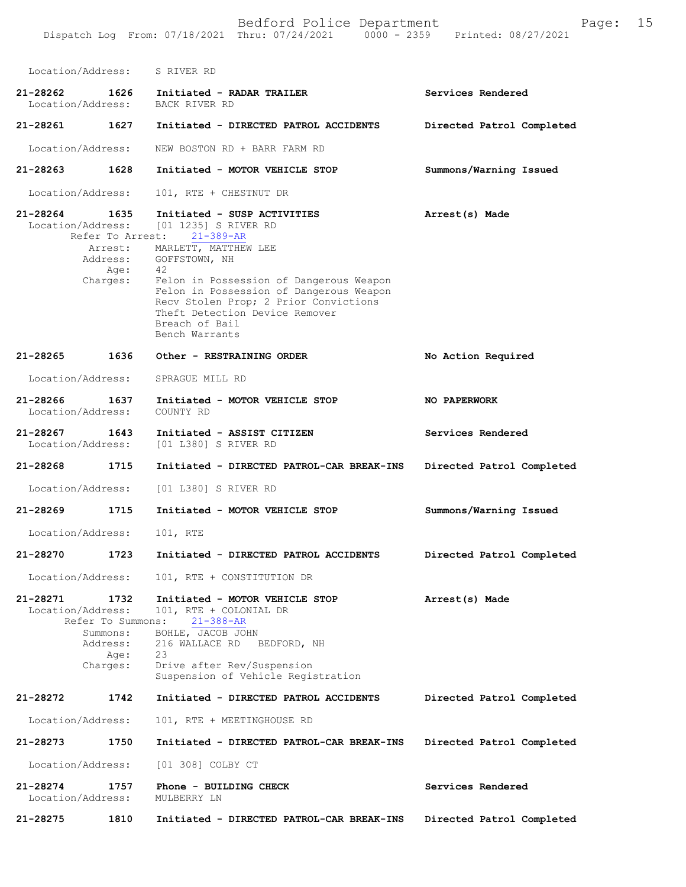Bedford Police Department Page: 15 Dispatch Log From: 07/18/2021 Thru: 07/24/2021 0000 - 2359 Location/Address: S RIVER RD **21-28262 1626 Initiated - RADAR TRAILER Services Rendered**  Location/Address: **21-28261 1627 Initiated - DIRECTED PATROL ACCIDENTS Directed Patrol Completed**  Location/Address: NEW BOSTON RD + BARR FARM RD **21-28263 1628 Initiated - MOTOR VEHICLE STOP Summons/Warning Issued**  Location/Address: 101, RTE + CHESTNUT DR **21-28264 1635 Initiated - SUSP ACTIVITIES Arrest(s) Made**  on/Address: [01 1235] S RIVER RD<br>Refer To Arrest: 21-389-AR Refer To Arrest: 21-389-AR **No Action Required NO PAPERWORK Services Rendered Directed Patrol Completed 21-28268 1715 Initiated - DIRECTED PATROL-CAR BREAK-INS Summons/Warning Issued Directed Patrol Completed 21-28271 1732 Initiated - MOTOR VEHICLE STOP Arrest(s) Made**  Location/Address: 101, RTE + COLONIAL DR<br>Refer To Summons: 21-388-AR Refer To Summons: 21-388-AR Summons: BOHLE, JACOB JOHN Address: 216 WALLACE RD BEDFORD, NH Age: 23 Charges: Drive after Rev/Suspension Suspension of Vehicle Registration **21-28272 1742 Initiated - DIRECTED PATROL ACCIDENTS Directed Patrol Completed**  Location/Address: 101, RTE + MEETINGHOUSE RD **21-28273 1750 Initiated - DIRECTED PATROL-CAR BREAK-INS Directed Patrol Completed**  Location/Address: [01 308] COLBY CT **21-28274 1757 Phone - BUILDING CHECK Services Rendered**  Location/Address: MULBERRY LN **21-28275 1810 Initiated - DIRECTED PATROL-CAR BREAK-INS Directed Patrol Completed**  Arrest: MARLETT, MATTHEW LEE Address: GOFFSTOWN, NH Age: 42 Charges: Felon in Possession of Dangerous Weapon Felon in Possession of Dangerous Weapon Recv Stolen Prop; 2 Prior Convictions Theft Detection Device Remover Breach of Bail Bench Warrants **21-28265 1636 Other - RESTRAINING ORDER** Location/Address: SPRAGUE MILL RD **21-28266 1637 Initiated - MOTOR VEHICLE STOP** Location/Address: **21-28267 1643 Initiated - ASSIST CITIZEN** Location/Address: [01 L380] S RIVER RD Location/Address: [01 L380] S RIVER RD **21-28269 1715 Initiated - MOTOR VEHICLE STOP** Location/Address: 101, RTE **21-28270 1723 Initiated - DIRECTED PATROL ACCIDENTS** Location/Address: 101, RTE + CONSTITUTION DR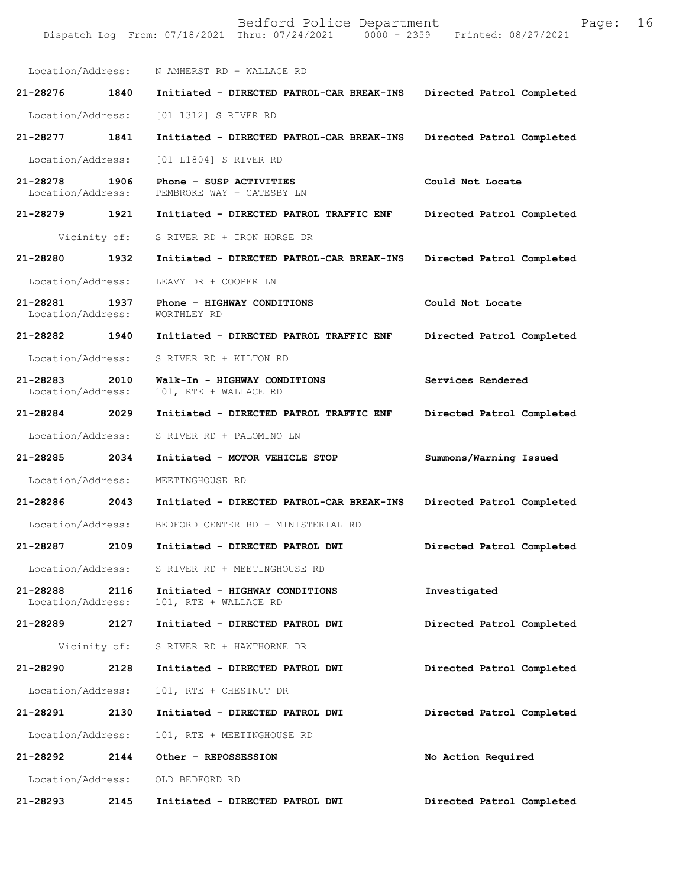Bedford Police Department Page: 16 Dispatch Log From: 07/18/2021 Thru: 07/24/2021 Location/Address: N AMHERST RD + WALLACE RD **21-28276 1840 Initiated - DIRECTED PATROL-CAR BREAK-INS Directed Patrol Completed**  Location/Address: [01 1312] S RIVER RD **21-28277 1841 Initiated - DIRECTED PATROL-CAR BREAK-INS Directed Patrol Completed**  Location/Address: [01 L1804] S RIVER RD **21-28278 1906 Phone - SUSP ACTIVITIES Could Not Locate**  Location/Address: PEMBROKE WAY + CATESBY LN **21-28279 1921 Initiated - DIRECTED PATROL TRAFFIC ENF Directed Patrol Completed**  Vicinity of: S RIVER RD + IRON HORSE DR **21-28280 1932 Initiated - DIRECTED PATROL-CAR BREAK-INS Directed Patrol Completed**  Location/Address: LEAVY DR + COOPER LN **21-28281 1937 Phone - HIGHWAY CONDITIONS Could Not Locate**  Location/Address: **21-28282 1940 Initiated - DIRECTED PATROL TRAFFIC ENF Directed Patrol Completed**  Location/Address: S RIVER RD + KILTON RD **21-28283 2010 Walk-In - HIGHWAY CONDITIONS Services Rendered**  Location/Address: 101, RTE + WALLACE RD **21-28284 2029 Initiated - DIRECTED PATROL TRAFFIC ENF Directed Patrol Completed**  Location/Address: S RIVER RD + PALOMINO LN **21-28285 2034 Initiated - MOTOR VEHICLE STOP Summons/Warning Issued**  Location/Address: MEETINGHOUSE RD **21-28286 2043 Initiated - DIRECTED PATROL-CAR BREAK-INS Directed Patrol Completed**  Location/Address: BEDFORD CENTER RD + MINISTERIAL RD **21-28287 2109 Initiated - DIRECTED PATROL DWI Directed Patrol Completed**  Location/Address: S RIVER RD + MEETINGHOUSE RD **21-28288 2116 Initiated - HIGHWAY CONDITIONS Investigated**  101, RTE + WALLACE RD **21-28289 2127 Initiated - DIRECTED PATROL DWI Directed Patrol Completed**  Vicinity of: S RIVER RD + HAWTHORNE DR **21-28290 2128 Initiated - DIRECTED PATROL DWI Directed Patrol Completed**  Location/Address: 101, RTE + CHESTNUT DR **21-28291 2130 Initiated - DIRECTED PATROL DWI Directed Patrol Completed**  Location/Address: 101, RTE + MEETINGHOUSE RD **21-28292 2144 Other - REPOSSESSION No Action Required**  Location/Address: OLD BEDFORD RD **21-28293 2145 Initiated - DIRECTED PATROL DWI Directed Patrol Completed**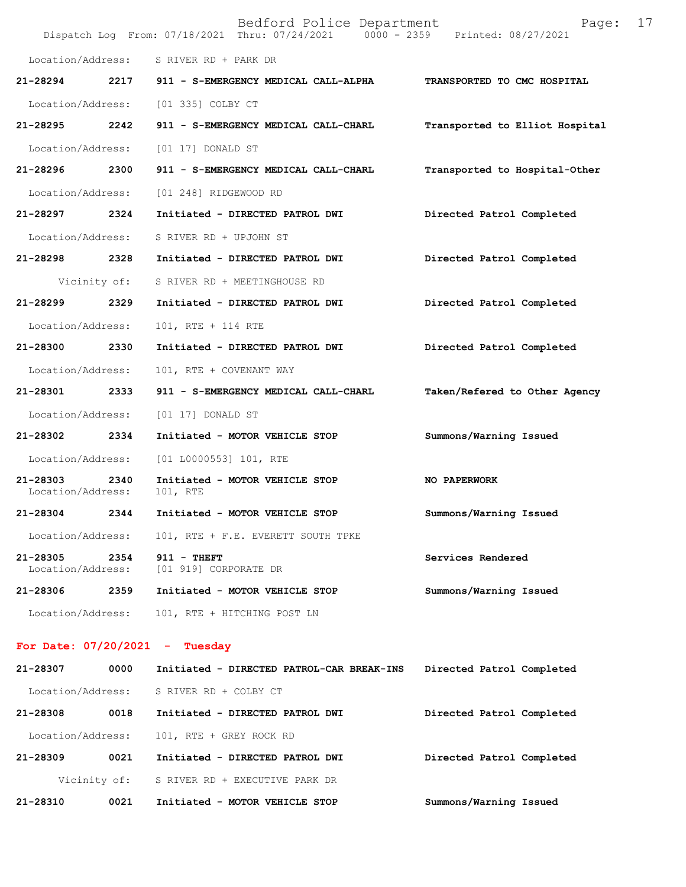|                               |              | Bedford Police Department<br>Dispatch Log From: 07/18/2021 Thru: 07/24/2021 0000 - 2359 Printed: 08/27/2021 | 17<br>Page:                    |
|-------------------------------|--------------|-------------------------------------------------------------------------------------------------------------|--------------------------------|
| Location/Address:             |              | S RIVER RD + PARK DR                                                                                        |                                |
| 21-28294                      | 2217         | 911 - S-EMERGENCY MEDICAL CALL-ALPHA                                                                        | TRANSPORTED TO CMC HOSPITAL    |
| Location/Address:             |              | [01 335] COLBY CT                                                                                           |                                |
| 21-28295                      | 2242         | 911 - S-EMERGENCY MEDICAL CALL-CHARL                                                                        | Transported to Elliot Hospital |
| Location/Address:             |              | [01 17] DONALD ST                                                                                           |                                |
| 21-28296 2300                 |              | 911 - S-EMERGENCY MEDICAL CALL-CHARL                                                                        | Transported to Hospital-Other  |
| Location/Address:             |              | [01 248] RIDGEWOOD RD                                                                                       |                                |
| 21-28297                      | 2324         | Initiated - DIRECTED PATROL DWI                                                                             | Directed Patrol Completed      |
| Location/Address:             |              | S RIVER RD + UPJOHN ST                                                                                      |                                |
| 21-28298                      | 2328         | Initiated - DIRECTED PATROL DWI                                                                             | Directed Patrol Completed      |
|                               | Vicinity of: | S RIVER RD + MEETINGHOUSE RD                                                                                |                                |
| 21-28299                      | 2329         | Initiated - DIRECTED PATROL DWI                                                                             | Directed Patrol Completed      |
| Location/Address:             |              | 101, RTE + 114 RTE                                                                                          |                                |
| 21-28300                      | 2330         | Initiated - DIRECTED PATROL DWI                                                                             | Directed Patrol Completed      |
| Location/Address:             |              | 101, RTE + COVENANT WAY                                                                                     |                                |
| 21-28301                      | 2333         | 911 - S-EMERGENCY MEDICAL CALL-CHARL                                                                        | Taken/Refered to Other Agency  |
| Location/Address:             |              | $[01 17]$ DONALD ST                                                                                         |                                |
| 21-28302                      | 2334         | Initiated - MOTOR VEHICLE STOP                                                                              | Summons/Warning Issued         |
| Location/Address:             |              | $[01 L0000553] 101$ , RTE                                                                                   |                                |
| 21-28303<br>Location/Address: | 2340         | Initiated - MOTOR VEHICLE STOP<br>101, RTE                                                                  | NO PAPERWORK                   |
| 21-28304                      | 2344         | Initiated - MOTOR VEHICLE STOP                                                                              | Summons/Warning Issued         |
| Location/Address:             |              | 101, RTE + F.E. EVERETT SOUTH TPKE                                                                          |                                |
| 21-28305<br>Location/Address: | 2354         | $911 - THEFT$<br>[01 919] CORPORATE DR                                                                      | Services Rendered              |
| 21-28306                      | 2359         | Initiated - MOTOR VEHICLE STOP                                                                              | Summons/Warning Issued         |
| Location/Address:             |              | 101, RTE + HITCHING POST LN                                                                                 |                                |
|                               |              | For Date: $07/20/2021$ - Tuesday                                                                            |                                |
| 21-28307                      | 0000         | Initiated - DIRECTED PATROL-CAR BREAK-INS                                                                   | Directed Patrol Completed      |
| Location/Address:             |              | S RIVER RD + COLBY CT                                                                                       |                                |
| 21-28308                      | 0018         | Initiated - DIRECTED PATROL DWI                                                                             | Directed Patrol Completed      |
| Location/Address:             |              | 101, RTE + GREY ROCK RD                                                                                     |                                |
| 21-28309                      | 0021         | Initiated - DIRECTED PATROL DWI                                                                             | Directed Patrol Completed      |
|                               | Vicinity of: | S RIVER RD + EXECUTIVE PARK DR                                                                              |                                |

**21-28310 0021 Initiated - MOTOR VEHICLE STOP Summons/Warning Issued**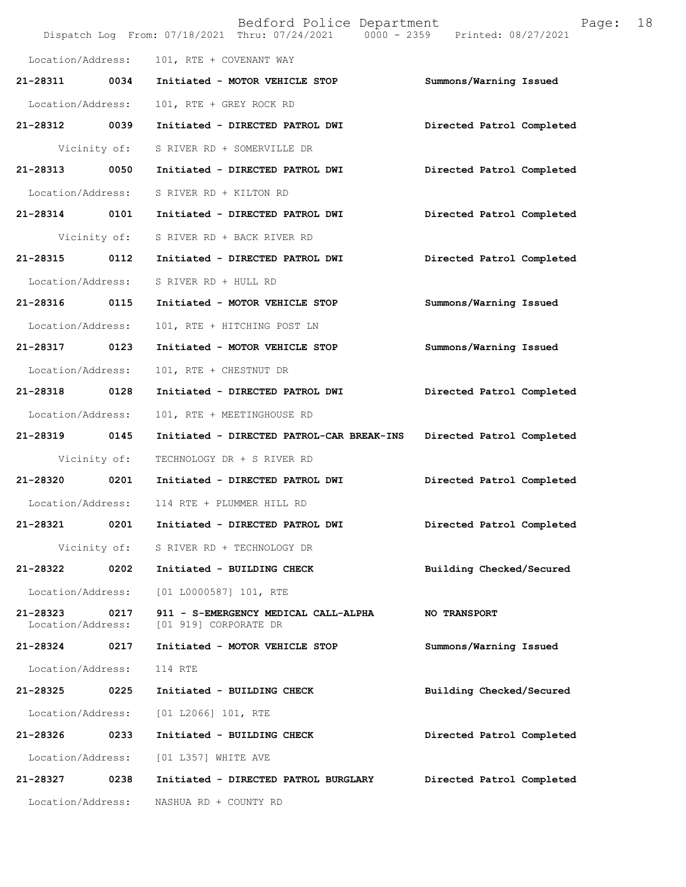|                               |              | Bedford Police Department<br>Dispatch Log From: 07/18/2021 Thru: 07/24/2021 0000 - 2359 Printed: 08/27/2021 | 18<br>Page:               |
|-------------------------------|--------------|-------------------------------------------------------------------------------------------------------------|---------------------------|
| Location/Address:             |              | 101, RTE + COVENANT WAY                                                                                     |                           |
| 21-28311                      | 0034         | Initiated - MOTOR VEHICLE STOP                                                                              | Summons/Warning Issued    |
| Location/Address:             |              | 101, RTE + GREY ROCK RD                                                                                     |                           |
| 21-28312 0039                 |              | Initiated - DIRECTED PATROL DWI                                                                             | Directed Patrol Completed |
|                               | Vicinity of: | S RIVER RD + SOMERVILLE DR                                                                                  |                           |
| 21-28313 0050                 |              | Initiated - DIRECTED PATROL DWI                                                                             | Directed Patrol Completed |
| Location/Address:             |              | S RIVER RD + KILTON RD                                                                                      |                           |
| 21-28314 0101                 |              | Initiated - DIRECTED PATROL DWI                                                                             | Directed Patrol Completed |
|                               | Vicinity of: | S RIVER RD + BACK RIVER RD                                                                                  |                           |
| 21-28315                      | 0112         | Initiated - DIRECTED PATROL DWI                                                                             | Directed Patrol Completed |
| Location/Address:             |              | S RIVER RD + HULL RD                                                                                        |                           |
| 21-28316 0115                 |              | Initiated - MOTOR VEHICLE STOP                                                                              | Summons/Warning Issued    |
| Location/Address:             |              | 101, RTE + HITCHING POST LN                                                                                 |                           |
| 21-28317 0123                 |              | Initiated - MOTOR VEHICLE STOP                                                                              | Summons/Warning Issued    |
| Location/Address:             |              | 101, RTE + CHESTNUT DR                                                                                      |                           |
| 21-28318 0128                 |              | Initiated - DIRECTED PATROL DWI                                                                             | Directed Patrol Completed |
| Location/Address:             |              | 101, RTE + MEETINGHOUSE RD                                                                                  |                           |
| 21-28319 0145                 |              | Initiated - DIRECTED PATROL-CAR BREAK-INS                                                                   | Directed Patrol Completed |
|                               | Vicinity of: | TECHNOLOGY DR + S RIVER RD                                                                                  |                           |
| 21-28320 0201                 |              | Initiated - DIRECTED PATROL DWI                                                                             | Directed Patrol Completed |
|                               |              | Location/Address: 114 RTE + PLUMMER HILL RD                                                                 |                           |
| 21-28321                      | 0201         | Initiated - DIRECTED PATROL DWI                                                                             | Directed Patrol Completed |
|                               | Vicinity of: | S RIVER RD + TECHNOLOGY DR                                                                                  |                           |
| 21-28322                      | 0202         | Initiated - BUILDING CHECK                                                                                  | Building Checked/Secured  |
| Location/Address:             |              | $[01 L0000587] 101$ , RTE                                                                                   |                           |
| 21-28323<br>Location/Address: | 0217         | 911 - S-EMERGENCY MEDICAL CALL-ALPHA<br>[01 919] CORPORATE DR                                               | <b>NO TRANSPORT</b>       |
| 21-28324                      | 0217         | Initiated - MOTOR VEHICLE STOP                                                                              | Summons/Warning Issued    |
| Location/Address:             |              | 114 RTE                                                                                                     |                           |
| 21-28325                      | 0225         | Initiated - BUILDING CHECK                                                                                  | Building Checked/Secured  |
| Location/Address:             |              | [01 L2066] 101, RTE                                                                                         |                           |
| 21-28326                      | 0233         | Initiated - BUILDING CHECK                                                                                  | Directed Patrol Completed |
| Location/Address:             |              | [01 L357] WHITE AVE                                                                                         |                           |
| 21-28327                      | 0238         | Initiated - DIRECTED PATROL BURGLARY                                                                        | Directed Patrol Completed |
| Location/Address:             |              | NASHUA RD + COUNTY RD                                                                                       |                           |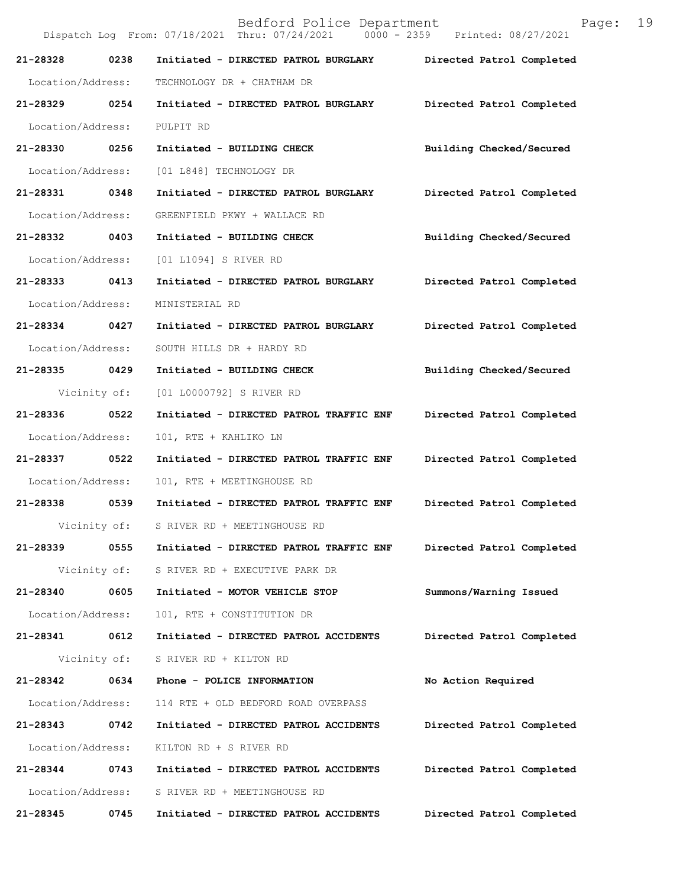|                   |              | Dispatch Log From: 07/18/2021 Thru: 07/24/2021 0000 - 2359 | Printed: 08/27/2021       |
|-------------------|--------------|------------------------------------------------------------|---------------------------|
| 21-28328          | 0238         | Initiated - DIRECTED PATROL BURGLARY                       | Directed Patrol Completed |
| Location/Address: |              | TECHNOLOGY DR + CHATHAM DR                                 |                           |
| 21-28329 0254     |              | Initiated - DIRECTED PATROL BURGLARY                       | Directed Patrol Completed |
| Location/Address: |              | PULPIT RD                                                  |                           |
| 21-28330 0256     |              | Initiated - BUILDING CHECK                                 | Building Checked/Secured  |
| Location/Address: |              | [01 L848] TECHNOLOGY DR                                    |                           |
| 21-28331 0348     |              | Initiated - DIRECTED PATROL BURGLARY                       | Directed Patrol Completed |
| Location/Address: |              | GREENFIELD PKWY + WALLACE RD                               |                           |
| 21-28332 0403     |              | Initiated - BUILDING CHECK                                 | Building Checked/Secured  |
| Location/Address: |              | [01 L1094] S RIVER RD                                      |                           |
| 21-28333 0413     |              | Initiated - DIRECTED PATROL BURGLARY                       | Directed Patrol Completed |
| Location/Address: |              | MINISTERIAL RD                                             |                           |
| 21-28334 0427     |              | Initiated - DIRECTED PATROL BURGLARY                       | Directed Patrol Completed |
| Location/Address: |              | SOUTH HILLS DR + HARDY RD                                  |                           |
| 21-28335 0429     |              | Initiated - BUILDING CHECK                                 | Building Checked/Secured  |
|                   | Vicinity of: | [01 L0000792] S RIVER RD                                   |                           |
| 21-28336 0522     |              | Initiated - DIRECTED PATROL TRAFFIC ENF                    | Directed Patrol Completed |
| Location/Address: |              | 101, RTE + KAHLIKO LN                                      |                           |
| 21-28337 0522     |              | Initiated - DIRECTED PATROL TRAFFIC ENF                    | Directed Patrol Completed |
| Location/Address: |              | 101, RTE + MEETINGHOUSE RD                                 |                           |
| 21-28338 0539     |              | Initiated - DIRECTED PATROL TRAFFIC ENF                    | Directed Patrol Completed |
|                   | Vicinity of: | S RIVER RD + MEETINGHOUSE RD                               |                           |
| 21-28339          | 0555         | Initiated - DIRECTED PATROL TRAFFIC ENF                    | Directed Patrol Completed |
|                   | Vicinity of: | S RIVER RD + EXECUTIVE PARK DR                             |                           |
| 21-28340          | 0605         | Initiated - MOTOR VEHICLE STOP                             | Summons/Warning Issued    |
| Location/Address: |              | 101, RTE + CONSTITUTION DR                                 |                           |
| 21-28341          | 0612         | Initiated - DIRECTED PATROL ACCIDENTS                      | Directed Patrol Completed |
|                   | Vicinity of: | S RIVER RD + KILTON RD                                     |                           |
| 21-28342          | 0634         | Phone - POLICE INFORMATION                                 | No Action Required        |
| Location/Address: |              | 114 RTE + OLD BEDFORD ROAD OVERPASS                        |                           |
| 21-28343          | 0742         | Initiated - DIRECTED PATROL ACCIDENTS                      | Directed Patrol Completed |
| Location/Address: |              | KILTON RD + S RIVER RD                                     |                           |
| 21-28344          | 0743         | Initiated - DIRECTED PATROL ACCIDENTS                      | Directed Patrol Completed |
| Location/Address: |              | S RIVER RD + MEETINGHOUSE RD                               |                           |
| 21-28345          | 0745         | Initiated - DIRECTED PATROL ACCIDENTS                      | Directed Patrol Completed |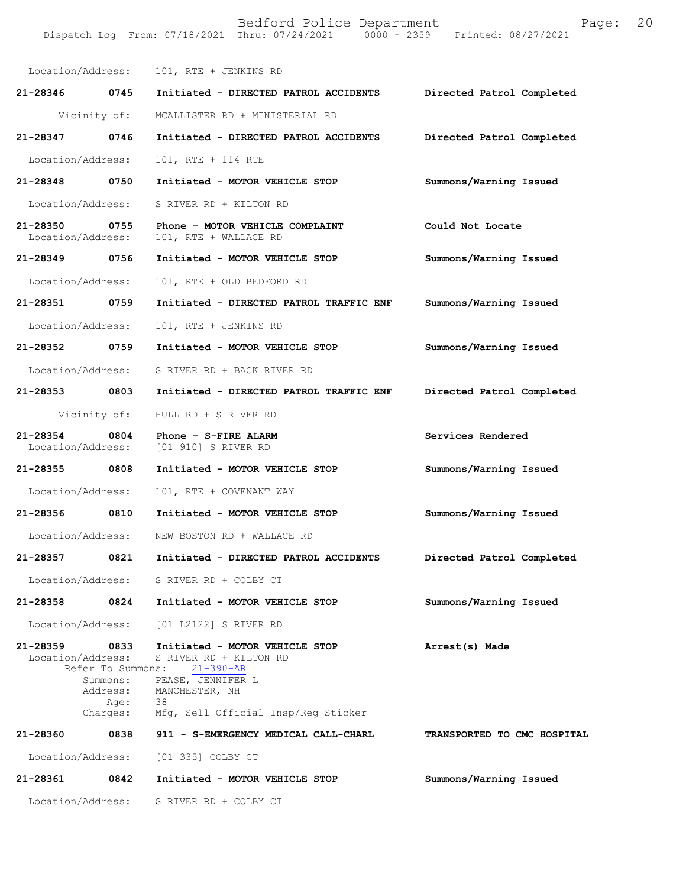| Location/Address:                  |                                       | 101, RTE + JENKINS RD                                                                                                                                                             |                             |
|------------------------------------|---------------------------------------|-----------------------------------------------------------------------------------------------------------------------------------------------------------------------------------|-----------------------------|
| 21-28346 0745                      |                                       | Initiated - DIRECTED PATROL ACCIDENTS                                                                                                                                             | Directed Patrol Completed   |
|                                    | Vicinity of:                          | MCALLISTER RD + MINISTERIAL RD                                                                                                                                                    |                             |
| 21-28347                           | 0746                                  | Initiated - DIRECTED PATROL ACCIDENTS                                                                                                                                             | Directed Patrol Completed   |
| Location/Address:                  |                                       | 101, RTE + 114 RTE                                                                                                                                                                |                             |
| 21-28348 0750                      |                                       | Initiated - MOTOR VEHICLE STOP                                                                                                                                                    | Summons/Warning Issued      |
| Location/Address:                  |                                       | S RIVER RD + KILTON RD                                                                                                                                                            |                             |
| 21-28350 0755<br>Location/Address: |                                       | Phone - MOTOR VEHICLE COMPLAINT<br>101, RTE + WALLACE RD                                                                                                                          | Could Not Locate            |
| 21-28349                           | 0756                                  | Initiated - MOTOR VEHICLE STOP                                                                                                                                                    | Summons/Warning Issued      |
| Location/Address:                  |                                       | 101, RTE + OLD BEDFORD RD                                                                                                                                                         |                             |
| 21-28351 0759                      |                                       | Initiated - DIRECTED PATROL TRAFFIC ENF                                                                                                                                           | Summons/Warning Issued      |
| Location/Address:                  |                                       | 101, RTE + JENKINS RD                                                                                                                                                             |                             |
| 21-28352                           | 0759                                  | Initiated - MOTOR VEHICLE STOP                                                                                                                                                    | Summons/Warning Issued      |
| Location/Address:                  |                                       | S RIVER RD + BACK RIVER RD                                                                                                                                                        |                             |
| 21-28353 0803                      |                                       | Initiated - DIRECTED PATROL TRAFFIC ENF                                                                                                                                           | Directed Patrol Completed   |
|                                    | Vicinity of:                          | HULL RD + S RIVER RD                                                                                                                                                              |                             |
| $21 - 28354$<br>Location/Address:  | 0804                                  | Phone - S-FIRE ALARM<br>[01 910] S RIVER RD                                                                                                                                       | Services Rendered           |
| 21-28355                           | 0808                                  | Initiated - MOTOR VEHICLE STOP                                                                                                                                                    | Summons/Warning Issued      |
| Location/Address:                  |                                       | 101, RTE + COVENANT WAY                                                                                                                                                           |                             |
| 21-28356                           | 0810                                  | Initiated - MOTOR VEHICLE STOP                                                                                                                                                    | Summons/Warning Issued      |
| Location/Address:                  |                                       | NEW BOSTON RD + WALLACE RD                                                                                                                                                        |                             |
|                                    |                                       | 21-28357 0821 Initiated - DIRECTED PATROL ACCIDENTS Directed Patrol Completed                                                                                                     |                             |
|                                    |                                       | Location/Address: S RIVER RD + COLBY CT                                                                                                                                           |                             |
| 21-28358 0824                      |                                       | Initiated - MOTOR VEHICLE STOP                                                                                                                                                    | Summons/Warning Issued      |
|                                    |                                       | Location/Address: [01 L2122] S RIVER RD                                                                                                                                           |                             |
| 21-28359 0833<br>Location/Address: | Refer To Summons:<br>Age:<br>Charges: | Initiated - MOTOR VEHICLE STOP<br>S RIVER RD + KILTON RD<br>$21 - 390 - AR$<br>Summons: PEASE, JENNIFER L<br>Address: MANCHESTER, NH<br>38<br>Mfg, Sell Official Insp/Reg Sticker | Arrest(s) Made              |
| 21-28360                           |                                       | 0838 911 - S-EMERGENCY MEDICAL CALL-CHARL                                                                                                                                         | TRANSPORTED TO CMC HOSPITAL |
|                                    |                                       | Location/Address: [01 335] COLBY CT                                                                                                                                               |                             |
| 21-28361                           | 0842                                  | Initiated - MOTOR VEHICLE STOP                                                                                                                                                    | Summons/Warning Issued      |
| Location/Address:                  |                                       | S RIVER RD + COLBY CT                                                                                                                                                             |                             |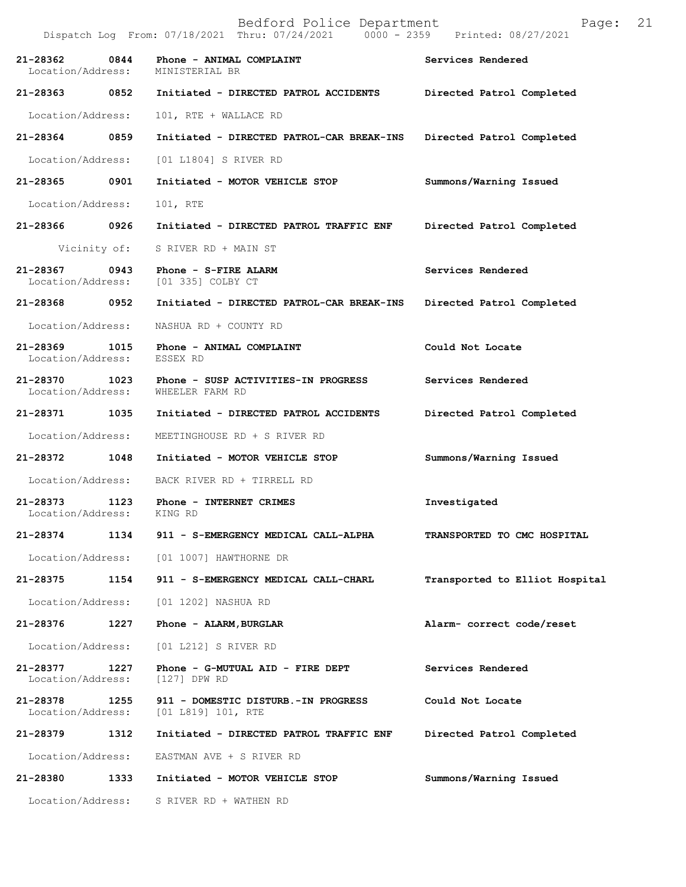|                                            | Dispatch Log From: 07/18/2021 Thru: 07/24/2021 0000 - 2359 Printed: 08/27/2021 |                                |
|--------------------------------------------|--------------------------------------------------------------------------------|--------------------------------|
| 21-28362<br>0844<br>Location/Address:      | Phone - ANIMAL COMPLAINT<br>MINISTERIAL BR                                     | Services Rendered              |
| 21-28363 0852                              | Initiated - DIRECTED PATROL ACCIDENTS                                          | Directed Patrol Completed      |
| Location/Address:                          | 101, RTE + WALLACE RD                                                          |                                |
| 21-28364<br>0859                           | Initiated - DIRECTED PATROL-CAR BREAK-INS                                      | Directed Patrol Completed      |
| Location/Address:                          | [01 L1804] S RIVER RD                                                          |                                |
| 21-28365 0901                              | Initiated - MOTOR VEHICLE STOP                                                 | Summons/Warning Issued         |
| Location/Address:                          | 101, RTE                                                                       |                                |
| 21-28366 0926                              | Initiated - DIRECTED PATROL TRAFFIC ENF                                        | Directed Patrol Completed      |
|                                            | Vicinity of: S RIVER RD + MAIN ST                                              |                                |
| 21-28367<br>0943                           | Phone - S-FIRE ALARM<br>Location/Address: [01 335] COLBY CT                    | Services Rendered              |
| 21-28368 0952                              | Initiated - DIRECTED PATROL-CAR BREAK-INS                                      | Directed Patrol Completed      |
| Location/Address:                          | NASHUA RD + COUNTY RD                                                          |                                |
| 21-28369<br>1015<br>Location/Address:      | Phone - ANIMAL COMPLAINT<br>ESSEX RD                                           | Could Not Locate               |
| 21-28370 1023<br>Location/Address:         | Phone - SUSP ACTIVITIES-IN PROGRESS<br>WHEELER FARM RD                         | Services Rendered              |
| 21-28371 1035                              | Initiated - DIRECTED PATROL ACCIDENTS                                          | Directed Patrol Completed      |
| Location/Address:                          | MEETINGHOUSE RD + S RIVER RD                                                   |                                |
| 21-28372<br>1048                           | Initiated - MOTOR VEHICLE STOP                                                 | Summons/Warning Issued         |
| Location/Address:                          | BACK RIVER RD + TIRRELL RD                                                     |                                |
| 21-28373 1123<br>Location/Address: KING RD | Phone - INTERNET CRIMES                                                        | Investigated                   |
|                                            | 21-28374 1134 911 - S-EMERGENCY MEDICAL CALL-ALPHA                             | TRANSPORTED TO CMC HOSPITAL    |
|                                            | Location/Address: [01 1007] HAWTHORNE DR                                       |                                |
| 21-28375<br>1154                           | 911 - S-EMERGENCY MEDICAL CALL-CHARL                                           | Transported to Elliot Hospital |
| Location/Address:                          | [01 1202] NASHUA RD                                                            |                                |
| 21-28376 1227                              | Phone - ALARM, BURGLAR                                                         | Alarm- correct code/reset      |
| Location/Address:                          | [01 L212] S RIVER RD                                                           |                                |
| 21-28377<br>1227<br>Location/Address:      | Phone - G-MUTUAL AID - FIRE DEPT<br>[127] DPW RD                               | Services Rendered              |
| 21-28378<br>1255<br>Location/Address:      | 911 - DOMESTIC DISTURB.-IN PROGRESS<br>[01  L819] 101, RTE                     | Could Not Locate               |
| 21-28379<br>1312                           | Initiated - DIRECTED PATROL TRAFFIC ENF                                        | Directed Patrol Completed      |
| Location/Address:                          | EASTMAN AVE + S RIVER RD                                                       |                                |
| 21-28380<br>1333                           | Initiated - MOTOR VEHICLE STOP                                                 | Summons/Warning Issued         |
| Location/Address:                          | S RIVER RD + WATHEN RD                                                         |                                |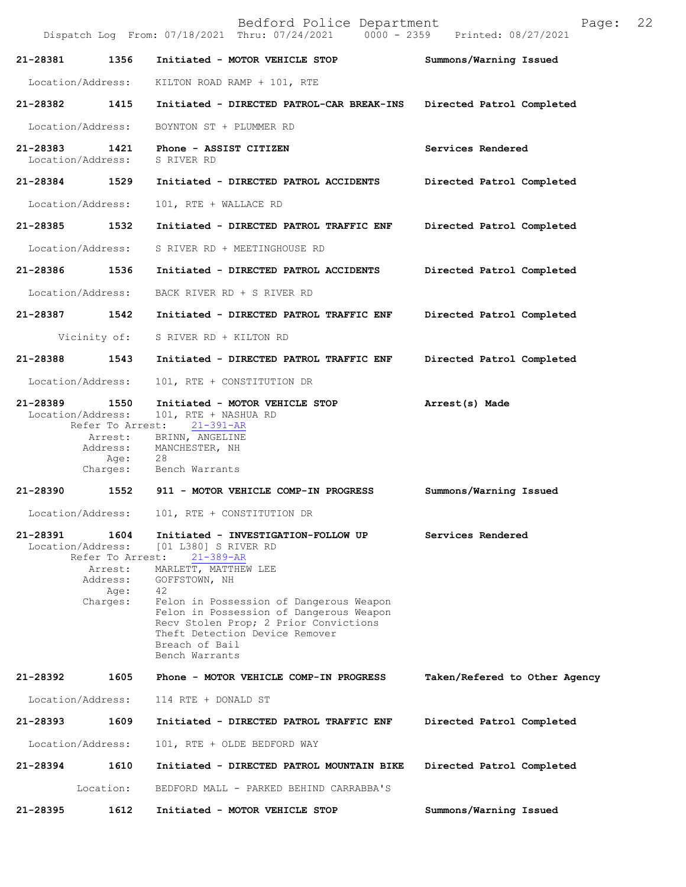Bedford Police Department Page: 22 Dispatch Log From: 07/18/2021 Thru: 07/24/2021 **21-28381 1356 Initiated - MOTOR VEHICLE STOP Summons/Warning Issued**  Location/Address: KILTON ROAD RAMP + 101, RTE **21-28382 1415 Initiated - DIRECTED PATROL-CAR BREAK-INS Directed Patrol Completed**  Location/Address: BOYNTON ST + PLUMMER RD **21-28383 1421 Phone - ASSIST CITIZEN Services Rendered Services Rendered Iocation/Address:** S RIVER RD Location/Address: **21-28384 1529 Initiated - DIRECTED PATROL ACCIDENTS Directed Patrol Completed**  Location/Address: 101, RTE + WALLACE RD **21-28385 1532 Initiated - DIRECTED PATROL TRAFFIC ENF Directed Patrol Completed**  Location/Address: S RIVER RD + MEETINGHOUSE RD **21-28386 1536 Initiated - DIRECTED PATROL ACCIDENTS Directed Patrol Completed**  Location/Address: BACK RIVER RD + S RIVER RD **21-28387 1542 Initiated - DIRECTED PATROL TRAFFIC ENF Directed Patrol Completed**  Vicinity of: S RIVER RD + KILTON RD **21-28388 1543 Initiated - DIRECTED PATROL TRAFFIC ENF Directed Patrol Completed**  Location/Address: 101, RTE + CONSTITUTION DR **21-28389 1550 Initiated - MOTOR VEHICLE STOP Arrest(s) Made**  Location/Address: 101, RTE + NASHUA RD<br>Refer To Arrest: 21-391-AR Refer To Arrest: **21-28391 1604 Initiated - INVESTIGATION-FOLLOW UP Services Rendered**  [01 L380] S RIVER RD<br>est: 21-389-AR Refer To Arrest: Arrest: BRINN, ANGELINE Address: MANCHESTER, NH Age: 28<br>Charges: Ber Bench Warrants **21-28390 1552 911 - MOTOR VEHICLE COMP-IN PROGRESS Summons/Warning Issued** Location/Address: 101, RTE + CONSTITUTION DR Arrest: MARLETT, MATTHEW LEE<br>Address: GOFFSTOWN, NH GOFFSTOWN, NH Age: 42 Charges: Felon in Possession of Dangerous Weapon Felon in Possession of Dangerous Weapon Recv Stolen Prop; 2 Prior Convictions Theft Detection Device Remover Breach of Bail Bench Warrants **21-28392 1605 Phone - MOTOR VEHICLE COMP-IN PROGRESS Taken/Refered to Other Agency** Location/Address: 114 RTE + DONALD ST **21-28393 1609 Initiated - DIRECTED PATROL TRAFFIC ENF Directed Patrol Completed** Location/Address: 101, RTE + OLDE BEDFORD WAY **21-28394 1610 Initiated - DIRECTED PATROL MOUNTAIN BIKE Directed Patrol Completed** Location: BEDFORD MALL - PARKED BEHIND CARRABBA'S **21-28395 1612 Initiated - MOTOR VEHICLE STOP Summons/Warning Issued**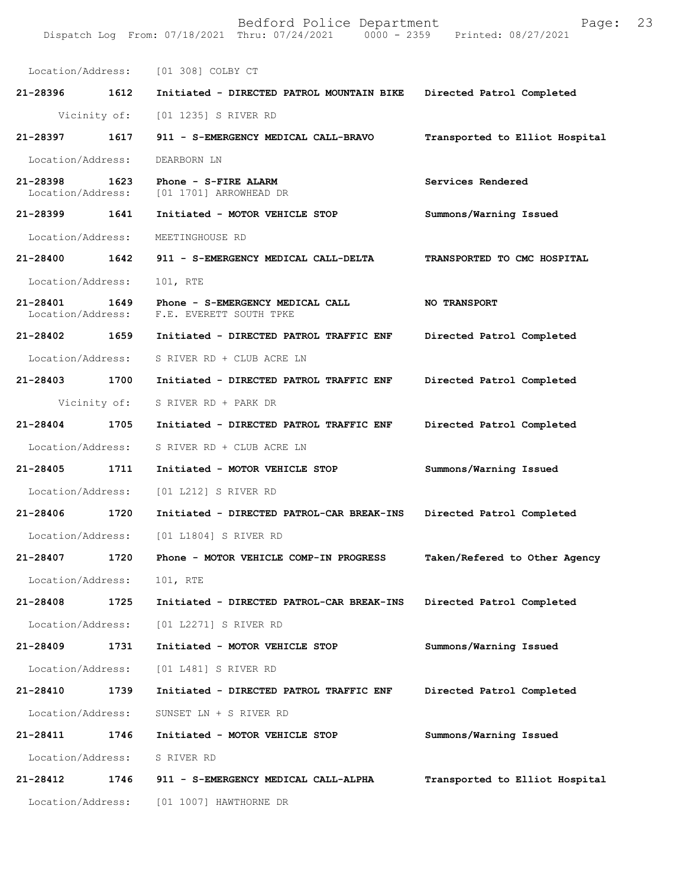|                               |              | Location/Address: [01 308] COLBY CT                                 |                                |
|-------------------------------|--------------|---------------------------------------------------------------------|--------------------------------|
| 21-28396 1612                 |              | Initiated - DIRECTED PATROL MOUNTAIN BIKE Directed Patrol Completed |                                |
|                               |              | Vicinity of: [01 1235] S RIVER RD                                   |                                |
| 21-28397                      | 1617         | 911 - S-EMERGENCY MEDICAL CALL-BRAVO                                | Transported to Elliot Hospital |
| Location/Address:             |              | DEARBORN LN                                                         |                                |
| 21-28398<br>Location/Address: | 1623         | Phone - S-FIRE ALARM<br>[01 1701] ARROWHEAD DR                      | Services Rendered              |
| 21-28399                      | 1641         | Initiated - MOTOR VEHICLE STOP                                      | Summons/Warning Issued         |
| Location/Address:             |              | MEETINGHOUSE RD                                                     |                                |
| 21-28400                      | 1642         | 911 - S-EMERGENCY MEDICAL CALL-DELTA                                | TRANSPORTED TO CMC HOSPITAL    |
| Location/Address:             |              | 101, RTE                                                            |                                |
| 21-28401<br>Location/Address: | 1649         | Phone - S-EMERGENCY MEDICAL CALL<br>F.E. EVERETT SOUTH TPKE         | <b>NO TRANSPORT</b>            |
| 21-28402                      | 1659         | Initiated - DIRECTED PATROL TRAFFIC ENF                             | Directed Patrol Completed      |
| Location/Address:             |              | S RIVER RD + CLUB ACRE LN                                           |                                |
| 21-28403 1700                 |              | Initiated - DIRECTED PATROL TRAFFIC ENF                             | Directed Patrol Completed      |
|                               | Vicinity of: | S RIVER RD + PARK DR                                                |                                |
| $21 - 28404$                  | 1705         | Initiated - DIRECTED PATROL TRAFFIC ENF                             | Directed Patrol Completed      |
| Location/Address:             |              | S RIVER RD + CLUB ACRE LN                                           |                                |
| 21-28405                      | 1711         | Initiated - MOTOR VEHICLE STOP                                      | Summons/Warning Issued         |
| Location/Address:             |              | [01 L212] S RIVER RD                                                |                                |
| 21-28406                      | 1720         | Initiated - DIRECTED PATROL-CAR BREAK-INS                           | Directed Patrol Completed      |
|                               |              | Location/Address: [01 L1804] S RIVER RD                             |                                |
|                               |              | 21-28407 1720 Phone - MOTOR VEHICLE COMP-IN PROGRESS                | Taken/Refered to Other Agency  |
| Location/Address:             |              | 101, RTE                                                            |                                |
| 21-28408                      | 1725         | Initiated - DIRECTED PATROL-CAR BREAK-INS                           | Directed Patrol Completed      |
| Location/Address:             |              | [01 L2271] S RIVER RD                                               |                                |
| 21-28409                      | 1731         | Initiated - MOTOR VEHICLE STOP                                      | Summons/Warning Issued         |
| Location/Address:             |              | [01 L481] S RIVER RD                                                |                                |
| 21-28410                      | 1739         | Initiated - DIRECTED PATROL TRAFFIC ENF                             | Directed Patrol Completed      |
| Location/Address:             |              | SUNSET LN + S RIVER RD                                              |                                |
| 21-28411                      | 1746         | Initiated - MOTOR VEHICLE STOP                                      | Summons/Warning Issued         |
| Location/Address:             |              | S RIVER RD                                                          |                                |
| 21-28412                      | 1746         | 911 - S-EMERGENCY MEDICAL CALL-ALPHA                                | Transported to Elliot Hospital |
| Location/Address:             |              | [01 1007] HAWTHORNE DR                                              |                                |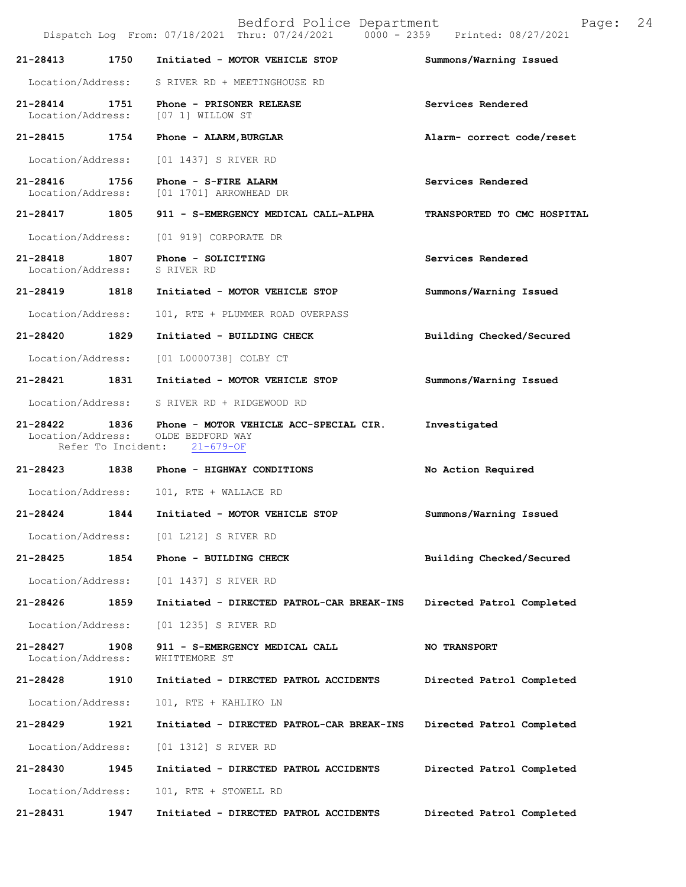|                                    |                    | Bedford Police Department<br>Dispatch Log From: 07/18/2021 Thru: 07/24/2021 0000 - 2359 Printed: 08/27/2021   | Page:                       | 24 |
|------------------------------------|--------------------|---------------------------------------------------------------------------------------------------------------|-----------------------------|----|
| 21-28413                           | 1750               | Initiated - MOTOR VEHICLE STOP                                                                                | Summons/Warning Issued      |    |
| Location/Address:                  |                    | S RIVER RD + MEETINGHOUSE RD                                                                                  |                             |    |
| $21 - 28414$<br>Location/Address:  | 1751               | Phone - PRISONER RELEASE<br>[07 1] WILLOW ST                                                                  | Services Rendered           |    |
| 21-28415                           | 1754               | Phone - ALARM, BURGLAR                                                                                        | Alarm- correct code/reset   |    |
| Location/Address:                  |                    | [01 1437] S RIVER RD                                                                                          |                             |    |
| 21-28416<br>Location/Address:      | 1756               | Phone - S-FIRE ALARM<br>[01 1701] ARROWHEAD DR                                                                | Services Rendered           |    |
| 21-28417 1805                      |                    | 911 - S-EMERGENCY MEDICAL CALL-ALPHA                                                                          | TRANSPORTED TO CMC HOSPITAL |    |
| Location/Address:                  |                    | [01 919] CORPORATE DR                                                                                         |                             |    |
| 21-28418 1807<br>Location/Address: |                    | Phone - SOLICITING<br>S RIVER RD                                                                              | Services Rendered           |    |
| 21-28419 1818                      |                    | Initiated - MOTOR VEHICLE STOP                                                                                | Summons/Warning Issued      |    |
| Location/Address:                  |                    | 101, RTE + PLUMMER ROAD OVERPASS                                                                              |                             |    |
| 21-28420                           | 1829               | Initiated - BUILDING CHECK                                                                                    | Building Checked/Secured    |    |
| Location/Address:                  |                    | [01 L0000738] COLBY CT                                                                                        |                             |    |
| 21-28421                           | 1831               | Initiated - MOTOR VEHICLE STOP                                                                                | Summons/Warning Issued      |    |
| Location/Address:                  |                    | S RIVER RD + RIDGEWOOD RD                                                                                     |                             |    |
|                                    | Refer To Incident: | 21-28422 1836 Phone - MOTOR VEHICLE ACC-SPECIAL CIR.<br>Location/Address: OLDE BEDFORD WAY<br>$21 - 679 - OF$ | Investigated                |    |
| 21-28423 1838                      |                    | Phone - HIGHWAY CONDITIONS                                                                                    | No Action Required          |    |
| Location/Address:                  |                    | 101, RTE + WALLACE RD                                                                                         |                             |    |
| 21-28424                           | 1844               | Initiated - MOTOR VEHICLE STOP                                                                                | Summons/Warning Issued      |    |
| Location/Address:                  |                    | [01 L212] S RIVER RD                                                                                          |                             |    |
| $21 - 28425$                       | 1854               | Phone - BUILDING CHECK                                                                                        | Building Checked/Secured    |    |
| Location/Address:                  |                    | [01 1437] S RIVER RD                                                                                          |                             |    |
| 21-28426                           | 1859               | Initiated - DIRECTED PATROL-CAR BREAK-INS                                                                     | Directed Patrol Completed   |    |
| Location/Address:                  |                    | [01 1235] S RIVER RD                                                                                          |                             |    |
| 21-28427<br>Location/Address:      | 1908               | 911 - S-EMERGENCY MEDICAL CALL<br>WHITTEMORE ST                                                               | <b>NO TRANSPORT</b>         |    |
| 21-28428                           | 1910               | Initiated - DIRECTED PATROL ACCIDENTS                                                                         | Directed Patrol Completed   |    |
| Location/Address:                  |                    | 101, RTE + KAHLIKO LN                                                                                         |                             |    |
| 21-28429                           | 1921               | Initiated - DIRECTED PATROL-CAR BREAK-INS                                                                     | Directed Patrol Completed   |    |
| Location/Address:                  |                    | [01 1312] S RIVER RD                                                                                          |                             |    |
| 21-28430                           | 1945               | Initiated - DIRECTED PATROL ACCIDENTS                                                                         | Directed Patrol Completed   |    |
| Location/Address:                  |                    | 101, RTE + STOWELL RD                                                                                         |                             |    |
| 21-28431                           | 1947               | Initiated - DIRECTED PATROL ACCIDENTS                                                                         | Directed Patrol Completed   |    |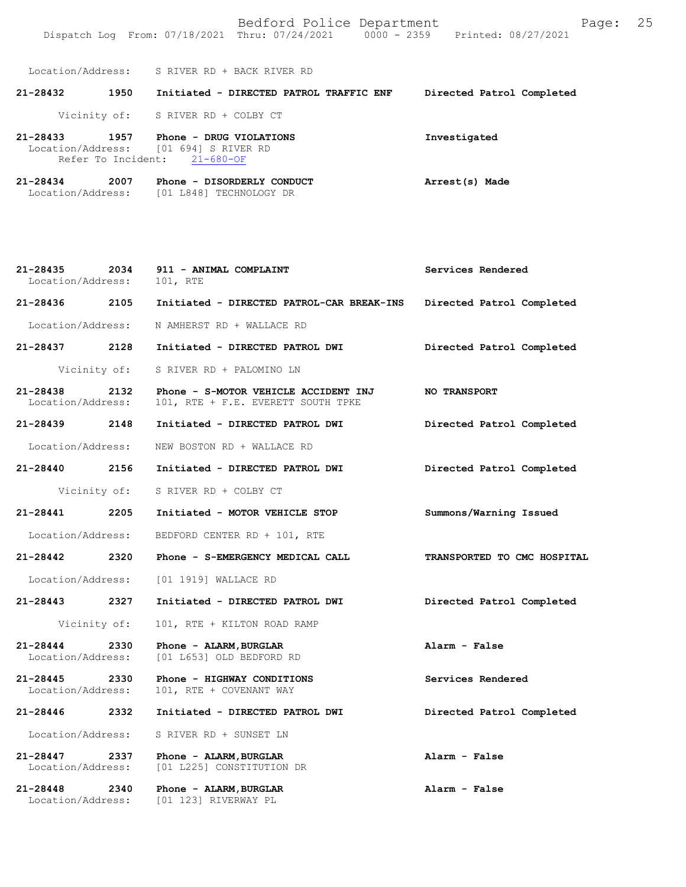Location/Address: [01 123] RIVERWAY PL

| 21-28432                      | 1950 | Initiated - DIRECTED PATROL TRAFFIC ENF                                                          | Directed Patrol Completed |
|-------------------------------|------|--------------------------------------------------------------------------------------------------|---------------------------|
|                               |      | Vicinity of: S RIVER RD + COLBY CT                                                               |                           |
| 21-28433                      | 1957 | Phone - DRUG VIOLATIONS<br>Location/Address: [01 694] S RIVER RD<br>Refer To Incident: 21-680-OF | Investigated              |
| 21-28434<br>Location/Address: | 2007 | Phone - DISORDERLY CONDUCT<br>[01 L848] TECHNOLOGY DR                                            | Arrest(s) Made            |

| 21-28435 2034<br>Location/Address: |              | 911 - ANIMAL COMPLAINT<br>101, RTE                                         | Services Rendered           |
|------------------------------------|--------------|----------------------------------------------------------------------------|-----------------------------|
|                                    |              | 21-28436  2105  Initiated - DIRECTED PATROL-CAR BREAK-INS                  | Directed Patrol Completed   |
|                                    |              | Location/Address: N AMHERST RD + WALLACE RD                                |                             |
|                                    |              | 21-28437 2128 Initiated - DIRECTED PATROL DWI                              | Directed Patrol Completed   |
|                                    | Vicinity of: | S RIVER RD + PALOMINO LN                                                   |                             |
| 21-28438 2132<br>Location/Address: |              | Phone - S-MOTOR VEHICLE ACCIDENT INJ<br>101, RTE + F.E. EVERETT SOUTH TPKE | <b>NO TRANSPORT</b>         |
| 21-28439 2148                      |              | Initiated - DIRECTED PATROL DWI                                            | Directed Patrol Completed   |
| Location/Address:                  |              | NEW BOSTON RD + WALLACE RD                                                 |                             |
| 21-28440 2156                      |              | Initiated - DIRECTED PATROL DWI                                            | Directed Patrol Completed   |
|                                    |              | Vicinity of: S RIVER RD + COLBY CT                                         |                             |
| 21-28441 2205                      |              | Initiated - MOTOR VEHICLE STOP                                             | Summons/Warning Issued      |
| Location/Address:                  |              | BEDFORD CENTER RD + 101, RTE                                               |                             |
| 21-28442 2320                      |              | Phone - S-EMERGENCY MEDICAL CALL                                           | TRANSPORTED TO CMC HOSPITAL |
| Location/Address:                  |              | [01 1919] WALLACE RD                                                       |                             |
| 21-28443 2327                      |              | Initiated - DIRECTED PATROL DWI                                            | Directed Patrol Completed   |
| Vicinity of:                       |              | 101, RTE + KILTON ROAD RAMP                                                |                             |
| 21-28444 2330<br>Location/Address: |              | Phone - ALARM, BURGLAR<br>[01 L653] OLD BEDFORD RD                         | Alarm - False               |
| 21-28445 2330<br>Location/Address: |              | Phone - HIGHWAY CONDITIONS<br>101, RTE + COVENANT WAY                      | Services Rendered           |
| 21-28446 2332                      |              | Initiated - DIRECTED PATROL DWI                                            | Directed Patrol Completed   |
| Location/Address:                  |              | S RIVER RD + SUNSET LN                                                     |                             |
| 21-28447<br>Location/Address:      | 2337         | Phone - ALARM, BURGLAR<br>[01 L225] CONSTITUTION DR                        | Alarm - False               |
| 21-28448                           | 2340         | Phone - ALARM, BURGLAR                                                     | Alarm - False               |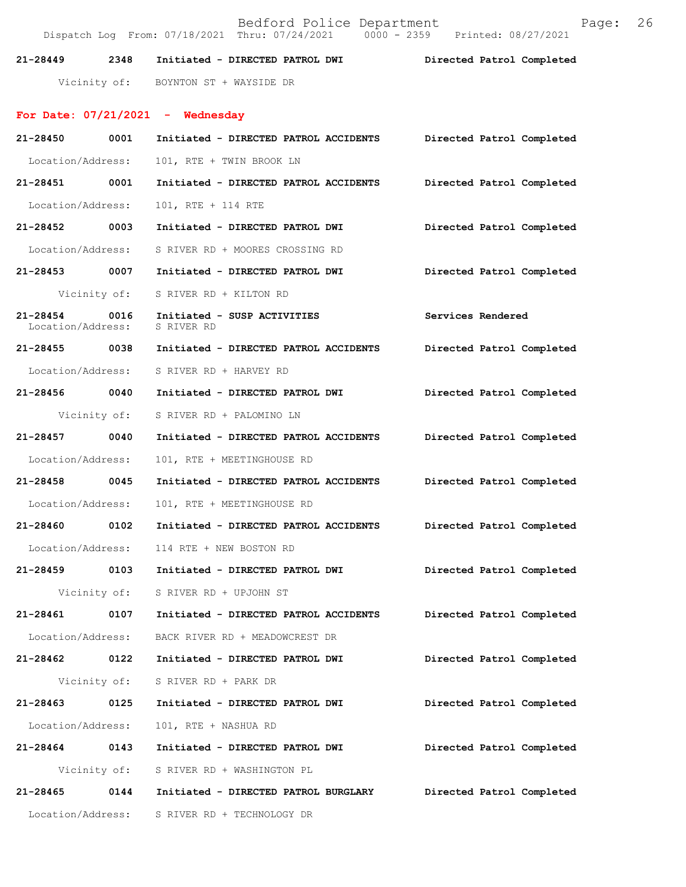**21-28449 2348 Initiated - DIRECTED PATROL DWI Directed Patrol Completed**  Vicinity of: BOYNTON ST + WAYSIDE DR **For Date: 07/21/2021 - Wednesday 21-28450 0001 Initiated - DIRECTED PATROL ACCIDENTS Directed Patrol Completed**  Location/Address: 101, RTE + TWIN BROOK LN **21-28451 0001 Initiated - DIRECTED PATROL ACCIDENTS Directed Patrol Completed**  Location/Address: 101, RTE + 114 RTE **21-28452 0003 Initiated - DIRECTED PATROL DWI Directed Patrol Completed**  Location/Address: S RIVER RD + MOORES CROSSING RD **21-28453 0007 Initiated - DIRECTED PATROL DWI Directed Patrol Completed**  Vicinity of: S RIVER RD + KILTON RD **21-28454 0016 Initiated - SUSP ACTIVITIES Services Rendered**  Location/Address: S RIVER RD **21-28455 0038 Initiated - DIRECTED PATROL ACCIDENTS Directed Patrol Completed**  Location/Address: S RIVER RD + HARVEY RD **21-28456 0040 Initiated - DIRECTED PATROL DWI Directed Patrol Completed**  Vicinity of: S RIVER RD + PALOMINO LN **21-28457 0040 Initiated - DIRECTED PATROL ACCIDENTS Directed Patrol Completed**  Location/Address: 101, RTE + MEETINGHOUSE RD **21-28458 0045 Initiated - DIRECTED PATROL ACCIDENTS Directed Patrol Completed**  Location/Address: 101, RTE + MEETINGHOUSE RD **21-28460 0102 Initiated - DIRECTED PATROL ACCIDENTS Directed Patrol Completed**  Location/Address: 114 RTE + NEW BOSTON RD **21-28459 0103 Initiated - DIRECTED PATROL DWI Directed Patrol Completed**  Vicinity of: S RIVER RD + UPJOHN ST **21-28461 0107 Initiated - DIRECTED PATROL ACCIDENTS Directed Patrol Completed**  Location/Address: BACK RIVER RD + MEADOWCREST DR **21-28462 0122 Initiated - DIRECTED PATROL DWI Directed Patrol Completed**  Vicinity of: S RIVER RD + PARK DR **21-28463 0125 Initiated - DIRECTED PATROL DWI Directed Patrol Completed**  Location/Address: 101, RTE + NASHUA RD **21-28464 0143 Initiated - DIRECTED PATROL DWI Directed Patrol Completed**  Vicinity of: S RIVER RD + WASHINGTON PL **21-28465 0144 Initiated - DIRECTED PATROL BURGLARY Directed Patrol Completed** 

Dispatch Log From: 07/18/2021 Thru: 07/24/2021 0000 - 2359

Location/Address: S RIVER RD + TECHNOLOGY DR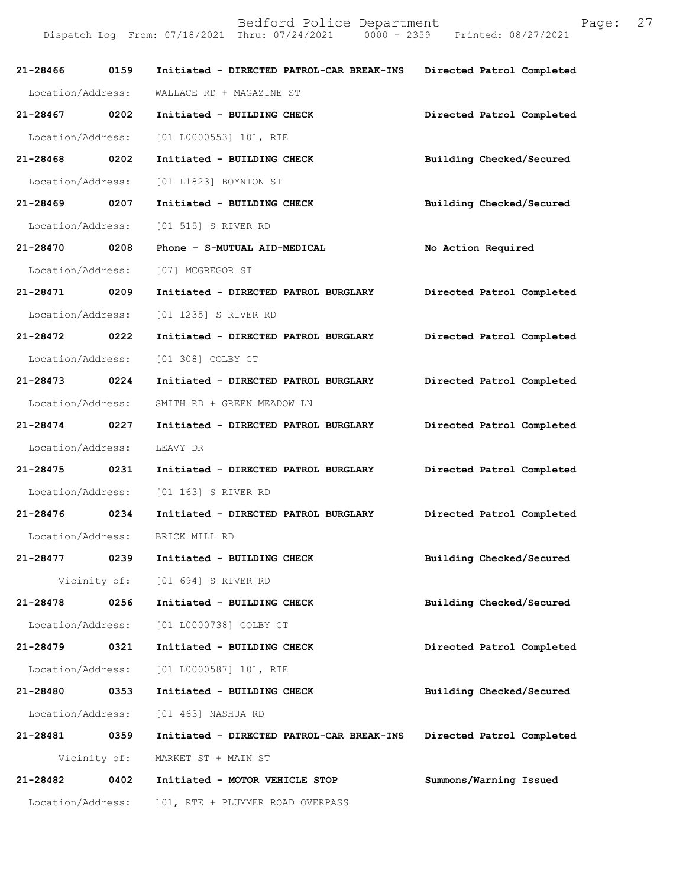| aqe: |  |
|------|--|
|      |  |

| 21-28466 0159     |      | Initiated - DIRECTED PATROL-CAR BREAK-INS | Directed Patrol Completed |
|-------------------|------|-------------------------------------------|---------------------------|
| Location/Address: |      | WALLACE RD + MAGAZINE ST                  |                           |
| 21-28467 0202     |      | Initiated - BUILDING CHECK                | Directed Patrol Completed |
| Location/Address: |      | $[01 L0000553] 101$ , RTE                 |                           |
| 21-28468 0202     |      | Initiated - BUILDING CHECK                | Building Checked/Secured  |
| Location/Address: |      | [01 L1823] BOYNTON ST                     |                           |
| 21-28469 0207     |      | Initiated - BUILDING CHECK                | Building Checked/Secured  |
|                   |      | Location/Address: [01 515] S RIVER RD     |                           |
| 21-28470 0208     |      | Phone - S-MUTUAL AID-MEDICAL              | No Action Required        |
| Location/Address: |      | [07] MCGREGOR ST                          |                           |
| 21-28471 0209     |      | Initiated - DIRECTED PATROL BURGLARY      | Directed Patrol Completed |
| Location/Address: |      | [01 1235] S RIVER RD                      |                           |
| 21-28472 0222     |      | Initiated - DIRECTED PATROL BURGLARY      | Directed Patrol Completed |
| Location/Address: |      | [01 308] COLBY CT                         |                           |
| 21-28473 0224     |      | Initiated - DIRECTED PATROL BURGLARY      | Directed Patrol Completed |
| Location/Address: |      | SMITH RD + GREEN MEADOW LN                |                           |
| 21-28474 0227     |      | Initiated - DIRECTED PATROL BURGLARY      | Directed Patrol Completed |
| Location/Address: |      | LEAVY DR                                  |                           |
| 21-28475 0231     |      | Initiated - DIRECTED PATROL BURGLARY      | Directed Patrol Completed |
|                   |      | Location/Address: [01 163] S RIVER RD     |                           |
| 21-28476 0234     |      | Initiated - DIRECTED PATROL BURGLARY      | Directed Patrol Completed |
|                   |      | Location/Address: BRICK MILL RD           |                           |
| 21-28477          | 0239 | Initiated - BUILDING CHECK                | Building Checked/Secured  |
|                   |      | Vicinity of: [01 694] S RIVER RD          |                           |
| 21-28478          | 0256 | Initiated - BUILDING CHECK                | Building Checked/Secured  |
| Location/Address: |      | [01 L0000738] COLBY CT                    |                           |
| 21-28479          | 0321 | Initiated - BUILDING CHECK                | Directed Patrol Completed |
| Location/Address: |      | [01 L0000587] 101, RTE                    |                           |
| 21-28480          | 0353 | Initiated - BUILDING CHECK                | Building Checked/Secured  |
| Location/Address: |      | [01 463] NASHUA RD                        |                           |
| 21-28481 0359     |      | Initiated - DIRECTED PATROL-CAR BREAK-INS | Directed Patrol Completed |
| Vicinity of:      |      | MARKET ST + MAIN ST                       |                           |
| 21-28482          | 0402 | Initiated - MOTOR VEHICLE STOP            | Summons/Warning Issued    |
| Location/Address: |      | 101, RTE + PLUMMER ROAD OVERPASS          |                           |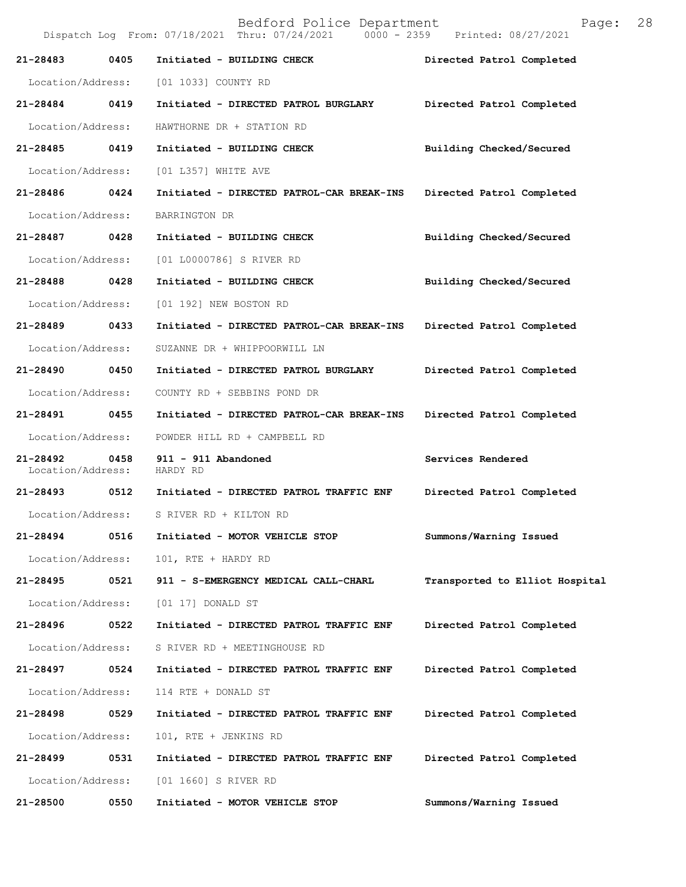|                               |      | Bedford Police Department<br>Dispatch Log From: 07/18/2021 Thru: 07/24/2021 0000 - 2359 Printed: 08/27/2021 | 28<br>Page:                    |
|-------------------------------|------|-------------------------------------------------------------------------------------------------------------|--------------------------------|
| 21-28483                      | 0405 | Initiated - BUILDING CHECK                                                                                  | Directed Patrol Completed      |
| Location/Address:             |      | [01 1033] COUNTY RD                                                                                         |                                |
| 21-28484                      | 0419 | Initiated - DIRECTED PATROL BURGLARY                                                                        | Directed Patrol Completed      |
| Location/Address:             |      | HAWTHORNE DR + STATION RD                                                                                   |                                |
| 21-28485                      | 0419 | Initiated - BUILDING CHECK                                                                                  | Building Checked/Secured       |
| Location/Address:             |      | [01 L357] WHITE AVE                                                                                         |                                |
| 21-28486                      | 0424 | Initiated - DIRECTED PATROL-CAR BREAK-INS                                                                   | Directed Patrol Completed      |
| Location/Address:             |      | BARRINGTON DR                                                                                               |                                |
| 21-28487                      | 0428 | Initiated - BUILDING CHECK                                                                                  | Building Checked/Secured       |
| Location/Address:             |      | [01 L0000786] S RIVER RD                                                                                    |                                |
| 21-28488                      | 0428 | Initiated - BUILDING CHECK                                                                                  | Building Checked/Secured       |
| Location/Address:             |      | [01 192] NEW BOSTON RD                                                                                      |                                |
| 21-28489                      | 0433 | Initiated - DIRECTED PATROL-CAR BREAK-INS                                                                   | Directed Patrol Completed      |
| Location/Address:             |      | SUZANNE DR + WHIPPOORWILL LN                                                                                |                                |
| 21-28490                      | 0450 | Initiated - DIRECTED PATROL BURGLARY                                                                        | Directed Patrol Completed      |
| Location/Address:             |      | COUNTY RD + SEBBINS POND DR                                                                                 |                                |
| 21-28491                      | 0455 | Initiated - DIRECTED PATROL-CAR BREAK-INS                                                                   | Directed Patrol Completed      |
| Location/Address:             |      | POWDER HILL RD + CAMPBELL RD                                                                                |                                |
| 21-28492<br>Location/Address: | 0458 | 911 - 911 Abandoned<br>HARDY RD                                                                             | Services Rendered              |
| 21-28493                      | 0512 | Initiated - DIRECTED PATROL TRAFFIC ENF                                                                     | Directed Patrol Completed      |
| Location/Address:             |      | S RIVER RD + KILTON RD                                                                                      |                                |
| 21-28494                      | 0516 | Initiated - MOTOR VEHICLE STOP                                                                              | Summons/Warning Issued         |
| Location/Address:             |      | 101, RTE + HARDY RD                                                                                         |                                |
| 21-28495                      | 0521 | 911 - S-EMERGENCY MEDICAL CALL-CHARL                                                                        | Transported to Elliot Hospital |
| Location/Address:             |      | [01 17] DONALD ST                                                                                           |                                |
| 21-28496                      | 0522 | Initiated - DIRECTED PATROL TRAFFIC ENF                                                                     | Directed Patrol Completed      |
| Location/Address:             |      | S RIVER RD + MEETINGHOUSE RD                                                                                |                                |
| 21-28497                      | 0524 | Initiated - DIRECTED PATROL TRAFFIC ENF                                                                     | Directed Patrol Completed      |
| Location/Address:             |      | 114 RTE + DONALD ST                                                                                         |                                |
| 21-28498                      | 0529 | Initiated - DIRECTED PATROL TRAFFIC ENF                                                                     | Directed Patrol Completed      |
| Location/Address:             |      | 101, RTE + JENKINS RD                                                                                       |                                |
| 21-28499                      | 0531 | Initiated - DIRECTED PATROL TRAFFIC ENF                                                                     | Directed Patrol Completed      |
| Location/Address:             |      | [01 1660] S RIVER RD                                                                                        |                                |
| 21-28500                      | 0550 | Initiated - MOTOR VEHICLE STOP                                                                              | Summons/Warning Issued         |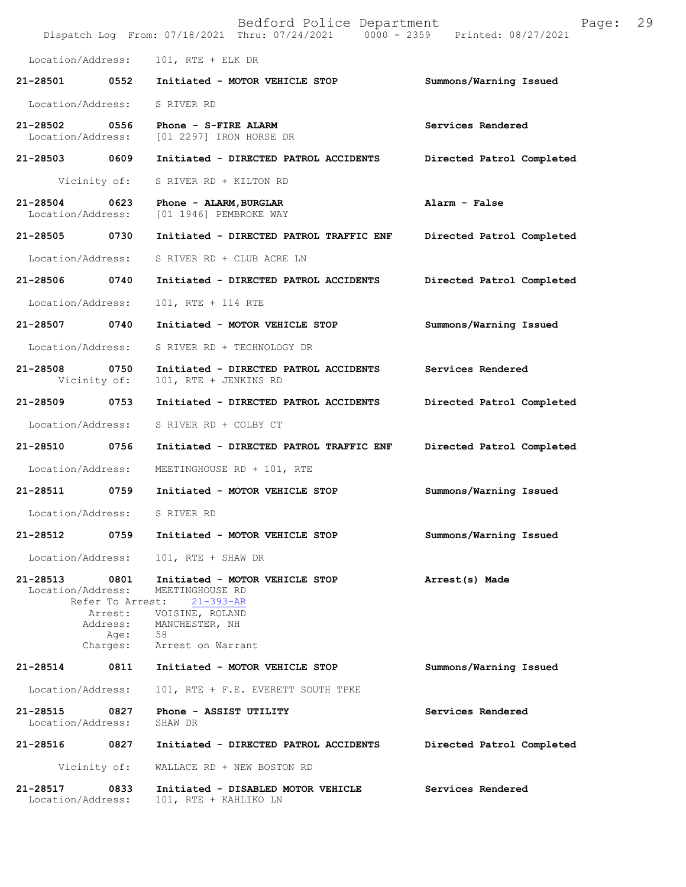|                                    |                  | Bedford Police Department<br>Dispatch Log From: 07/18/2021 Thru: 07/24/2021   0000 - 2359   Printed: 08/27/2021                                                  | Page:                     | 29 |
|------------------------------------|------------------|------------------------------------------------------------------------------------------------------------------------------------------------------------------|---------------------------|----|
| Location/Address:                  |                  | $101$ , RTE + ELK DR                                                                                                                                             |                           |    |
| 21-28501                           | 0552             | Initiated - MOTOR VEHICLE STOP                                                                                                                                   | Summons/Warning Issued    |    |
| Location/Address:                  |                  | S RIVER RD                                                                                                                                                       |                           |    |
| 21-28502 0556<br>Location/Address: |                  | Phone - S-FIRE ALARM<br>[01 2297] IRON HORSE DR                                                                                                                  | Services Rendered         |    |
| 21-28503 0609                      |                  | Initiated - DIRECTED PATROL ACCIDENTS                                                                                                                            | Directed Patrol Completed |    |
|                                    | Vicinity of:     | S RIVER RD + KILTON RD                                                                                                                                           |                           |    |
| 21-28504<br>Location/Address:      | 0623             | Phone - ALARM, BURGLAR<br>[01 1946] PEMBROKE WAY                                                                                                                 | Alarm - False             |    |
| 21-28505 0730                      |                  | Initiated - DIRECTED PATROL TRAFFIC ENF                                                                                                                          | Directed Patrol Completed |    |
| Location/Address:                  |                  | S RIVER RD + CLUB ACRE LN                                                                                                                                        |                           |    |
| 21-28506                           | 0740             | Initiated - DIRECTED PATROL ACCIDENTS                                                                                                                            | Directed Patrol Completed |    |
| Location/Address:                  |                  | 101, RTE + 114 RTE                                                                                                                                               |                           |    |
| 21-28507 0740                      |                  | Initiated - MOTOR VEHICLE STOP                                                                                                                                   | Summons/Warning Issued    |    |
| Location/Address:                  |                  | S RIVER RD + TECHNOLOGY DR                                                                                                                                       |                           |    |
| 21-28508 0750                      | Vicinity of:     | Initiated - DIRECTED PATROL ACCIDENTS<br>101, RTE + JENKINS RD                                                                                                   | Services Rendered         |    |
| 21-28509                           | 0753             | Initiated - DIRECTED PATROL ACCIDENTS                                                                                                                            | Directed Patrol Completed |    |
| Location/Address:                  |                  | S RIVER RD + COLBY CT                                                                                                                                            |                           |    |
| 21-28510 0756                      |                  | Initiated - DIRECTED PATROL TRAFFIC ENF                                                                                                                          | Directed Patrol Completed |    |
| Location/Address:                  |                  | MEETINGHOUSE RD + 101, RTE                                                                                                                                       |                           |    |
| 21-28511 0759                      |                  | Initiated - MOTOR VEHICLE STOP                                                                                                                                   | Summons/Warning Issued    |    |
| Location/Address:                  |                  | S RIVER RD                                                                                                                                                       |                           |    |
| 21-28512                           | 0759             | Initiated - MOTOR VEHICLE STOP                                                                                                                                   | Summons/Warning Issued    |    |
| Location/Address:                  |                  | 101, RTE + SHAW DR                                                                                                                                               |                           |    |
| 21-28513 0801<br>Location/Address: | Address:<br>Age: | Initiated - MOTOR VEHICLE STOP<br>MEETINGHOUSE RD<br>Refer To Arrest: 21-393-AR<br>Arrest: VOISINE, ROLAND<br>MANCHESTER, NH<br>58<br>Charges: Arrest on Warrant | Arrest(s) Made            |    |
| 21-28514                           |                  | 0811 Initiated - MOTOR VEHICLE STOP                                                                                                                              | Summons/Warning Issued    |    |
| Location/Address:                  |                  | 101, RTE + F.E. EVERETT SOUTH TPKE                                                                                                                               |                           |    |
| 21-28515 0827<br>Location/Address: |                  | Phone - ASSIST UTILITY<br>SHAW DR                                                                                                                                | Services Rendered         |    |
| 21-28516                           | 0827             | Initiated - DIRECTED PATROL ACCIDENTS                                                                                                                            | Directed Patrol Completed |    |
|                                    | Vicinity of:     | WALLACE RD + NEW BOSTON RD                                                                                                                                       |                           |    |
| 21-28517<br>Location/Address:      | 0833             | Initiated - DISABLED MOTOR VEHICLE<br>101, RTE + KAHLIKO LN                                                                                                      | Services Rendered         |    |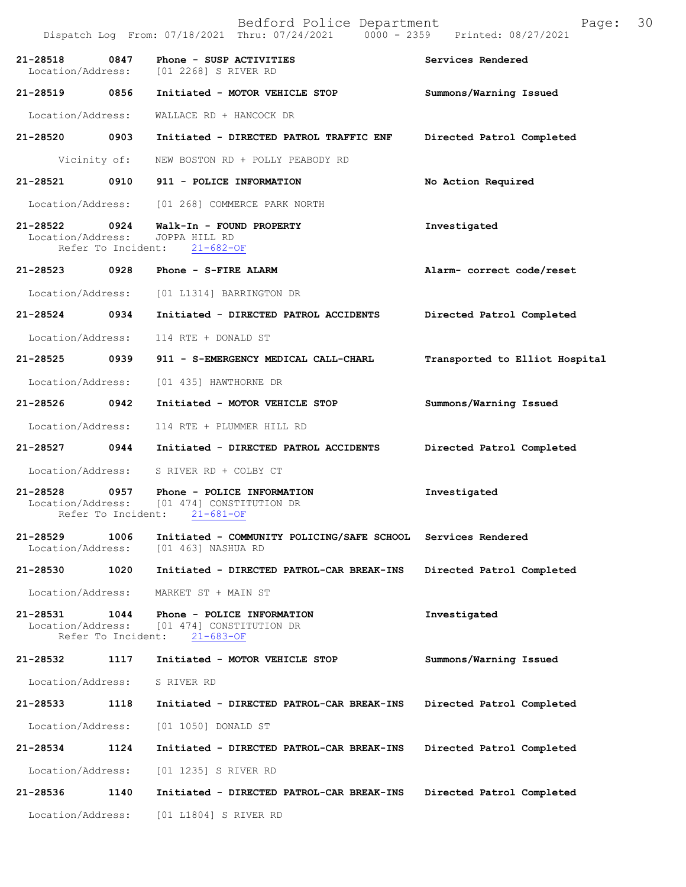|                                    |                            | Dispatch Log From: 07/18/2021 Thru: 07/24/2021<br>$0000 - 2359$                             | Printed: 08/27/2021            |
|------------------------------------|----------------------------|---------------------------------------------------------------------------------------------|--------------------------------|
| 21-28518<br>Location/Address:      | 0847                       | Phone - SUSP ACTIVITIES<br>[01 2268] S RIVER RD                                             | Services Rendered              |
| 21-28519 0856                      |                            | Initiated - MOTOR VEHICLE STOP                                                              | Summons/Warning Issued         |
| Location/Address:                  |                            | WALLACE RD + HANCOCK DR                                                                     |                                |
| 21-28520                           | 0903                       | Initiated - DIRECTED PATROL TRAFFIC ENF                                                     | Directed Patrol Completed      |
|                                    | Vicinity of:               | NEW BOSTON RD + POLLY PEABODY RD                                                            |                                |
| 21-28521                           | 0910                       | 911 - POLICE INFORMATION                                                                    | No Action Required             |
| Location/Address:                  |                            | [01 268] COMMERCE PARK NORTH                                                                |                                |
| 21-28522 0924<br>Location/Address: | Refer To Incident:         | Walk-In - FOUND PROPERTY<br>JOPPA HILL RD<br>$21 - 682 - OF$                                | Investigated                   |
| 21-28523                           | 0928                       | Phone - S-FIRE ALARM                                                                        | Alarm- correct code/reset      |
| Location/Address:                  |                            | [01 L1314] BARRINGTON DR                                                                    |                                |
| 21-28524                           | 0934                       | Initiated - DIRECTED PATROL ACCIDENTS                                                       | Directed Patrol Completed      |
| Location/Address:                  |                            | 114 RTE + DONALD ST                                                                         |                                |
| 21-28525                           | 0939                       | 911 - S-EMERGENCY MEDICAL CALL-CHARL                                                        | Transported to Elliot Hospital |
| Location/Address:                  |                            | [01 435] HAWTHORNE DR                                                                       |                                |
| 21-28526                           | 0942                       | Initiated - MOTOR VEHICLE STOP                                                              | Summons/Warning Issued         |
| Location/Address:                  |                            | 114 RTE + PLUMMER HILL RD                                                                   |                                |
| 21-28527                           | 0944                       | Initiated - DIRECTED PATROL ACCIDENTS                                                       | Directed Patrol Completed      |
| Location/Address:                  |                            | S RIVER RD + COLBY CT                                                                       |                                |
| $21 - 28528$                       | 0957<br>Refer To Incident: | Phone - POLICE INFORMATION<br>Location/Address: [01 474] CONSTITUTION DR<br>$21 - 681 - OF$ | Investigated                   |
| 21-28529<br>Location/Address:      | 1006                       | Initiated - COMMUNITY POLICING/SAFE SCHOOL<br>[01 463] NASHUA RD                            | Services Rendered              |
| 21-28530                           | 1020                       | Initiated - DIRECTED PATROL-CAR BREAK-INS                                                   | Directed Patrol Completed      |
| Location/Address:                  |                            | MARKET ST + MAIN ST                                                                         |                                |
| 21-28531<br>Location/Address:      | 1044<br>Refer To Incident: | Phone - POLICE INFORMATION<br>[01 474] CONSTITUTION DR<br>$21 - 683 - OF$                   | Investigated                   |
| 21-28532                           | 1117                       | Initiated - MOTOR VEHICLE STOP                                                              | Summons/Warning Issued         |
| Location/Address:                  |                            | S RIVER RD                                                                                  |                                |
| 21-28533                           | 1118                       | Initiated - DIRECTED PATROL-CAR BREAK-INS                                                   | Directed Patrol Completed      |
| Location/Address:                  |                            | [01 1050] DONALD ST                                                                         |                                |
| 21-28534                           | 1124                       | Initiated - DIRECTED PATROL-CAR BREAK-INS                                                   | Directed Patrol Completed      |
| Location/Address:                  |                            | [01 1235] S RIVER RD                                                                        |                                |
| 21-28536                           | 1140                       | Initiated - DIRECTED PATROL-CAR BREAK-INS                                                   | Directed Patrol Completed      |
| Location/Address:                  |                            | [01 L1804] S RIVER RD                                                                       |                                |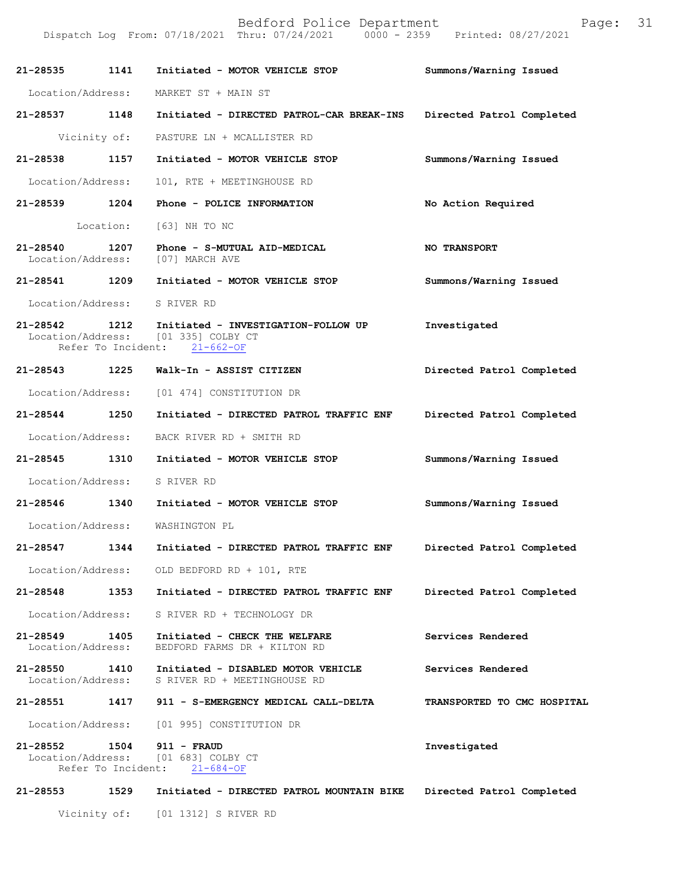| 21-28535                      | 1141               | Initiated - MOTOR VEHICLE STOP                                                                | Summons/Warning Issued      |
|-------------------------------|--------------------|-----------------------------------------------------------------------------------------------|-----------------------------|
| Location/Address:             |                    | MARKET ST + MAIN ST                                                                           |                             |
| 21-28537 1148                 |                    | Initiated - DIRECTED PATROL-CAR BREAK-INS                                                     | Directed Patrol Completed   |
| Vicinity of:                  |                    | PASTURE LN + MCALLISTER RD                                                                    |                             |
| 21-28538                      | 1157               | Initiated - MOTOR VEHICLE STOP                                                                | Summons/Warning Issued      |
| Location/Address:             |                    | 101, RTE + MEETINGHOUSE RD                                                                    |                             |
| 21-28539 1204                 |                    | Phone - POLICE INFORMATION                                                                    | No Action Required          |
|                               | Location:          | [63] NH TO NC                                                                                 |                             |
| 21-28540<br>Location/Address: | 1207               | Phone - S-MUTUAL AID-MEDICAL<br>[07] MARCH AVE                                                | <b>NO TRANSPORT</b>         |
| 21-28541 1209                 |                    | Initiated - MOTOR VEHICLE STOP                                                                | Summons/Warning Issued      |
| Location/Address:             |                    | S RIVER RD                                                                                    |                             |
| 21-28542 1212                 | Refer To Incident: | Initiated - INVESTIGATION-FOLLOW UP<br>Location/Address: [01 335] COLBY CT<br>$21 - 662 - OF$ | Investigated                |
| 21-28543 1225                 |                    | Walk-In - ASSIST CITIZEN                                                                      | Directed Patrol Completed   |
| Location/Address:             |                    | [01 474] CONSTITUTION DR                                                                      |                             |
| 21-28544 1250                 |                    | Initiated - DIRECTED PATROL TRAFFIC ENF                                                       | Directed Patrol Completed   |
| Location/Address:             |                    | BACK RIVER RD + SMITH RD                                                                      |                             |
| 21-28545 1310                 |                    | Initiated - MOTOR VEHICLE STOP                                                                | Summons/Warning Issued      |
| Location/Address:             |                    | S RIVER RD                                                                                    |                             |
| 21-28546 1340                 |                    | Initiated - MOTOR VEHICLE STOP                                                                | Summons/Warning Issued      |
| Location/Address:             |                    | WASHINGTON PL                                                                                 |                             |
| 21-28547                      | 1344               | Initiated - DIRECTED PATROL TRAFFIC ENF                                                       | Directed Patrol Completed   |
|                               |                    | Location/Address: OLD BEDFORD RD + 101, RTE                                                   |                             |
| 21-28548                      | 1353               | Initiated - DIRECTED PATROL TRAFFIC ENF                                                       | Directed Patrol Completed   |
| Location/Address:             |                    | S RIVER RD + TECHNOLOGY DR                                                                    |                             |
| 21-28549<br>Location/Address: | 1405               | Initiated - CHECK THE WELFARE<br>BEDFORD FARMS DR + KILTON RD                                 | Services Rendered           |
| 21-28550<br>Location/Address: | 1410               | Initiated - DISABLED MOTOR VEHICLE<br>S RIVER RD + MEETINGHOUSE RD                            | Services Rendered           |
| 21-28551                      | 1417               | 911 - S-EMERGENCY MEDICAL CALL-DELTA                                                          | TRANSPORTED TO CMC HOSPITAL |
| Location/Address:             |                    | [01 995] CONSTITUTION DR                                                                      |                             |
| 21-28552                      | 1504               | $911 - FRAUD$<br>Location/Address: [01 683] COLBY CT<br>Refer To Incident: 21-684-OF          | Investigated                |
| 21-28553                      | 1529               | Initiated - DIRECTED PATROL MOUNTAIN BIKE                                                     | Directed Patrol Completed   |
| Vicinity of:                  |                    | [01 1312] S RIVER RD                                                                          |                             |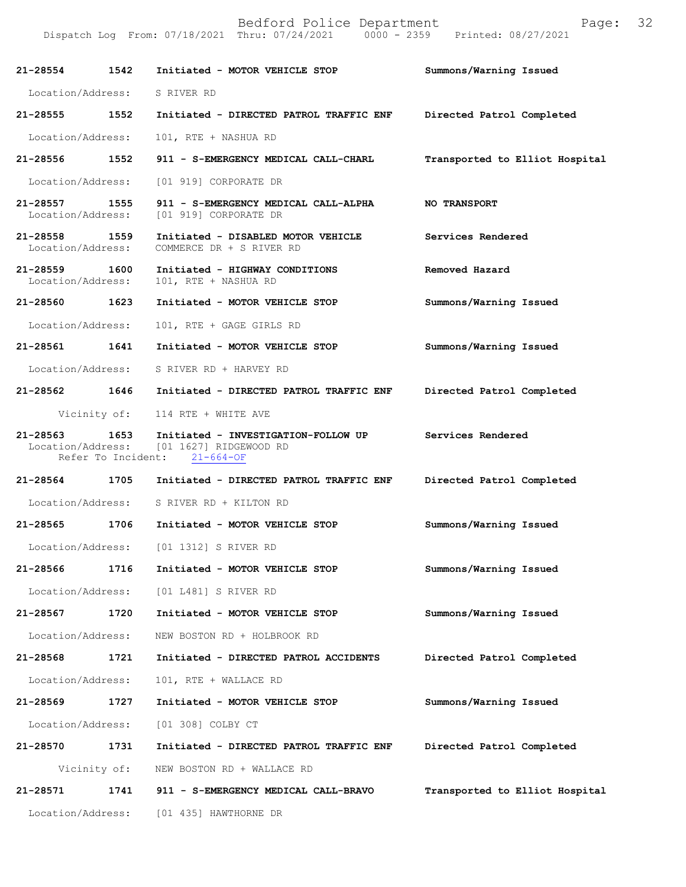| 21-28554                           | 1542                       | Initiated - MOTOR VEHICLE STOP                                                                     | Summons/Warning Issued         |
|------------------------------------|----------------------------|----------------------------------------------------------------------------------------------------|--------------------------------|
| Location/Address:                  |                            | S RIVER RD                                                                                         |                                |
| 21-28555                           | 1552                       | Initiated - DIRECTED PATROL TRAFFIC ENF                                                            | Directed Patrol Completed      |
| Location/Address:                  |                            | 101, RTE + NASHUA RD                                                                               |                                |
| 21-28556                           | 1552                       | 911 - S-EMERGENCY MEDICAL CALL-CHARL                                                               | Transported to Elliot Hospital |
| Location/Address:                  |                            | [01 919] CORPORATE DR                                                                              |                                |
| 21-28557 1555<br>Location/Address: |                            | 911 - S-EMERGENCY MEDICAL CALL-ALPHA<br>[01 919] CORPORATE DR                                      | <b>NO TRANSPORT</b>            |
| 21-28558 1559<br>Location/Address: |                            | Initiated - DISABLED MOTOR VEHICLE<br>COMMERCE DR + S RIVER RD                                     | Services Rendered              |
| 21-28559<br>Location/Address:      | 1600                       | Initiated - HIGHWAY CONDITIONS<br>101, RTE + NASHUA RD                                             | Removed Hazard                 |
| 21-28560 1623                      |                            | Initiated - MOTOR VEHICLE STOP                                                                     | Summons/Warning Issued         |
| Location/Address:                  |                            | 101, RTE + GAGE GIRLS RD                                                                           |                                |
| 21-28561                           | 1641                       | Initiated - MOTOR VEHICLE STOP                                                                     | Summons/Warning Issued         |
| Location/Address:                  |                            | S RIVER RD + HARVEY RD                                                                             |                                |
| 21-28562                           | 1646                       | Initiated - DIRECTED PATROL TRAFFIC ENF                                                            | Directed Patrol Completed      |
|                                    | Vicinity of:               | 114 RTE + WHITE AVE                                                                                |                                |
| 21-28563                           | 1653<br>Refer To Incident: | Initiated - INVESTIGATION-FOLLOW UP<br>Location/Address: [01 1627] RIDGEWOOD RD<br>$21 - 664 - OF$ | Services Rendered              |
| 21-28564                           | 1705                       | Initiated - DIRECTED PATROL TRAFFIC ENF                                                            | Directed Patrol Completed      |
| Location/Address:                  |                            | S RIVER RD + KILTON RD                                                                             |                                |
| 21-28565                           | 1706                       | Initiated - MOTOR VEHICLE STOP                                                                     | Summons/Warning Issued         |
| Location/Address:                  |                            | [01 1312] S RIVER RD                                                                               |                                |
| 21-28566                           | 1716                       | Initiated - MOTOR VEHICLE STOP                                                                     | Summons/Warning Issued         |
| Location/Address:                  |                            | [01 L481] S RIVER RD                                                                               |                                |
| 21-28567                           | 1720                       | Initiated - MOTOR VEHICLE STOP                                                                     | Summons/Warning Issued         |
| Location/Address:                  |                            | NEW BOSTON RD + HOLBROOK RD                                                                        |                                |
| 21-28568                           | 1721                       | Initiated - DIRECTED PATROL ACCIDENTS                                                              | Directed Patrol Completed      |
| Location/Address:                  |                            | 101, RTE + WALLACE RD                                                                              |                                |
| 21-28569                           | 1727                       | Initiated - MOTOR VEHICLE STOP                                                                     | Summons/Warning Issued         |
| Location/Address:                  |                            | [01 308] COLBY CT                                                                                  |                                |
| 21-28570                           | 1731                       | Initiated - DIRECTED PATROL TRAFFIC ENF                                                            | Directed Patrol Completed      |
|                                    | Vicinity of:               | NEW BOSTON RD + WALLACE RD                                                                         |                                |
| 21-28571                           | 1741                       | 911 - S-EMERGENCY MEDICAL CALL-BRAVO                                                               | Transported to Elliot Hospital |
| Location/Address:                  |                            | [01 435] HAWTHORNE DR                                                                              |                                |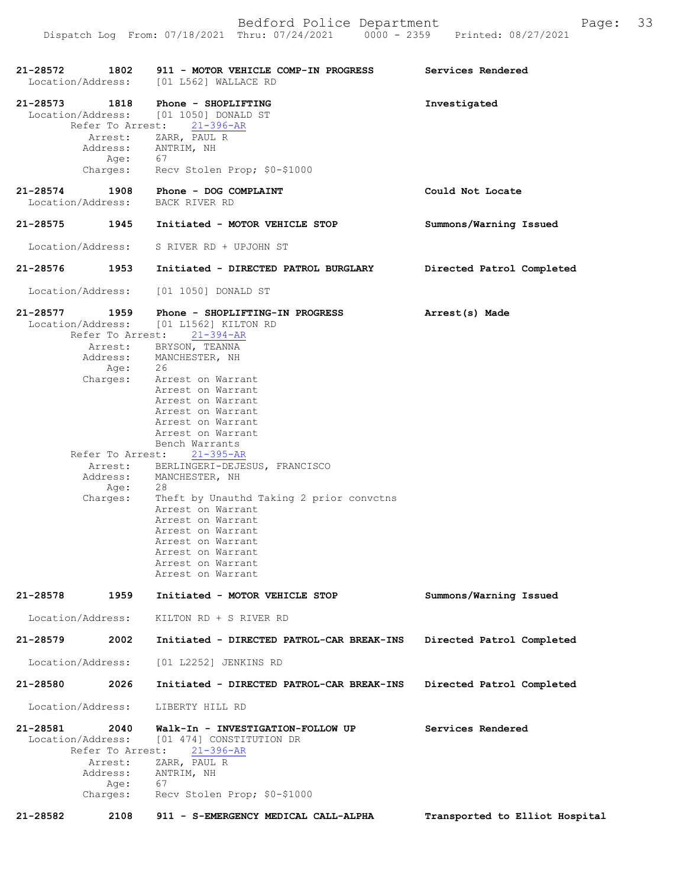Dispatch Log From: 07/18/2021 Thru: 07/24/2021 0000 - 2359 Printed: 08/27/2021

|                                 |                                                 | 21-28572 1802 911 - MOTOR VEHICLE COMP-IN PROGRESS                                                             | Services Rendered              |
|---------------------------------|-------------------------------------------------|----------------------------------------------------------------------------------------------------------------|--------------------------------|
|                                 |                                                 | Location/Address: [01 L562] WALLACE RD                                                                         |                                |
|                                 |                                                 | 21-28573 1818 Phone - SHOPLIFTING<br>Location/Address: [01 1050] DONALD ST<br>Refer To Arrest: 21-396-AR       | Investigated                   |
|                                 | Age: 67                                         | Arrest: ZARR, PAUL R<br>Address: ANTRIM, NH                                                                    |                                |
|                                 |                                                 | Charges: Recv Stolen Prop; \$0-\$1000                                                                          |                                |
| Location/Address: BACK RIVER RD |                                                 | 21-28574 1908 Phone - DOG COMPLAINT                                                                            | Could Not Locate               |
| 21-28575                        |                                                 | 1945 Initiated - MOTOR VEHICLE STOP                                                                            | Summons/Warning Issued         |
| Location/Address:               |                                                 | S RIVER RD + UPJOHN ST                                                                                         |                                |
| 21-28576 1953                   |                                                 | Initiated - DIRECTED PATROL BURGLARY                                                                           | Directed Patrol Completed      |
|                                 |                                                 | Location/Address: [01 1050] DONALD ST                                                                          |                                |
| 21-28577 1959                   |                                                 | Phone - SHOPLIFTING-IN PROGRESS<br>Location/Address: [01 L1562] KILTON RD<br>Refer To Arrest: 21-394-AR        | Arrest(s) Made                 |
|                                 |                                                 | Arrest: BRYSON, TEANNA<br>Address: MANCHESTER, NH<br>Age: 26                                                   |                                |
|                                 |                                                 | Charges: Arrest on Warrant<br>Arrest on Warrant                                                                |                                |
|                                 |                                                 | Arrest on Warrant<br>Arrest on Warrant                                                                         |                                |
|                                 |                                                 | Arrest on Warrant                                                                                              |                                |
|                                 |                                                 | Arrest on Warrant<br>Bench Warrants                                                                            |                                |
|                                 |                                                 | Refer To Arrest: 21-395-AR<br>Arrest: BERLINGERI-DEJESUS, FRANCISCO                                            |                                |
|                                 | 28<br>Age:                                      | Address: MANCHESTER, NH                                                                                        |                                |
| Charges:                        |                                                 | Theft by Unauthd Taking 2 prior convctns                                                                       |                                |
|                                 |                                                 | Arrest on Warrant<br>Arrest on Warrant                                                                         |                                |
|                                 |                                                 | Arrest on Warrant                                                                                              |                                |
|                                 |                                                 | Arrest on Warrant<br>Arrest on Warrant                                                                         |                                |
|                                 |                                                 | Arrest on Warrant                                                                                              |                                |
|                                 |                                                 | Arrest on Warrant                                                                                              |                                |
| $21 - 28578$                    | 1959                                            | Initiated - MOTOR VEHICLE STOP                                                                                 | Summons/Warning Issued         |
| Location/Address:               |                                                 | KILTON RD + S RIVER RD                                                                                         |                                |
| 21-28579                        | 2002                                            | Initiated - DIRECTED PATROL-CAR BREAK-INS                                                                      | Directed Patrol Completed      |
| Location/Address:               |                                                 | [01 L2252] JENKINS RD                                                                                          |                                |
| 21-28580                        | 2026                                            | Initiated - DIRECTED PATROL-CAR BREAK-INS                                                                      | Directed Patrol Completed      |
| Location/Address:               |                                                 | LIBERTY HILL RD                                                                                                |                                |
| 21-28581<br>Location/Address:   | 2040<br>Refer To Arrest:<br>Arrest:<br>Address: | Walk-In - INVESTIGATION-FOLLOW UP<br>[01 474] CONSTITUTION DR<br>$21 - 396 - AR$<br>ZARR, PAUL R<br>ANTRIM, NH | Services Rendered              |
| Charges:                        | Age:                                            | 67<br>Recv Stolen Prop; \$0-\$1000                                                                             |                                |
| 21-28582                        | 2108                                            | 911 - S-EMERGENCY MEDICAL CALL-ALPHA                                                                           | Transported to Elliot Hospital |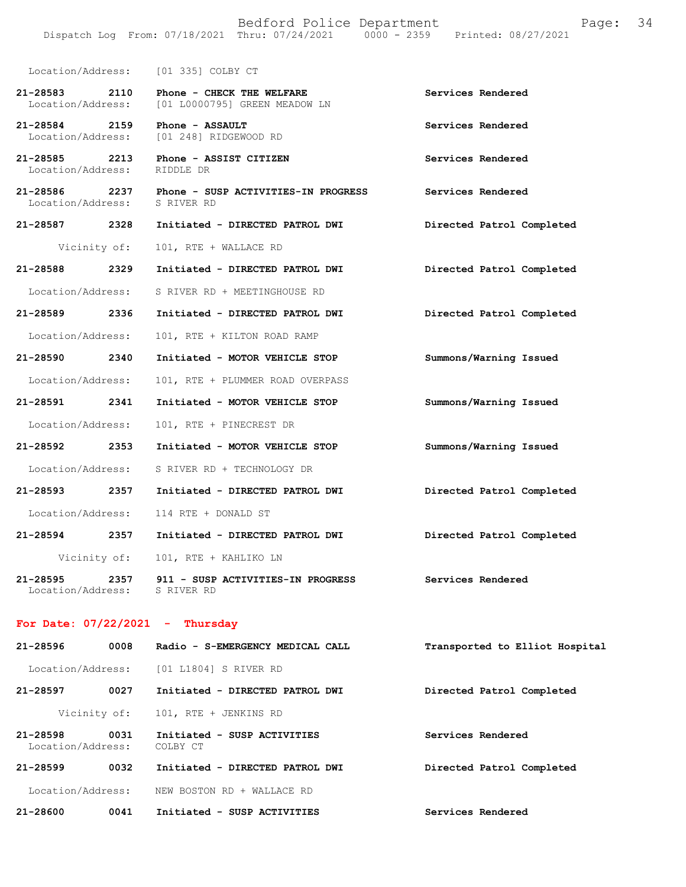|                                    | Location/Address: [01 335] COLBY CT                        |                           |
|------------------------------------|------------------------------------------------------------|---------------------------|
| 21-28583 2110<br>Location/Address: | Phone - CHECK THE WELFARE<br>[01 L0000795] GREEN MEADOW LN | Services Rendered         |
| 21-28584 2159<br>Location/Address: | Phone - ASSAULT<br>[01 248] RIDGEWOOD RD                   | Services Rendered         |
| 21-28585 2213<br>Location/Address: | Phone - ASSIST CITIZEN<br>RIDDLE DR                        | Services Rendered         |
| 21-28586 2237<br>Location/Address: | Phone - SUSP ACTIVITIES-IN PROGRESS<br>S RIVER RD          | Services Rendered         |
| 21-28587 2328                      | Initiated - DIRECTED PATROL DWI                            | Directed Patrol Completed |
| Vicinity of:                       | 101, RTE + WALLACE RD                                      |                           |
| 21–28588 2329                      | Initiated - DIRECTED PATROL DWI                            | Directed Patrol Completed |
| Location/Address:                  | S RIVER RD + MEETINGHOUSE RD                               |                           |
| 21-28589 2336                      | Initiated - DIRECTED PATROL DWI                            | Directed Patrol Completed |
| Location/Address:                  | 101, RTE + KILTON ROAD RAMP                                |                           |
| 21-28590 2340                      | Initiated - MOTOR VEHICLE STOP                             | Summons/Warning Issued    |
| Location/Address:                  | 101, RTE + PLUMMER ROAD OVERPASS                           |                           |
| 21-28591 2341                      | Initiated - MOTOR VEHICLE STOP                             | Summons/Warning Issued    |
| Location/Address:                  | 101, RTE + PINECREST DR                                    |                           |
| 21-28592 2353                      | Initiated - MOTOR VEHICLE STOP                             | Summons/Warning Issued    |
| Location/Address:                  | S RIVER RD + TECHNOLOGY DR                                 |                           |
| 21-28593 2357                      | Initiated - DIRECTED PATROL DWI                            | Directed Patrol Completed |
| Location/Address:                  | 114 RTE + DONALD ST                                        |                           |
| 21-28594 2357                      | Initiated - DIRECTED PATROL DWI                            | Directed Patrol Completed |
| Vicinity of:                       | 101, RTE + KAHLIKO LN                                      |                           |
| 21-28595 2357<br>Location/Address: | 911 - SUSP ACTIVITIES-IN PROGRESS<br>S RIVER RD            | Services Rendered         |

## **For Date: 07/22/2021 - Thursday**

| $21 - 28596$                  | 0008 | Radio - S-EMERGENCY MEDICAL CALL        | Transported to Elliot Hospital |
|-------------------------------|------|-----------------------------------------|--------------------------------|
| Location/Address:             |      | [01 L1804] S RIVER RD                   |                                |
| 21-28597                      | 0027 | Initiated - DIRECTED PATROL DWI         | Directed Patrol Completed      |
| Vicinity of:                  |      | 101, RTE + JENKINS RD                   |                                |
| 21-28598<br>Location/Address: | 0031 | Initiated - SUSP ACTIVITIES<br>COLBY CT | Services Rendered              |
| $21 - 28599$                  | 0032 | Initiated - DIRECTED PATROL DWI         | Directed Patrol Completed      |
| Location/Address:             |      | NEW BOSTON RD + WALLACE RD              |                                |
| 21-28600                      | 0041 | Initiated - SUSP ACTIVITIES             | Services Rendered              |
|                               |      |                                         |                                |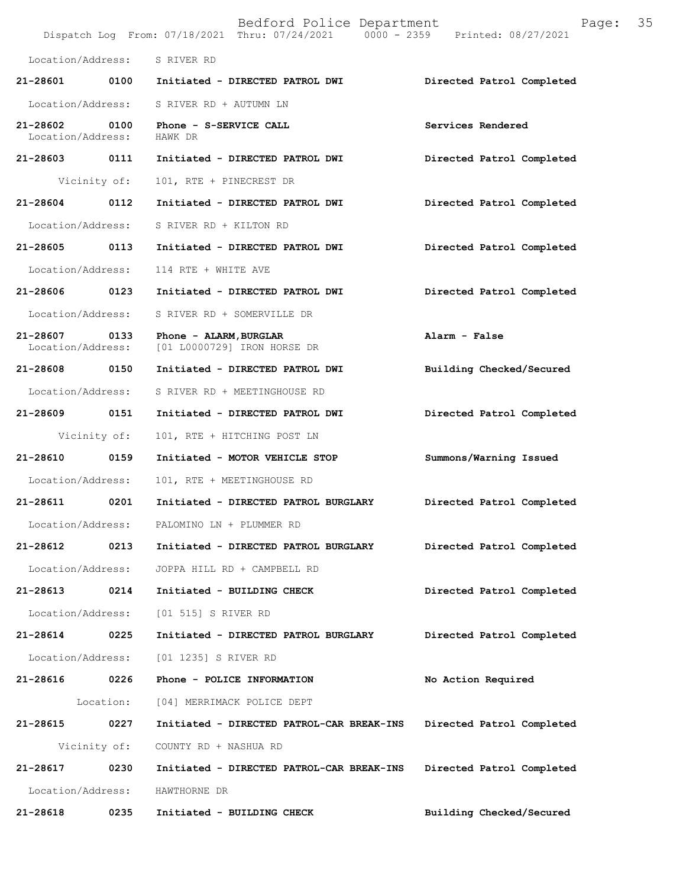|                               |              | Bedford Police Department<br>Dispatch Log From: 07/18/2021 Thru: 07/24/2021 0000 - 2359 Printed: 08/27/2021 | Page:                     | 35 |
|-------------------------------|--------------|-------------------------------------------------------------------------------------------------------------|---------------------------|----|
| Location/Address:             |              | S RIVER RD                                                                                                  |                           |    |
| 21-28601                      | 0100         | Initiated - DIRECTED PATROL DWI                                                                             | Directed Patrol Completed |    |
| Location/Address:             |              | S RIVER RD + AUTUMN LN                                                                                      |                           |    |
| 21-28602<br>Location/Address: | 0100         | Phone - S-SERVICE CALL<br>HAWK DR                                                                           | Services Rendered         |    |
| 21-28603                      | 0111         | Initiated - DIRECTED PATROL DWI                                                                             | Directed Patrol Completed |    |
|                               | Vicinity of: | 101, RTE + PINECREST DR                                                                                     |                           |    |
| 21-28604                      | 0112         | Initiated - DIRECTED PATROL DWI                                                                             | Directed Patrol Completed |    |
| Location/Address:             |              | S RIVER RD + KILTON RD                                                                                      |                           |    |
| 21-28605 0113                 |              | Initiated - DIRECTED PATROL DWI                                                                             | Directed Patrol Completed |    |
| Location/Address:             |              | 114 RTE + WHITE AVE                                                                                         |                           |    |
| 21-28606 0123                 |              | Initiated - DIRECTED PATROL DWI                                                                             | Directed Patrol Completed |    |
| Location/Address:             |              | S RIVER RD + SOMERVILLE DR                                                                                  |                           |    |
| 21-28607<br>Location/Address: | 0133         | Phone - ALARM, BURGLAR<br>[01 L0000729] IRON HORSE DR                                                       | Alarm - False             |    |
| 21-28608 0150                 |              | Initiated - DIRECTED PATROL DWI                                                                             | Building Checked/Secured  |    |
| Location/Address:             |              | S RIVER RD + MEETINGHOUSE RD                                                                                |                           |    |
| 21-28609 0151                 |              | Initiated - DIRECTED PATROL DWI                                                                             | Directed Patrol Completed |    |
|                               | Vicinity of: | 101, RTE + HITCHING POST LN                                                                                 |                           |    |
| 21-28610                      | 0159         | Initiated - MOTOR VEHICLE STOP                                                                              | Summons/Warning Issued    |    |
| Location/Address:             |              | 101, RTE + MEETINGHOUSE RD                                                                                  |                           |    |
| 21-28611                      | 0201         | Initiated - DIRECTED PATROL BURGLARY                                                                        | Directed Patrol Completed |    |
| Location/Address:             |              | PALOMINO LN + PLUMMER RD                                                                                    |                           |    |
| 21-28612                      | 0213         | Initiated - DIRECTED PATROL BURGLARY                                                                        | Directed Patrol Completed |    |
| Location/Address:             |              | JOPPA HILL RD + CAMPBELL RD                                                                                 |                           |    |
| 21-28613                      | 0214         | Initiated - BUILDING CHECK                                                                                  | Directed Patrol Completed |    |
| Location/Address:             |              | [01 515] S RIVER RD                                                                                         |                           |    |
| 21-28614                      | 0225         | Initiated - DIRECTED PATROL BURGLARY                                                                        | Directed Patrol Completed |    |
| Location/Address:             |              | [01 1235] S RIVER RD                                                                                        |                           |    |
| 21-28616                      | 0226         | Phone - POLICE INFORMATION                                                                                  | No Action Required        |    |
|                               | Location:    | [04] MERRIMACK POLICE DEPT                                                                                  |                           |    |
| 21-28615                      | 0227         | Initiated - DIRECTED PATROL-CAR BREAK-INS                                                                   | Directed Patrol Completed |    |
|                               | Vicinity of: | COUNTY RD + NASHUA RD                                                                                       |                           |    |
| 21-28617                      | 0230         | Initiated - DIRECTED PATROL-CAR BREAK-INS                                                                   | Directed Patrol Completed |    |
| Location/Address:             |              | HAWTHORNE DR                                                                                                |                           |    |
| 21-28618                      | 0235         | Initiated - BUILDING CHECK                                                                                  | Building Checked/Secured  |    |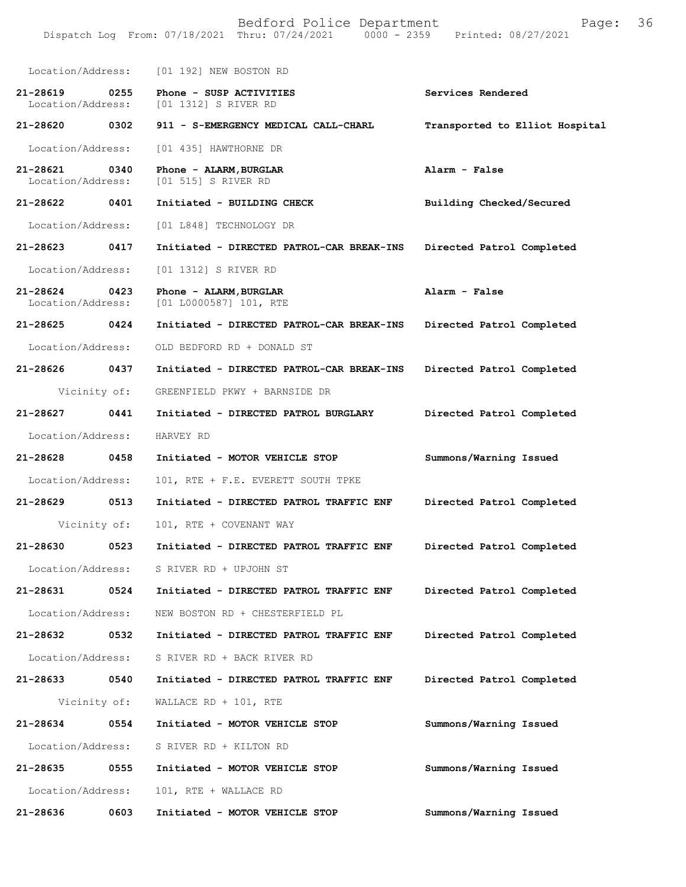|                               |              | Bedford Police Department<br>Dispatch Log From: 07/18/2021 Thru: 07/24/2021 0000 - 2359 | Page:<br>Printed: 08/27/2021   | 36 |
|-------------------------------|--------------|-----------------------------------------------------------------------------------------|--------------------------------|----|
| Location/Address:             |              | [01 192] NEW BOSTON RD                                                                  |                                |    |
| 21-28619<br>Location/Address: | 0255         | Phone - SUSP ACTIVITIES<br>[01 1312] S RIVER RD                                         | Services Rendered              |    |
| 21-28620                      | 0302         | 911 - S-EMERGENCY MEDICAL CALL-CHARL                                                    | Transported to Elliot Hospital |    |
| Location/Address:             |              | [01 435] HAWTHORNE DR                                                                   |                                |    |
| 21-28621<br>Location/Address: | 0340         | Phone - ALARM, BURGLAR<br>[01 515] S RIVER RD                                           | Alarm - False                  |    |
| 21-28622                      | 0401         | Initiated - BUILDING CHECK                                                              | Building Checked/Secured       |    |
| Location/Address:             |              | [01 L848] TECHNOLOGY DR                                                                 |                                |    |
| 21-28623                      | 0417         | Initiated - DIRECTED PATROL-CAR BREAK-INS                                               | Directed Patrol Completed      |    |
| Location/Address:             |              | [01 1312] S RIVER RD                                                                    |                                |    |
| 21-28624<br>Location/Address: | 0423         | Phone - ALARM, BURGLAR<br>[01 L0000587] 101, RTE                                        | Alarm - False                  |    |
| 21-28625                      | 0424         | Initiated - DIRECTED PATROL-CAR BREAK-INS                                               | Directed Patrol Completed      |    |
| Location/Address:             |              | OLD BEDFORD RD + DONALD ST                                                              |                                |    |
| 21-28626                      | 0437         | Initiated - DIRECTED PATROL-CAR BREAK-INS                                               | Directed Patrol Completed      |    |
|                               | Vicinity of: | GREENFIELD PKWY + BARNSIDE DR                                                           |                                |    |
| 21-28627                      | 0441         | Initiated - DIRECTED PATROL BURGLARY                                                    | Directed Patrol Completed      |    |
| Location/Address:             |              | HARVEY RD                                                                               |                                |    |
| 21-28628                      | 0458         | Initiated - MOTOR VEHICLE STOP                                                          | Summons/Warning Issued         |    |
| Location/Address:             |              | 101, RTE + F.E. EVERETT SOUTH TPKE                                                      |                                |    |
| 21-28629                      | 0513         | Initiated - DIRECTED PATROL TRAFFIC ENF                                                 | Directed Patrol Completed      |    |
| Vicinity of:                  |              | 101, RTE + COVENANT WAY                                                                 |                                |    |
| 21-28630                      | 0523         | Initiated - DIRECTED PATROL TRAFFIC ENF                                                 | Directed Patrol Completed      |    |
| Location/Address:             |              | S RIVER RD + UPJOHN ST                                                                  |                                |    |
| 21-28631                      | 0524         | Initiated - DIRECTED PATROL TRAFFIC ENF                                                 | Directed Patrol Completed      |    |
| Location/Address:             |              | NEW BOSTON RD + CHESTERFIELD PL                                                         |                                |    |
| 21-28632                      | 0532         | Initiated - DIRECTED PATROL TRAFFIC ENF                                                 | Directed Patrol Completed      |    |
| Location/Address:             |              | S RIVER RD + BACK RIVER RD                                                              |                                |    |
| 21-28633                      | 0540         | Initiated - DIRECTED PATROL TRAFFIC ENF                                                 | Directed Patrol Completed      |    |
|                               | Vicinity of: | WALLACE RD + 101, RTE                                                                   |                                |    |
| 21-28634                      | 0554         | Initiated - MOTOR VEHICLE STOP                                                          | Summons/Warning Issued         |    |
| Location/Address:             |              | S RIVER RD + KILTON RD                                                                  |                                |    |
| 21-28635                      | 0555         | Initiated - MOTOR VEHICLE STOP                                                          | Summons/Warning Issued         |    |
| Location/Address:             |              | 101, RTE + WALLACE RD                                                                   |                                |    |
| 21-28636                      | 0603         | Initiated - MOTOR VEHICLE STOP                                                          | Summons/Warning Issued         |    |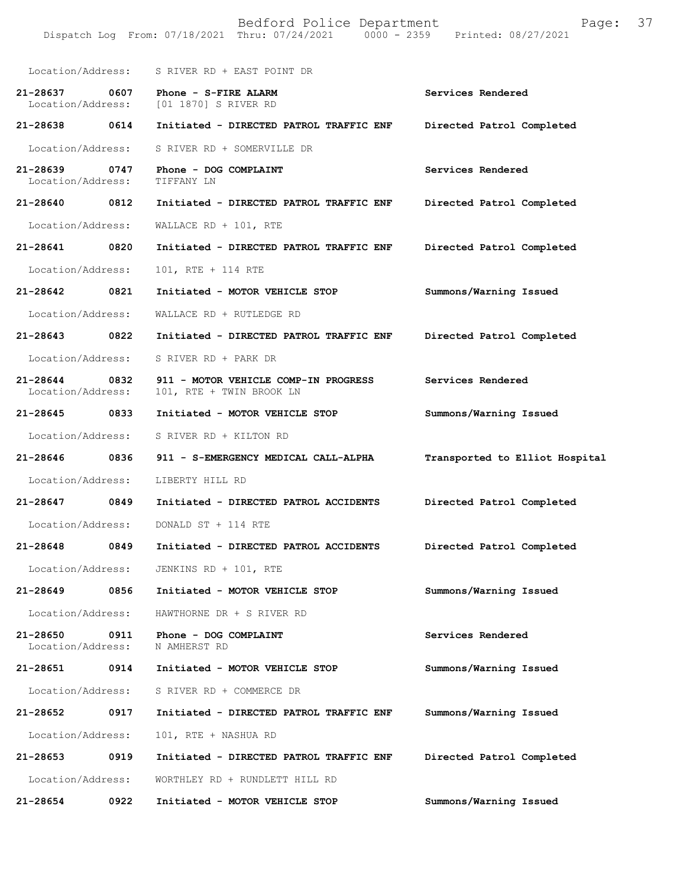|                               |      | Bedford Police Department<br>Dispatch Log From: 07/18/2021 Thru: 07/24/2021 0000 - 2359 Printed: 08/27/2021 | 37<br>Page:                    |
|-------------------------------|------|-------------------------------------------------------------------------------------------------------------|--------------------------------|
| Location/Address:             |      | S RIVER RD + EAST POINT DR                                                                                  |                                |
| 21-28637<br>Location/Address: | 0607 | Phone - S-FIRE ALARM<br>[01 1870] S RIVER RD                                                                | Services Rendered              |
| 21-28638                      | 0614 | Initiated - DIRECTED PATROL TRAFFIC ENF                                                                     | Directed Patrol Completed      |
| Location/Address:             |      | S RIVER RD + SOMERVILLE DR                                                                                  |                                |
| 21-28639<br>Location/Address: | 0747 | Phone - DOG COMPLAINT<br>TIFFANY LN                                                                         | Services Rendered              |
| 21-28640                      | 0812 | Initiated - DIRECTED PATROL TRAFFIC ENF                                                                     | Directed Patrol Completed      |
| Location/Address:             |      | WALLACE RD + $101$ , RTE                                                                                    |                                |
| 21-28641                      | 0820 | Initiated - DIRECTED PATROL TRAFFIC ENF                                                                     | Directed Patrol Completed      |
| Location/Address:             |      | 101, RTE + 114 RTE                                                                                          |                                |
| 21-28642                      | 0821 | Initiated - MOTOR VEHICLE STOP                                                                              | Summons/Warning Issued         |
| Location/Address:             |      | WALLACE RD + RUTLEDGE RD                                                                                    |                                |
| 21-28643                      | 0822 | Initiated - DIRECTED PATROL TRAFFIC ENF                                                                     | Directed Patrol Completed      |
| Location/Address:             |      | S RIVER RD + PARK DR                                                                                        |                                |
| 21-28644<br>Location/Address: | 0832 | 911 - MOTOR VEHICLE COMP-IN PROGRESS<br>101, RTE + TWIN BROOK LN                                            | Services Rendered              |
| 21-28645                      | 0833 | Initiated - MOTOR VEHICLE STOP                                                                              | Summons/Warning Issued         |
| Location/Address:             |      | S RIVER RD + KILTON RD                                                                                      |                                |
| 21-28646                      | 0836 | 911 - S-EMERGENCY MEDICAL CALL-ALPHA                                                                        | Transported to Elliot Hospital |
| Location/Address:             |      | LIBERTY HILL RD                                                                                             |                                |
| 21-28647                      | 0849 | Initiated - DIRECTED PATROL ACCIDENTS                                                                       | Directed Patrol Completed      |
| Location/Address:             |      | DONALD ST + 114 RTE                                                                                         |                                |
| 21-28648                      | 0849 | Initiated - DIRECTED PATROL ACCIDENTS                                                                       | Directed Patrol Completed      |
| Location/Address:             |      | JENKINS RD + 101, RTE                                                                                       |                                |
| 21-28649                      | 0856 | Initiated - MOTOR VEHICLE STOP                                                                              | Summons/Warning Issued         |
| Location/Address:             |      | HAWTHORNE DR + S RIVER RD                                                                                   |                                |
| 21-28650<br>Location/Address: | 0911 | Phone - DOG COMPLAINT<br>N AMHERST RD                                                                       | Services Rendered              |
| 21-28651                      | 0914 | Initiated - MOTOR VEHICLE STOP                                                                              | Summons/Warning Issued         |
| Location/Address:             |      | S RIVER RD + COMMERCE DR                                                                                    |                                |
| 21-28652                      | 0917 | Initiated - DIRECTED PATROL TRAFFIC ENF                                                                     | Summons/Warning Issued         |
| Location/Address:             |      | 101, RTE + NASHUA RD                                                                                        |                                |
| 21-28653                      | 0919 | Initiated - DIRECTED PATROL TRAFFIC ENF                                                                     | Directed Patrol Completed      |
| Location/Address:             |      | WORTHLEY RD + RUNDLETT HILL RD                                                                              |                                |
| 21-28654                      | 0922 | Initiated - MOTOR VEHICLE STOP                                                                              | Summons/Warning Issued         |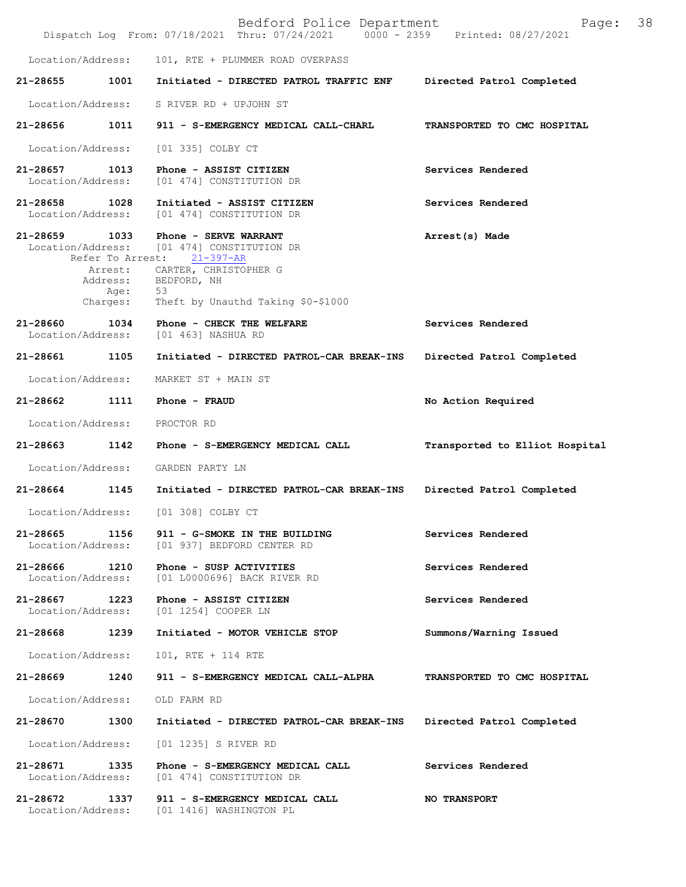|                                    |                              | Bedford Police Department<br>Dispatch Log From: 07/18/2021 Thru: 07/24/2021 0000 - 2359 Printed: 08/27/2021                                                                                   | Page:                          | 38 |
|------------------------------------|------------------------------|-----------------------------------------------------------------------------------------------------------------------------------------------------------------------------------------------|--------------------------------|----|
| Location/Address:                  |                              | 101, RTE + PLUMMER ROAD OVERPASS                                                                                                                                                              |                                |    |
| 21-28655                           | 1001                         | Initiated - DIRECTED PATROL TRAFFIC ENF                                                                                                                                                       | Directed Patrol Completed      |    |
| Location/Address:                  |                              | S RIVER RD + UPJOHN ST                                                                                                                                                                        |                                |    |
|                                    |                              | 21-28656 1011 911 - S-EMERGENCY MEDICAL CALL-CHARL                                                                                                                                            | TRANSPORTED TO CMC HOSPITAL    |    |
| Location/Address:                  |                              | [01 335] COLBY CT                                                                                                                                                                             |                                |    |
| 21-28657 1013<br>Location/Address: |                              | Phone - ASSIST CITIZEN<br>[01 474] CONSTITUTION DR                                                                                                                                            | Services Rendered              |    |
| 21-28658 1028<br>Location/Address: |                              | Initiated - ASSIST CITIZEN<br>[01 474] CONSTITUTION DR                                                                                                                                        | Services Rendered              |    |
| 21-28659 1033                      | Address:<br>Age:<br>Charges: | Phone - SERVE WARRANT<br>Location/Address: [01 474] CONSTITUTION DR<br>Refer To Arrest: 21-397-AR<br>Arrest: CARTER, CHRISTOPHER G<br>BEDFORD, NH<br>53<br>Theft by Unauthd Taking \$0-\$1000 | Arrest(s) Made                 |    |
| 21-28660<br>Location/Address:      | 1034                         | Phone - CHECK THE WELFARE<br>[01 463] NASHUA RD                                                                                                                                               | Services Rendered              |    |
| 21-28661 1105                      |                              | Initiated - DIRECTED PATROL-CAR BREAK-INS                                                                                                                                                     | Directed Patrol Completed      |    |
| Location/Address:                  |                              | MARKET ST + MAIN ST                                                                                                                                                                           |                                |    |
| 21-28662 1111                      |                              | Phone - FRAUD                                                                                                                                                                                 | No Action Required             |    |
| Location/Address:                  |                              | PROCTOR RD                                                                                                                                                                                    |                                |    |
| 21-28663                           | 1142                         | Phone - S-EMERGENCY MEDICAL CALL                                                                                                                                                              | Transported to Elliot Hospital |    |
| Location/Address:                  |                              | GARDEN PARTY LN                                                                                                                                                                               |                                |    |
| 21-28664                           | 1145                         | Initiated - DIRECTED PATROL-CAR BREAK-INS                                                                                                                                                     | Directed Patrol Completed      |    |
| Location/Address:                  |                              | [01 308] COLBY CT                                                                                                                                                                             |                                |    |
| 21-28665                           | 1156                         | 911 - G-SMOKE IN THE BUILDING<br>Location/Address: [01 937] BEDFORD CENTER RD                                                                                                                 | Services Rendered              |    |
| 21-28666 1210<br>Location/Address: |                              | Phone - SUSP ACTIVITIES<br>[01 L0000696] BACK RIVER RD                                                                                                                                        | Services Rendered              |    |
| 21-28667<br>Location/Address:      | 1223                         | Phone - ASSIST CITIZEN<br>[01 1254] COOPER LN                                                                                                                                                 | Services Rendered              |    |
| 21-28668 1239                      |                              | Initiated - MOTOR VEHICLE STOP                                                                                                                                                                | Summons/Warning Issued         |    |
| Location/Address:                  |                              | 101, RTE + 114 RTE                                                                                                                                                                            |                                |    |
| 21-28669                           | 1240                         | 911 - S-EMERGENCY MEDICAL CALL-ALPHA                                                                                                                                                          | TRANSPORTED TO CMC HOSPITAL    |    |
| Location/Address:                  |                              | OLD FARM RD                                                                                                                                                                                   |                                |    |
| 21-28670                           | 1300                         | Initiated - DIRECTED PATROL-CAR BREAK-INS                                                                                                                                                     | Directed Patrol Completed      |    |
| Location/Address:                  |                              | [01 1235] S RIVER RD                                                                                                                                                                          |                                |    |
| 21-28671<br>Location/Address:      | 1335                         | Phone - S-EMERGENCY MEDICAL CALL<br>[01 474] CONSTITUTION DR                                                                                                                                  | Services Rendered              |    |
| 21-28672 1337                      |                              | 911 - S-EMERGENCY MEDICAL CALL<br>Location/Address: [01 1416] WASHINGTON PL                                                                                                                   | <b>NO TRANSPORT</b>            |    |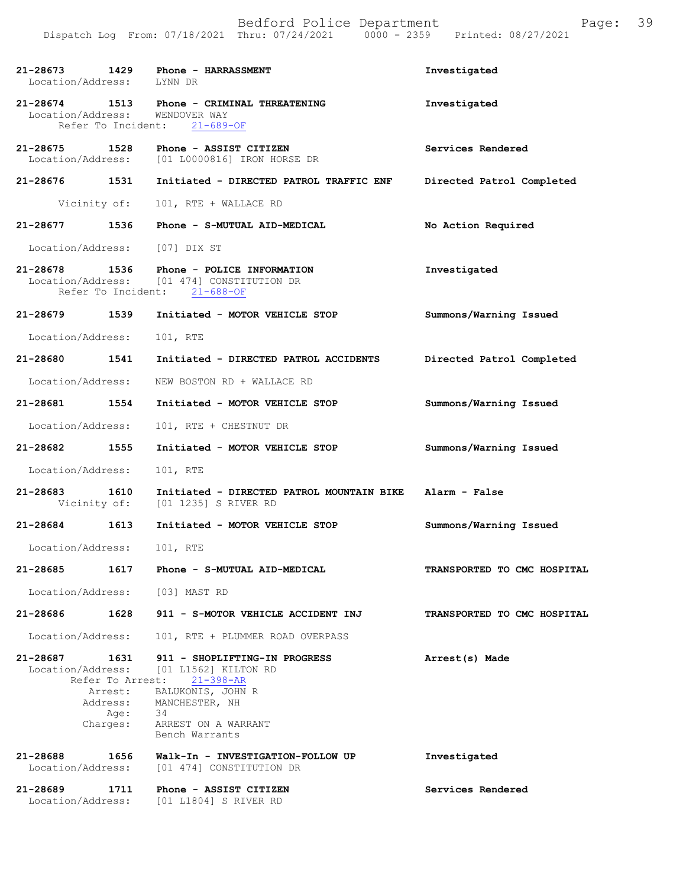| 21-28673<br>Location/Address: LYNN DR | 1429                     | Phone - HARRASSMENT                                                                                      | Investigated                |
|---------------------------------------|--------------------------|----------------------------------------------------------------------------------------------------------|-----------------------------|
| 21-28674 1513<br>Location/Address:    | Refer To Incident:       | Phone - CRIMINAL THREATENING<br>WENDOVER WAY<br>$21 - 689 - OF$                                          | Investigated                |
| 21-28675<br>Location/Address:         | 1528                     | Phone - ASSIST CITIZEN<br>[01 L0000816] IRON HORSE DR                                                    | Services Rendered           |
| 21-28676 1531                         |                          | Initiated - DIRECTED PATROL TRAFFIC ENF                                                                  | Directed Patrol Completed   |
| Vicinity of:                          |                          | 101, RTE + WALLACE RD                                                                                    |                             |
| 21-28677                              | 1536                     | Phone - S-MUTUAL AID-MEDICAL                                                                             | No Action Required          |
| Location/Address:                     |                          | [07] DIX ST                                                                                              |                             |
| 21-28678                              | 1536                     | Phone - POLICE INFORMATION<br>Location/Address: [01 474] CONSTITUTION DR<br>Refer To Incident: 21-688-OF | Investigated                |
| 21-28679                              | 1539                     | Initiated - MOTOR VEHICLE STOP                                                                           | Summons/Warning Issued      |
| Location/Address:                     |                          | 101, RTE                                                                                                 |                             |
| 21-28680 1541                         |                          | Initiated - DIRECTED PATROL ACCIDENTS                                                                    | Directed Patrol Completed   |
| Location/Address:                     |                          | NEW BOSTON RD + WALLACE RD                                                                               |                             |
| 21-28681                              | 1554                     | Initiated - MOTOR VEHICLE STOP                                                                           | Summons/Warning Issued      |
| Location/Address:                     |                          | 101, RTE + CHESTNUT DR                                                                                   |                             |
| 21-28682                              | 1555                     | Initiated - MOTOR VEHICLE STOP                                                                           | Summons/Warning Issued      |
| Location/Address:                     |                          | 101, RTE                                                                                                 |                             |
| 21-28683<br>Vicinity of:              | 1610                     | Initiated - DIRECTED PATROL MOUNTAIN BIKE<br>[01 1235] S RIVER RD                                        | Alarm - False               |
| 21-28684                              | 1613                     | Initiated - MOTOR VEHICLE STOP                                                                           | Summons/Warning Issued      |
| Location/Address:                     |                          | 101, RTE                                                                                                 |                             |
| 21-28685                              | 1617                     | Phone - S-MUTUAL AID-MEDICAL                                                                             | TRANSPORTED TO CMC HOSPITAL |
| Location/Address: [03] MAST RD        |                          |                                                                                                          |                             |
| 21-28686                              | 1628                     | 911 - S-MOTOR VEHICLE ACCIDENT INJ                                                                       | TRANSPORTED TO CMC HOSPITAL |
| Location/Address:                     |                          | 101, RTE + PLUMMER ROAD OVERPASS                                                                         |                             |
| 21-28687<br>Location/Address:         | 1631<br>Refer To Arrest: | 911 - SHOPLIFTING-IN PROGRESS<br>[01 L1562] KILTON RD<br>$21 - 398 - AR$                                 | Arrest(s) Made              |
|                                       | Arrest:<br>Address:      | BALUKONIS, JOHN R<br>MANCHESTER, NH                                                                      |                             |
|                                       | Age:<br>Charges:         | 34<br>ARREST ON A WARRANT<br>Bench Warrants                                                              |                             |
| 21-28688<br>Location/Address:         | 1656                     | Walk-In - INVESTIGATION-FOLLOW UP<br>[01 474] CONSTITUTION DR                                            | Investigated                |
| 21-28689                              | 1711                     | Phone - ASSIST CITIZEN<br>Location/Address: [01 L1804] S RIVER RD                                        | Services Rendered           |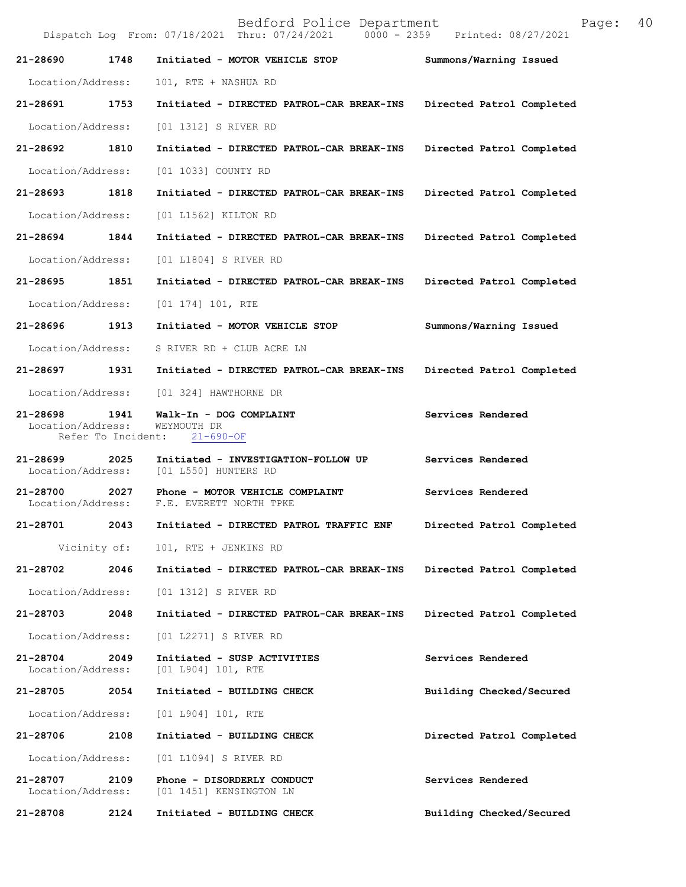Bedford Police Department Page: 40 Dispatch Log From:  $07/18/2021$  Thru:  $07/24/2021$ **21-28690 1748 Initiated - MOTOR VEHICLE STOP Summons/Warning Issued**  Location/Address: 101, RTE + NASHUA RD **21-28691 1753 Initiated - DIRECTED PATROL-CAR BREAK-INS Directed Patrol Completed**  Location/Address: [01 1312] S RIVER RD **21-28692 1810 Initiated - DIRECTED PATROL-CAR BREAK-INS Directed Patrol Completed**  Location/Address: [01 1033] COUNTY RD **21-28693 1818 Initiated - DIRECTED PATROL-CAR BREAK-INS Directed Patrol Completed**  Location/Address: [01 L1562] KILTON RD **21-28694 1844 Initiated - DIRECTED PATROL-CAR BREAK-INS Directed Patrol Completed**  Location/Address: [01 L1804] S RIVER RD **21-28695 1851 Initiated - DIRECTED PATROL-CAR BREAK-INS Directed Patrol Completed**  Location/Address: [01 174] 101, RTE **21-28696 1913 Initiated - MOTOR VEHICLE STOP Summons/Warning Issued**  Location/Address: S RIVER RD + CLUB ACRE LN **21-28697 1931 Initiated - DIRECTED PATROL-CAR BREAK-INS Directed Patrol Completed**  Location/Address: [01 324] HAWTHORNE DR **21-28698 1941 Walk-In - DOG COMPLAINT Services Rendered**  Location/Address: WEYMOUTH DR Refer To Incident: 21-690-OF **21-28699 2025 Initiated - INVESTIGATION-FOLLOW UP Services Rendered**  Location/Address: [01 L550] HUNTERS RD **21-28700 2027 Phone - MOTOR VEHICLE COMPLAINT Services Rendered**  Location/Address: F.E. EVERETT NORTH TPKE **21-28701 2043 Initiated - DIRECTED PATROL TRAFFIC ENF Directed Patrol Completed**  Vicinity of: 101, RTE + JENKINS RD **21-28702 2046 Initiated - DIRECTED PATROL-CAR BREAK-INS Directed Patrol Completed**  Location/Address: [01 1312] S RIVER RD **21-28703 2048 Initiated - DIRECTED PATROL-CAR BREAK-INS Directed Patrol Completed**  Location/Address: [01 L2271] S RIVER RD **21-28704 2049 Initiated - SUSP ACTIVITIES Services Rendered**  Location/Address: [01 L904] 101, RTE **21-28705 2054 Initiated - BUILDING CHECK Building Checked/Secured**  Location/Address: [01 L904] 101, RTE **21-28706 2108 Initiated - BUILDING CHECK Directed Patrol Completed**  Location/Address: [01 L1094] S RIVER RD **21-28707 2109 Phone - DISORDERLY CONDUCT Services Rendered**  Location/Address: [01 1451] KENSINGTON LN **21-28708 2124 Initiated - BUILDING CHECK Building Checked/Secured**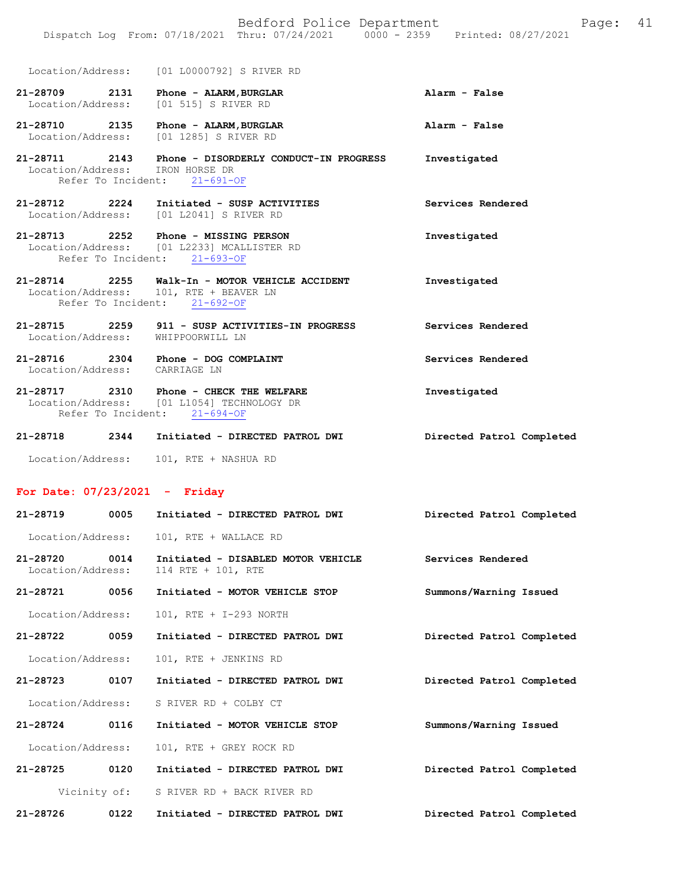Location/Address: [01 L0000792] S RIVER RD

- **21-28709 2131 Phone ALARM,BURGLAR Alarm False**  [01 515] S RIVER RD
- **21-28710 2135 Phone ALARM,BURGLAR Alarm False**  Location/Address: [01 1285] S RIVER RD
- **21-28711 2143 Phone DISORDERLY CONDUCT-IN PROGRESS Investigated**  Location/Address: IRON HORSE DR Refer To Incident: 21-691-OF
- **21-28712 2224 Initiated SUSP ACTIVITIES Services Rendered**  Location/Address: [01 L2041] S RIVER RD
- **21-28713 2252 Phone MISSING PERSON Investigated**  Location/Address: [01 L2233] MCALLISTER RD Refer To Incident: 21-693-OF
- **21-28714 2255 Walk-In MOTOR VEHICLE ACCIDENT Investigated**  Location/Address: 101, RTE + BEAVER LN Refer To Incident: 21-692-OF
- **21-28715 2259 911 SUSP ACTIVITIES-IN PROGRESS Services Rendered**  Location/Address: WHIPPOORWILL LN
- **21-28716 2304 Phone DOG COMPLAINT Services Rendered**  Location/Address: CARRIAGE LN
- **21-28717 2310 Phone CHECK THE WELFARE Investigated**  Location/Address: [01 L1054] TECHNOLOGY DR Refer To Incident: 21-694-OF
- **21-28718 2344 Initiated DIRECTED PATROL DWI Directed Patrol Completed**  Location/Address: 101, RTE + NASHUA RD

#### **For Date: 07/23/2021 - Friday**

| 21-28719                      | 0005         | Initiated - DIRECTED PATROL DWI                          | Directed Patrol Completed |
|-------------------------------|--------------|----------------------------------------------------------|---------------------------|
| Location/Address:             |              | 101, RTE + WALLACE RD                                    |                           |
| 21-28720<br>Location/Address: | 0014         | Initiated - DISABLED MOTOR VEHICLE<br>114 RTE + 101, RTE | Services Rendered         |
| 21-28721                      | 0056         | Initiated - MOTOR VEHICLE STOP                           | Summons/Warning Issued    |
| Location/Address:             |              | 101, RTE + I-293 NORTH                                   |                           |
| 21-28722                      | 0059         | Initiated - DIRECTED PATROL DWI                          | Directed Patrol Completed |
| Location/Address:             |              | 101, RTE + JENKINS RD                                    |                           |
| 21-28723 0107                 |              | Initiated - DIRECTED PATROL DWI                          | Directed Patrol Completed |
| Location/Address:             |              | S RIVER RD + COLBY CT                                    |                           |
| 21-28724 0116                 |              | Initiated - MOTOR VEHICLE STOP                           | Summons/Warning Issued    |
| Location/Address:             |              | 101, RTE + GREY ROCK RD                                  |                           |
| 21-28725                      | 0120         | Initiated - DIRECTED PATROL DWI                          | Directed Patrol Completed |
|                               | Vicinity of: | S RIVER RD + BACK RIVER RD                               |                           |
| 21-28726                      | 0122         | Initiated - DIRECTED PATROL DWI                          | Directed Patrol Completed |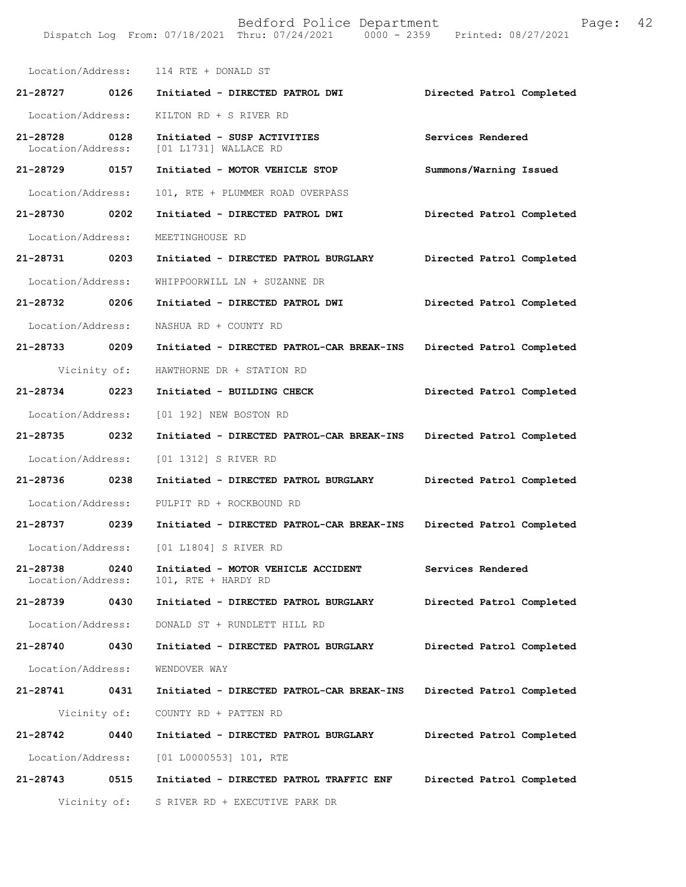|                                       |      | Location/Address: 114 RTE + DONALD ST                     |                           |
|---------------------------------------|------|-----------------------------------------------------------|---------------------------|
| 21-28727 0126                         |      | Initiated - DIRECTED PATROL DWI                           | Directed Patrol Completed |
| Location/Address:                     |      | KILTON RD + S RIVER RD                                    |                           |
| 21-28728<br>0128<br>Location/Address: |      | Initiated - SUSP ACTIVITIES<br>[01 L1731] WALLACE RD      | Services Rendered         |
| 21-28729 0157                         |      | Initiated - MOTOR VEHICLE STOP                            | Summons/Warning Issued    |
| Location/Address:                     |      | 101, RTE + PLUMMER ROAD OVERPASS                          |                           |
| 21-28730 0202                         |      | Initiated - DIRECTED PATROL DWI                           | Directed Patrol Completed |
| Location/Address:                     |      | MEETINGHOUSE RD                                           |                           |
| 21-28731 0203                         |      | Initiated - DIRECTED PATROL BURGLARY                      | Directed Patrol Completed |
| Location/Address:                     |      | WHIPPOORWILL LN + SUZANNE DR                              |                           |
| 21-28732 0206                         |      | Initiated - DIRECTED PATROL DWI                           | Directed Patrol Completed |
| Location/Address:                     |      | NASHUA RD + COUNTY RD                                     |                           |
| 21-28733 0209                         |      | Initiated - DIRECTED PATROL-CAR BREAK-INS                 | Directed Patrol Completed |
| Vicinity of:                          |      | HAWTHORNE DR + STATION RD                                 |                           |
| 21-28734 0223                         |      | Initiated - BUILDING CHECK                                | Directed Patrol Completed |
| Location/Address:                     |      | [01 192] NEW BOSTON RD                                    |                           |
| 21-28735 0232                         |      | Initiated - DIRECTED PATROL-CAR BREAK-INS                 | Directed Patrol Completed |
| Location/Address:                     |      | [01 1312] S RIVER RD                                      |                           |
| 21-28736 0238                         |      | Initiated - DIRECTED PATROL BURGLARY                      | Directed Patrol Completed |
| Location/Address:                     |      | PULPIT RD + ROCKBOUND RD                                  |                           |
| 21-28737 0239                         |      | Initiated - DIRECTED PATROL-CAR BREAK-INS                 | Directed Patrol Completed |
|                                       |      | Location/Address: [01 L1804] S RIVER RD                   |                           |
| 21-28738<br>Location/Address:         | 0240 | Initiated - MOTOR VEHICLE ACCIDENT<br>101, RTE + HARDY RD | Services Rendered         |
| 21-28739                              | 0430 | Initiated - DIRECTED PATROL BURGLARY                      | Directed Patrol Completed |
| Location/Address:                     |      | DONALD ST + RUNDLETT HILL RD                              |                           |
| 21-28740                              | 0430 | Initiated - DIRECTED PATROL BURGLARY                      | Directed Patrol Completed |
| Location/Address:                     |      | WENDOVER WAY                                              |                           |
| 21-28741                              | 0431 | Initiated - DIRECTED PATROL-CAR BREAK-INS                 | Directed Patrol Completed |
| Vicinity of:                          |      | COUNTY RD + PATTEN RD                                     |                           |
| 21-28742                              | 0440 | Initiated - DIRECTED PATROL BURGLARY                      | Directed Patrol Completed |
| Location/Address:                     |      | $[01 L0000553] 101$ , RTE                                 |                           |
| 21-28743                              | 0515 | Initiated - DIRECTED PATROL TRAFFIC ENF                   | Directed Patrol Completed |
| Vicinity of:                          |      | S RIVER RD + EXECUTIVE PARK DR                            |                           |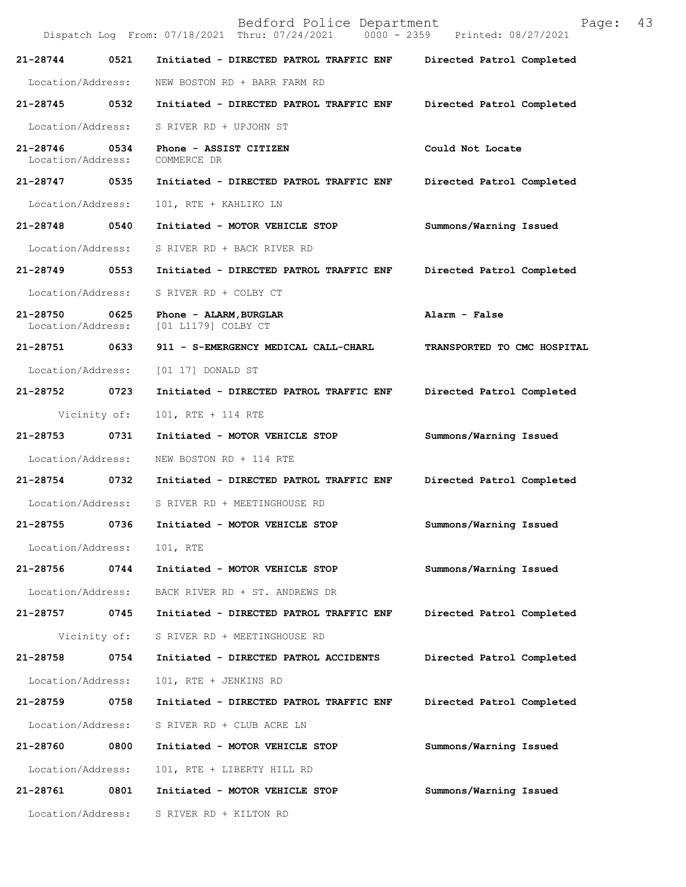Bedford Police Department Page: 43 Dispatch Log From: 07/18/2021 Thru: 07/24/2021 **21-28744 0521 Initiated - DIRECTED PATROL TRAFFIC ENF Directed Patrol Completed**  Location/Address: NEW BOSTON RD + BARR FARM RD **21-28745 0532 Initiated - DIRECTED PATROL TRAFFIC ENF Directed Patrol Completed**  Location/Address: S RIVER RD + UPJOHN ST **21-28746 0534 Phone - ASSIST CITIZEN Could Not Locate**  Location/Address: **21-28747 0535 Initiated - DIRECTED PATROL TRAFFIC ENF Directed Patrol Completed**  Location/Address: 101, RTE + KAHLIKO LN **21-28748 0540 Initiated - MOTOR VEHICLE STOP Summons/Warning Issued**  Location/Address: S RIVER RD + BACK RIVER RD **21-28749 0553 Initiated - DIRECTED PATROL TRAFFIC ENF Directed Patrol Completed**  Location/Address: S RIVER RD + COLBY CT **21-28750 0625 Phone - ALARM,BURGLAR Alarm - False**  [01 L1179] COLBY CT **21-28751 0633 911 - S-EMERGENCY MEDICAL CALL-CHARL TRANSPORTED TO CMC HOSPITAL**  Location/Address: [01 17] DONALD ST **21-28752 0723 Initiated - DIRECTED PATROL TRAFFIC ENF Directed Patrol Completed**  Vicinity of: 101, RTE + 114 RTE **21-28753 0731 Initiated - MOTOR VEHICLE STOP Summons/Warning Issued**  Location/Address: NEW BOSTON RD + 114 RTE **21-28754 0732 Initiated - DIRECTED PATROL TRAFFIC ENF Directed Patrol Completed**  Location/Address: S RIVER RD + MEETINGHOUSE RD **21-28755 0736 Initiated - MOTOR VEHICLE STOP Summons/Warning Issued**  Location/Address: 101, RTE **21-28756 0744 Initiated - MOTOR VEHICLE STOP Summons/Warning Issued**  Location/Address: BACK RIVER RD + ST. ANDREWS DR **21-28757 0745 Initiated - DIRECTED PATROL TRAFFIC ENF Directed Patrol Completed**  Vicinity of: S RIVER RD + MEETINGHOUSE RD **21-28758 0754 Initiated - DIRECTED PATROL ACCIDENTS Directed Patrol Completed**  Location/Address: 101, RTE + JENKINS RD **21-28759 0758 Initiated - DIRECTED PATROL TRAFFIC ENF Directed Patrol Completed**  Location/Address: S RIVER RD + CLUB ACRE LN **21-28760 0800 Initiated - MOTOR VEHICLE STOP Summons/Warning Issued**  Location/Address: 101, RTE + LIBERTY HILL RD **21-28761 0801 Initiated - MOTOR VEHICLE STOP Summons/Warning Issued**  Location/Address: S RIVER RD + KILTON RD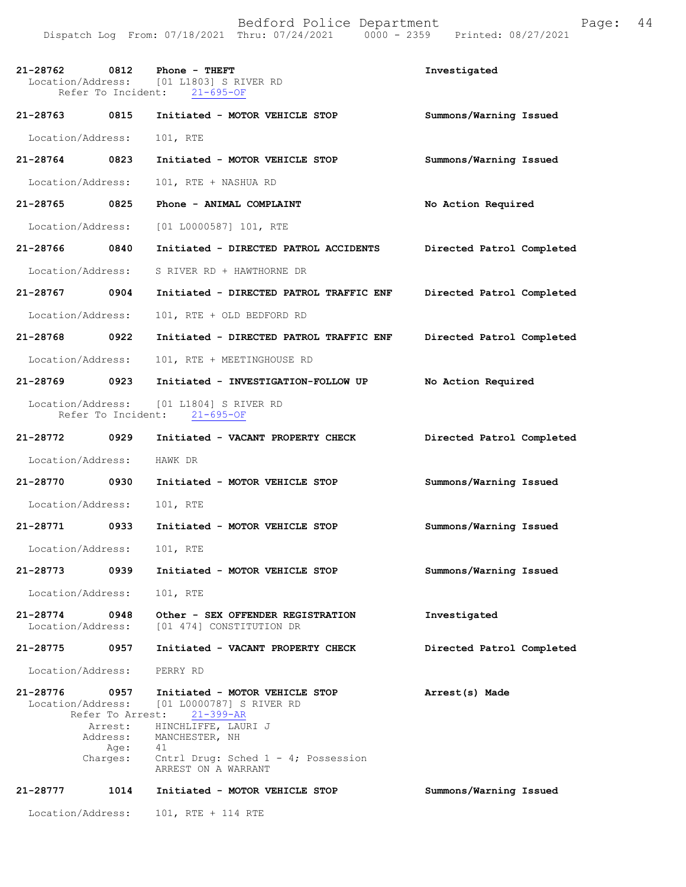| 21-28762                      | 0812<br>Refer To Incident:                      | Phone - THEFT<br>Location/Address: [01 L1803] S RIVER RD<br>$21 - 695 - OF$                                                                                                                              | Investigated              |
|-------------------------------|-------------------------------------------------|----------------------------------------------------------------------------------------------------------------------------------------------------------------------------------------------------------|---------------------------|
| 21-28763 0815                 |                                                 | Initiated - MOTOR VEHICLE STOP                                                                                                                                                                           | Summons/Warning Issued    |
| Location/Address:             |                                                 | 101, RTE                                                                                                                                                                                                 |                           |
| $21 - 28764$                  | 0823                                            | Initiated - MOTOR VEHICLE STOP                                                                                                                                                                           | Summons/Warning Issued    |
| Location/Address:             |                                                 | 101, RTE + NASHUA RD                                                                                                                                                                                     |                           |
| 21-28765                      | 0825                                            | Phone - ANIMAL COMPLAINT                                                                                                                                                                                 | No Action Required        |
| Location/Address:             |                                                 | [01 L0000587] 101, RTE                                                                                                                                                                                   |                           |
| 21-28766                      | 0840                                            | Initiated - DIRECTED PATROL ACCIDENTS                                                                                                                                                                    | Directed Patrol Completed |
| Location/Address:             |                                                 | S RIVER RD + HAWTHORNE DR                                                                                                                                                                                |                           |
| 21-28767                      | 0904                                            | Initiated - DIRECTED PATROL TRAFFIC ENF                                                                                                                                                                  | Directed Patrol Completed |
| Location/Address:             |                                                 | 101, RTE + OLD BEDFORD RD                                                                                                                                                                                |                           |
| 21-28768                      | 0922                                            | Initiated - DIRECTED PATROL TRAFFIC ENF                                                                                                                                                                  | Directed Patrol Completed |
| Location/Address:             |                                                 | 101, RTE + MEETINGHOUSE RD                                                                                                                                                                               |                           |
| 21-28769                      | 0923                                            | Initiated - INVESTIGATION-FOLLOW UP                                                                                                                                                                      | No Action Required        |
|                               | Refer To Incident:                              | Location/Address: [01 L1804] S RIVER RD<br>$21 - 695 - OF$                                                                                                                                               |                           |
| 21-28772 0929                 |                                                 | Initiated - VACANT PROPERTY CHECK                                                                                                                                                                        | Directed Patrol Completed |
| Location/Address:             |                                                 | HAWK DR                                                                                                                                                                                                  |                           |
| 21-28770                      | 0930                                            | Initiated - MOTOR VEHICLE STOP                                                                                                                                                                           | Summons/Warning Issued    |
| Location/Address:             |                                                 | 101, RTE                                                                                                                                                                                                 |                           |
| 21-28771                      | 0933                                            | Initiated - MOTOR VEHICLE STOP                                                                                                                                                                           | Summons/Warning Issued    |
| Location/Address:             |                                                 | 101, RTE                                                                                                                                                                                                 |                           |
| 21-28773                      | 0939                                            | Initiated - MOTOR VEHICLE STOP                                                                                                                                                                           | Summons/Warning Issued    |
| Location/Address:             |                                                 | 101, RTE                                                                                                                                                                                                 |                           |
| 21-28774<br>Location/Address: | 0948                                            | Other - SEX OFFENDER REGISTRATION<br>[01 474] CONSTITUTION DR                                                                                                                                            | Investigated              |
| 21-28775                      | 0957                                            | Initiated - VACANT PROPERTY CHECK                                                                                                                                                                        | Directed Patrol Completed |
| Location/Address:             |                                                 | PERRY RD                                                                                                                                                                                                 |                           |
| 21-28776<br>Location/Address: | 0957<br>Arrest:<br>Address:<br>Age:<br>Charges: | Initiated - MOTOR VEHICLE STOP<br>[01 L0000787] S RIVER RD<br>Refer To Arrest: 21-399-AR<br>HINCHLIFFE, LAURI J<br>MANCHESTER, NH<br>41<br>Cntrl Drug: Sched $1 - 4$ ; Possession<br>ARREST ON A WARRANT | Arrest(s) Made            |
| 21-28777                      | 1014                                            | Initiated - MOTOR VEHICLE STOP                                                                                                                                                                           | Summons/Warning Issued    |
| Location/Address:             |                                                 | 101, RTE + 114 RTE                                                                                                                                                                                       |                           |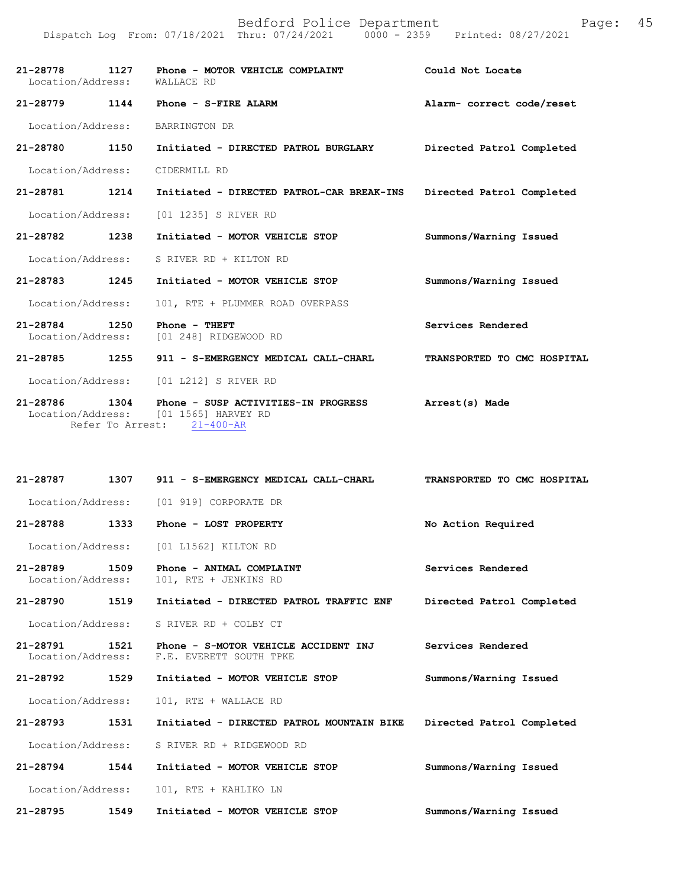|                                       | Dispatch Log From: 07/18/2021 Thru: 07/24/2021 0000 - 2359 Printed: 08/27/2021           |                             |
|---------------------------------------|------------------------------------------------------------------------------------------|-----------------------------|
| 21-28778<br>1127<br>Location/Address: | Phone - MOTOR VEHICLE COMPLAINT<br>WALLACE RD                                            | Could Not Locate            |
| 21-28779 1144                         | Phone - S-FIRE ALARM                                                                     | Alarm- correct code/reset   |
| Location/Address:                     | BARRINGTON DR                                                                            |                             |
| 21-28780<br>1150                      | Initiated - DIRECTED PATROL BURGLARY                                                     | Directed Patrol Completed   |
| Location/Address:                     | CIDERMILL RD                                                                             |                             |
| 21-28781<br>1214                      | Initiated - DIRECTED PATROL-CAR BREAK-INS                                                | Directed Patrol Completed   |
| Location/Address:                     | [01 1235] S RIVER RD                                                                     |                             |
| 21-28782<br>1238                      | Initiated - MOTOR VEHICLE STOP                                                           | Summons/Warning Issued      |
| Location/Address:                     | S RIVER RD + KILTON RD                                                                   |                             |
| 21-28783<br>1245                      | Initiated - MOTOR VEHICLE STOP                                                           | Summons/Warning Issued      |
| Location/Address:                     | 101, RTE + PLUMMER ROAD OVERPASS                                                         |                             |
| 21-28784<br>1250<br>Location/Address: | Phone - THEFT<br>[01 248] RIDGEWOOD RD                                                   | Services Rendered           |
| 21-28785<br>1255                      | 911 - S-EMERGENCY MEDICAL CALL-CHARL                                                     | TRANSPORTED TO CMC HOSPITAL |
| Location/Address:                     | [01 L212] S RIVER RD                                                                     |                             |
| 21-28786<br>1304<br>Location/Address: | Phone - SUSP ACTIVITIES-IN PROGRESS<br>[01 1565] HARVEY RD<br>Refer To Arrest: 21-400-AR | Arrest(s) Made              |
| 21-28787                              | 1307<br>911 - S-EMERGENCY MEDICAL CALL-CHARL                                             | TRANSPORTED TO CMC HOSPITAL |
| Location/Address:                     | [01 919] CORPORATE DR                                                                    |                             |
| 21-28788                              | 1333<br>Phone - LOST PROPERTY                                                            | No Action Required          |
| Location/Address:                     | [01 L1562] KILTON RD                                                                     |                             |
| 21-28789<br>1509<br>Location/Address: | Phone - ANIMAL COMPLAINT<br>101, RTE + JENKINS RD                                        | Services Rendered           |
| 21-28790<br>1519                      | Initiated - DIRECTED PATROL TRAFFIC ENF                                                  | Directed Patrol Completed   |
| Location/Address:                     | S RIVER RD + COLBY CT                                                                    |                             |
| 21-28791<br>1521<br>Location/Address: | Phone - S-MOTOR VEHICLE ACCIDENT INJ<br>F.E. EVERETT SOUTH TPKE                          | Services Rendered           |
| 21-28792<br>1529                      | Initiated - MOTOR VEHICLE STOP                                                           | Summons/Warning Issued      |
| Location/Address:                     | 101, RTE + WALLACE RD                                                                    |                             |
| 21-28793<br>1531                      | Initiated - DIRECTED PATROL MOUNTAIN BIKE                                                | Directed Patrol Completed   |
| Location/Address:                     | S RIVER RD + RIDGEWOOD RD                                                                |                             |
| 21-28794<br>1544                      | Initiated - MOTOR VEHICLE STOP                                                           | Summons/Warning Issued      |
|                                       |                                                                                          |                             |
| Location/Address:                     | 101, RTE + KAHLIKO LN                                                                    |                             |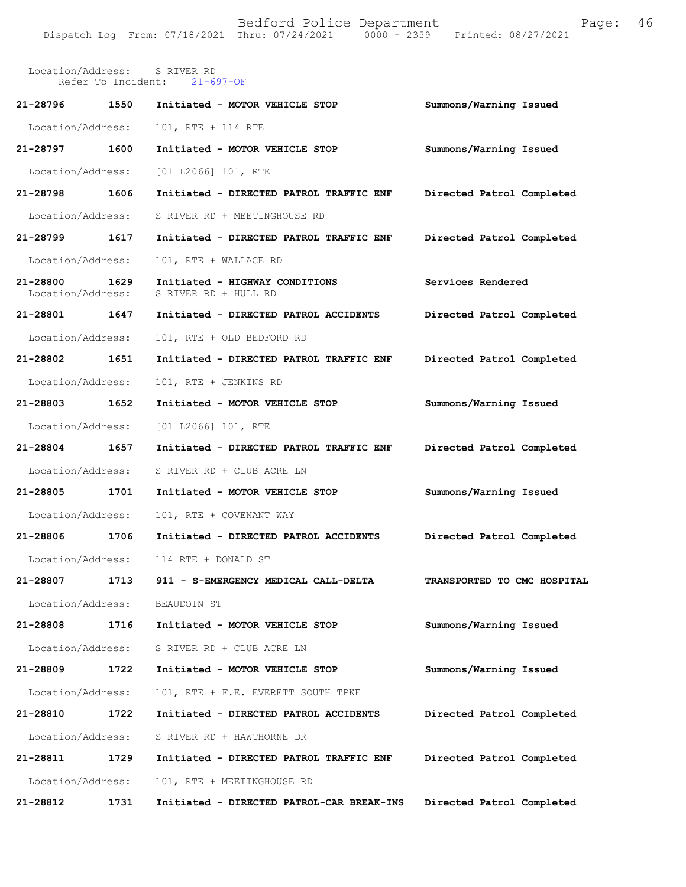|                               |      | Location/Address: S RIVER RD<br>Refer To Incident: 21-697-OF |                             |
|-------------------------------|------|--------------------------------------------------------------|-----------------------------|
| 21-28796 1550                 |      | Initiated - MOTOR VEHICLE STOP                               | Summons/Warning Issued      |
| Location/Address:             |      | 101, RTE + 114 RTE                                           |                             |
| 21-28797 1600                 |      | Initiated - MOTOR VEHICLE STOP                               | Summons/Warning Issued      |
| Location/Address:             |      | $[01 L2066] 101$ , RTE                                       |                             |
| 21-28798                      | 1606 | Initiated - DIRECTED PATROL TRAFFIC ENF                      | Directed Patrol Completed   |
| Location/Address:             |      | S RIVER RD + MEETINGHOUSE RD                                 |                             |
| 21-28799 1617                 |      | Initiated - DIRECTED PATROL TRAFFIC ENF                      | Directed Patrol Completed   |
| Location/Address:             |      | 101, RTE + WALLACE RD                                        |                             |
| 21-28800<br>Location/Address: | 1629 | Initiated - HIGHWAY CONDITIONS<br>S RIVER RD + HULL RD       | Services Rendered           |
| 21-28801 1647                 |      | Initiated - DIRECTED PATROL ACCIDENTS                        | Directed Patrol Completed   |
| Location/Address:             |      | 101, RTE + OLD BEDFORD RD                                    |                             |
| 21-28802 1651                 |      | Initiated - DIRECTED PATROL TRAFFIC ENF                      | Directed Patrol Completed   |
| Location/Address:             |      | 101, RTE + JENKINS RD                                        |                             |
| 21-28803 1652                 |      | Initiated - MOTOR VEHICLE STOP                               | Summons/Warning Issued      |
| Location/Address:             |      | [01 L2066] 101, RTE                                          |                             |
| 21-28804 1657                 |      | Initiated - DIRECTED PATROL TRAFFIC ENF                      | Directed Patrol Completed   |
|                               |      | Location/Address: S RIVER RD + CLUB ACRE LN                  |                             |
| 21-28805 1701                 |      | Initiated - MOTOR VEHICLE STOP                               | Summons/Warning Issued      |
| Location/Address:             |      | 101, RTE + COVENANT WAY                                      |                             |
| 21-28806 1706                 |      | Initiated - DIRECTED PATROL ACCIDENTS                        | Directed Patrol Completed   |
|                               |      | Location/Address: 114 RTE + DONALD ST                        |                             |
| 21-28807                      | 1713 | 911 - S-EMERGENCY MEDICAL CALL-DELTA                         | TRANSPORTED TO CMC HOSPITAL |
| Location/Address:             |      | BEAUDOIN ST                                                  |                             |
| 21-28808                      | 1716 | Initiated - MOTOR VEHICLE STOP                               | Summons/Warning Issued      |
| Location/Address:             |      | S RIVER RD + CLUB ACRE LN                                    |                             |
| 21-28809                      | 1722 | Initiated - MOTOR VEHICLE STOP                               | Summons/Warning Issued      |
| Location/Address:             |      | 101, RTE + F.E. EVERETT SOUTH TPKE                           |                             |
| 21-28810                      | 1722 | Initiated - DIRECTED PATROL ACCIDENTS                        | Directed Patrol Completed   |
| Location/Address:             |      | S RIVER RD + HAWTHORNE DR                                    |                             |
| 21-28811                      | 1729 | Initiated - DIRECTED PATROL TRAFFIC ENF                      | Directed Patrol Completed   |
| Location/Address:             |      | 101, RTE + MEETINGHOUSE RD                                   |                             |
| 21-28812                      | 1731 | Initiated - DIRECTED PATROL-CAR BREAK-INS                    | Directed Patrol Completed   |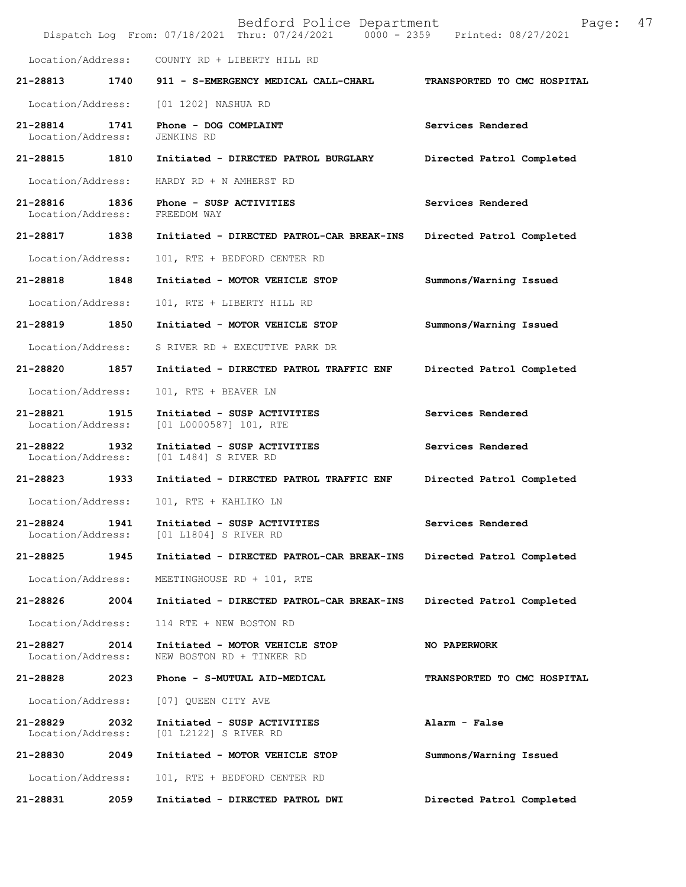|                                    |      | Bedford Police Department<br>Dispatch Log From: 07/18/2021 Thru: 07/24/2021   0000 - 2359   Printed: 08/27/2021 | 47<br>Page:                 |
|------------------------------------|------|-----------------------------------------------------------------------------------------------------------------|-----------------------------|
| Location/Address:                  |      | COUNTY RD + LIBERTY HILL RD                                                                                     |                             |
| 21-28813                           | 1740 | 911 - S-EMERGENCY MEDICAL CALL-CHARL                                                                            | TRANSPORTED TO CMC HOSPITAL |
| Location/Address:                  |      | [01 1202] NASHUA RD                                                                                             |                             |
| 21-28814<br>Location/Address:      | 1741 | Phone - DOG COMPLAINT<br>JENKINS RD                                                                             | Services Rendered           |
| 21-28815                           | 1810 | Initiated - DIRECTED PATROL BURGLARY                                                                            | Directed Patrol Completed   |
| Location/Address:                  |      | HARDY RD + N AMHERST RD                                                                                         |                             |
| 21-28816<br>Location/Address:      | 1836 | Phone - SUSP ACTIVITIES<br>FREEDOM WAY                                                                          | Services Rendered           |
| 21-28817 1838                      |      | Initiated - DIRECTED PATROL-CAR BREAK-INS                                                                       | Directed Patrol Completed   |
| Location/Address:                  |      | 101, RTE + BEDFORD CENTER RD                                                                                    |                             |
| 21-28818                           | 1848 | Initiated - MOTOR VEHICLE STOP                                                                                  | Summons/Warning Issued      |
| Location/Address:                  |      | 101, RTE + LIBERTY HILL RD                                                                                      |                             |
| 21-28819                           | 1850 | Initiated - MOTOR VEHICLE STOP                                                                                  | Summons/Warning Issued      |
| Location/Address:                  |      | S RIVER RD + EXECUTIVE PARK DR                                                                                  |                             |
| 21-28820 1857                      |      | Initiated - DIRECTED PATROL TRAFFIC ENF                                                                         | Directed Patrol Completed   |
| Location/Address:                  |      | 101, RTE + BEAVER LN                                                                                            |                             |
| 21-28821<br>Location/Address:      | 1915 | Initiated - SUSP ACTIVITIES<br>[01 L0000587] 101, RTE                                                           | Services Rendered           |
| 21-28822 1932<br>Location/Address: |      | Initiated - SUSP ACTIVITIES<br>[01 L484] S RIVER RD                                                             | Services Rendered           |
| 21-28823 1933                      |      | Initiated - DIRECTED PATROL TRAFFIC ENF                                                                         | Directed Patrol Completed   |
| Location/Address:                  |      | 101, RTE + KAHLIKO LN                                                                                           |                             |
| 21-28824<br>Location/Address:      | 1941 | Initiated - SUSP ACTIVITIES<br>[01 L1804] S RIVER RD                                                            | Services Rendered           |
| 21-28825                           | 1945 | Initiated - DIRECTED PATROL-CAR BREAK-INS                                                                       | Directed Patrol Completed   |
| Location/Address:                  |      | MEETINGHOUSE RD + 101, RTE                                                                                      |                             |
| 21-28826                           | 2004 | Initiated - DIRECTED PATROL-CAR BREAK-INS                                                                       | Directed Patrol Completed   |
| Location/Address:                  |      | 114 RTE + NEW BOSTON RD                                                                                         |                             |
| 21-28827<br>Location/Address:      | 2014 | Initiated - MOTOR VEHICLE STOP<br>NEW BOSTON RD + TINKER RD                                                     | <b>NO PAPERWORK</b>         |
| 21-28828                           | 2023 | Phone - S-MUTUAL AID-MEDICAL                                                                                    | TRANSPORTED TO CMC HOSPITAL |
| Location/Address:                  |      | [07] QUEEN CITY AVE                                                                                             |                             |
| 21-28829<br>Location/Address:      | 2032 | Initiated - SUSP ACTIVITIES<br>[01 L2122] S RIVER RD                                                            | Alarm - False               |
| 21-28830                           | 2049 | Initiated - MOTOR VEHICLE STOP                                                                                  | Summons/Warning Issued      |
| Location/Address:                  |      | 101, RTE + BEDFORD CENTER RD                                                                                    |                             |
| 21-28831                           | 2059 | Initiated - DIRECTED PATROL DWI                                                                                 | Directed Patrol Completed   |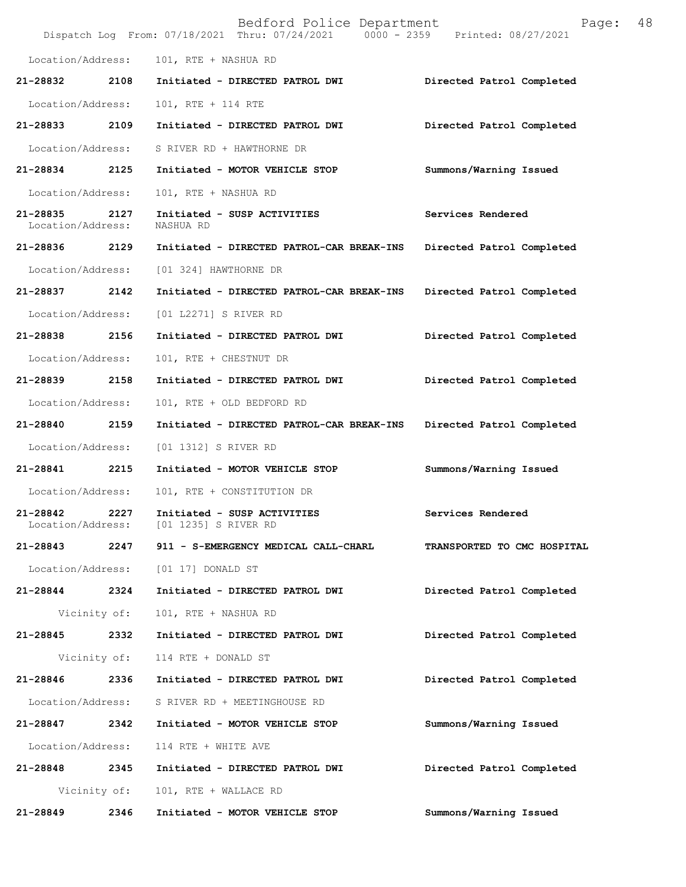|                               |              | Bedford Police Department<br>Dispatch Log From: 07/18/2021 Thru: 07/24/2021 0000 - 2359 Printed: 08/27/2021 | Page:                       | 48 |
|-------------------------------|--------------|-------------------------------------------------------------------------------------------------------------|-----------------------------|----|
| Location/Address:             |              | 101, RTE + NASHUA RD                                                                                        |                             |    |
| 21-28832                      | 2108         | Initiated - DIRECTED PATROL DWI                                                                             | Directed Patrol Completed   |    |
| Location/Address:             |              | 101, RTE + 114 RTE                                                                                          |                             |    |
| 21-28833 2109                 |              | Initiated - DIRECTED PATROL DWI                                                                             | Directed Patrol Completed   |    |
| Location/Address:             |              | S RIVER RD + HAWTHORNE DR                                                                                   |                             |    |
| 21-28834 2125                 |              | Initiated - MOTOR VEHICLE STOP                                                                              | Summons/Warning Issued      |    |
| Location/Address:             |              | 101, RTE + NASHUA RD                                                                                        |                             |    |
| 21-28835<br>Location/Address: | 2127         | Initiated - SUSP ACTIVITIES<br>NASHUA RD                                                                    | Services Rendered           |    |
| 21-28836 2129                 |              | Initiated - DIRECTED PATROL-CAR BREAK-INS                                                                   | Directed Patrol Completed   |    |
| Location/Address:             |              | [01 324] HAWTHORNE DR                                                                                       |                             |    |
| 21-28837 2142                 |              | Initiated - DIRECTED PATROL-CAR BREAK-INS                                                                   | Directed Patrol Completed   |    |
| Location/Address:             |              | [01 L2271] S RIVER RD                                                                                       |                             |    |
| 21-28838                      | 2156         | Initiated - DIRECTED PATROL DWI                                                                             | Directed Patrol Completed   |    |
| Location/Address:             |              | 101, RTE + CHESTNUT DR                                                                                      |                             |    |
| 21-28839                      | 2158         | Initiated - DIRECTED PATROL DWI                                                                             | Directed Patrol Completed   |    |
| Location/Address:             |              | 101, RTE + OLD BEDFORD RD                                                                                   |                             |    |
| 21-28840 2159                 |              | Initiated - DIRECTED PATROL-CAR BREAK-INS                                                                   | Directed Patrol Completed   |    |
| Location/Address:             |              | [01 1312] S RIVER RD                                                                                        |                             |    |
| 21-28841                      | 2215         | Initiated - MOTOR VEHICLE STOP                                                                              | Summons/Warning Issued      |    |
| Location/Address:             |              | 101, RTE + CONSTITUTION DR                                                                                  |                             |    |
| 21-28842                      | 2227         | Initiated - SUSP ACTIVITIES<br>Location/Address: [01 1235] S RIVER RD                                       | Services Rendered           |    |
| 21-28843                      | 2247         | 911 - S-EMERGENCY MEDICAL CALL-CHARL                                                                        | TRANSPORTED TO CMC HOSPITAL |    |
| Location/Address:             |              | [01 17] DONALD ST                                                                                           |                             |    |
| 21-28844 2324                 |              | Initiated - DIRECTED PATROL DWI                                                                             | Directed Patrol Completed   |    |
|                               | Vicinity of: | 101, RTE + NASHUA RD                                                                                        |                             |    |
| 21-28845 2332                 |              | Initiated - DIRECTED PATROL DWI                                                                             | Directed Patrol Completed   |    |
|                               | Vicinity of: | 114 RTE + DONALD ST                                                                                         |                             |    |
| 21-28846                      | 2336         | Initiated - DIRECTED PATROL DWI                                                                             | Directed Patrol Completed   |    |
| Location/Address:             |              | S RIVER RD + MEETINGHOUSE RD                                                                                |                             |    |
| 21-28847                      | 2342         | Initiated - MOTOR VEHICLE STOP                                                                              | Summons/Warning Issued      |    |
| Location/Address:             |              | 114 RTE + WHITE AVE                                                                                         |                             |    |
| 21-28848 2345                 |              | Initiated - DIRECTED PATROL DWI                                                                             | Directed Patrol Completed   |    |
|                               | Vicinity of: | 101, RTE + WALLACE RD                                                                                       |                             |    |
| 21-28849                      | 2346         | Initiated - MOTOR VEHICLE STOP                                                                              | Summons/Warning Issued      |    |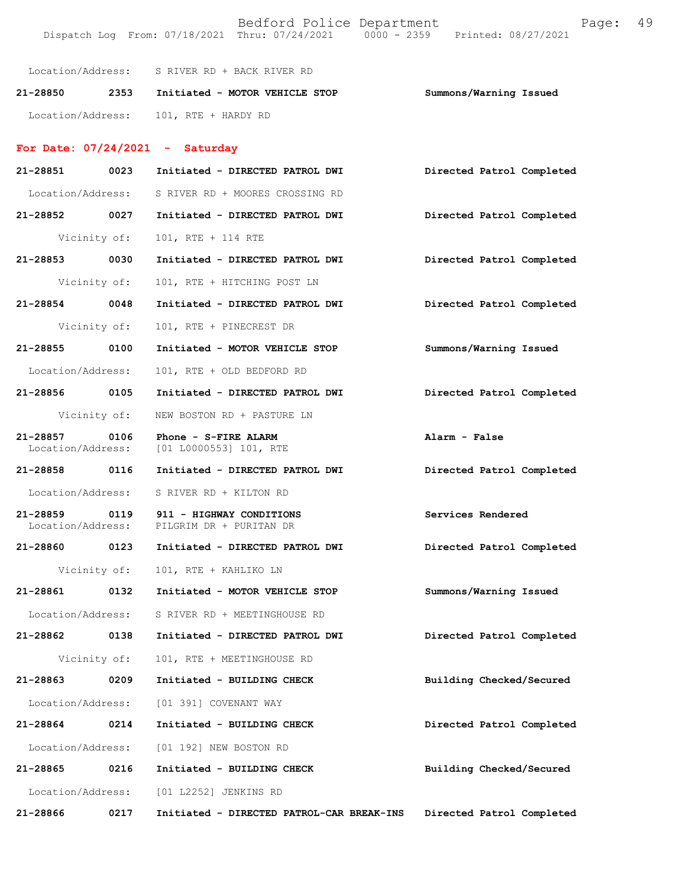Dispatch Log From: 07/18/2021 Thru: 07/24/2021 0000 - 2359 Printed: 08/27/2021 Location/Address: S RIVER RD + BACK RIVER RD **21-28850 2353 Initiated - MOTOR VEHICLE STOP Summons/Warning Issued**  Location/Address: 101, RTE + HARDY RD **For Date: 07/24/2021 - Saturday 21-28851 0023 Initiated - DIRECTED PATROL DWI Directed Patrol Completed**  Location/Address: S RIVER RD + MOORES CROSSING RD **21-28852 0027 Initiated - DIRECTED PATROL DWI Directed Patrol Completed**  Vicinity of: 101, RTE + 114 RTE **21-28853 0030 Initiated - DIRECTED PATROL DWI Directed Patrol Completed**  Vicinity of: 101, RTE + HITCHING POST LN **21-28854 0048 Initiated - DIRECTED PATROL DWI Directed Patrol Completed**  Vicinity of: 101, RTE + PINECREST DR **21-28855 0100 Initiated - MOTOR VEHICLE STOP Summons/Warning Issued**  Location/Address: 101, RTE + OLD BEDFORD RD **21-28856 0105 Initiated - DIRECTED PATROL DWI Directed Patrol Completed**  Vicinity of: NEW BOSTON RD + PASTURE LN **21-28857 0106 Phone - S-FIRE ALARM Alarm - False Alarm - False Location/Address:** [01 L0000553] 101, RTE [01 L0000553] 101, RTE **21-28858 0116 Initiated - DIRECTED PATROL DWI Directed Patrol Completed**  Location/Address: S RIVER RD + KILTON RD **21-28859 0119 911 - HIGHWAY CONDITIONS Services Rendered**  Location/Address: PILGRIM DR + PURITAN DR **21-28860 0123 Initiated - DIRECTED PATROL DWI Directed Patrol Completed**  Vicinity of: 101, RTE + KAHLIKO LN **21-28861 0132 Initiated - MOTOR VEHICLE STOP Summons/Warning Issued**  Location/Address: S RIVER RD + MEETINGHOUSE RD **21-28862 0138 Initiated - DIRECTED PATROL DWI Directed Patrol Completed**  Vicinity of: 101, RTE + MEETINGHOUSE RD **21-28863 0209 Initiated - BUILDING CHECK Building Checked/Secured**  Location/Address: [01 391] COVENANT WAY **21-28864 0214 Initiated - BUILDING CHECK Directed Patrol Completed**  Location/Address: [01 192] NEW BOSTON RD **21-28865 0216 Initiated - BUILDING CHECK Building Checked/Secured**  Location/Address: [01 L2252] JENKINS RD

**21-28866 0217 Initiated - DIRECTED PATROL-CAR BREAK-INS Directed Patrol Completed**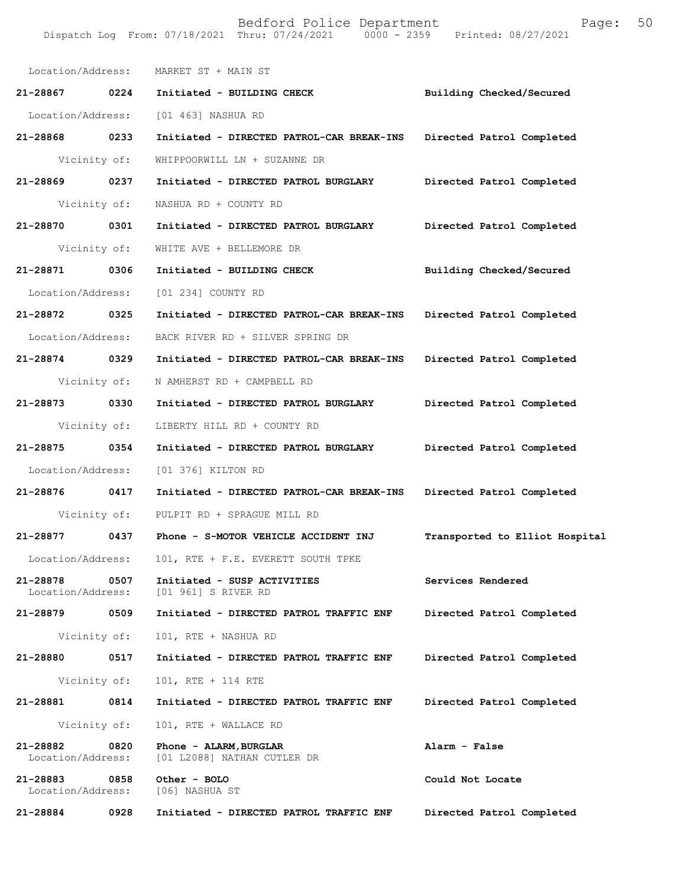|                               |              | Location/Address: MARKET ST + MAIN ST                 |                                |
|-------------------------------|--------------|-------------------------------------------------------|--------------------------------|
| 21-28867 0224                 |              | Initiated - BUILDING CHECK                            | Building Checked/Secured       |
| Location/Address:             |              | [01 463] NASHUA RD                                    |                                |
| 21-28868 0233                 |              | Initiated - DIRECTED PATROL-CAR BREAK-INS             | Directed Patrol Completed      |
| Vicinity of:                  |              | WHIPPOORWILL LN + SUZANNE DR                          |                                |
| 21-28869 0237                 |              | Initiated - DIRECTED PATROL BURGLARY                  | Directed Patrol Completed      |
| Vicinity of:                  |              | NASHUA RD + COUNTY RD                                 |                                |
| 21-28870 0301                 |              | Initiated - DIRECTED PATROL BURGLARY                  | Directed Patrol Completed      |
| Vicinity of:                  |              | WHITE AVE + BELLEMORE DR                              |                                |
| 21-28871 0306                 |              | Initiated - BUILDING CHECK                            | Building Checked/Secured       |
| Location/Address:             |              | [01 234] COUNTY RD                                    |                                |
| 21-28872 0325                 |              | Initiated - DIRECTED PATROL-CAR BREAK-INS             | Directed Patrol Completed      |
| Location/Address:             |              | BACK RIVER RD + SILVER SPRING DR                      |                                |
| 21-28874 0329                 |              | Initiated - DIRECTED PATROL-CAR BREAK-INS             | Directed Patrol Completed      |
|                               | Vicinity of: | N AMHERST RD + CAMPBELL RD                            |                                |
| 21-28873 0330                 |              | Initiated - DIRECTED PATROL BURGLARY                  | Directed Patrol Completed      |
| Vicinity of:                  |              | LIBERTY HILL RD + COUNTY RD                           |                                |
| 21-28875 0354                 |              | Initiated - DIRECTED PATROL BURGLARY                  | Directed Patrol Completed      |
| Location/Address:             |              | [01 376] KILTON RD                                    |                                |
| 21-28876 0417                 |              | Initiated - DIRECTED PATROL-CAR BREAK-INS             | Directed Patrol Completed      |
|                               |              | Vicinity of: PULPIT RD + SPRAGUE MILL RD              |                                |
| 21-28877 0437                 |              | Phone - S-MOTOR VEHICLE ACCIDENT INJ                  | Transported to Elliot Hospital |
|                               |              | Location/Address: 101, RTE + F.E. EVERETT SOUTH TPKE  |                                |
| 21-28878<br>Location/Address: | 0507         | Initiated - SUSP ACTIVITIES<br>[01 961] S RIVER RD    | Services Rendered              |
| 21-28879 0509                 |              | Initiated - DIRECTED PATROL TRAFFIC ENF               | Directed Patrol Completed      |
|                               | Vicinity of: | 101, RTE + NASHUA RD                                  |                                |
| 21-28880                      | 0517         | Initiated - DIRECTED PATROL TRAFFIC ENF               | Directed Patrol Completed      |
|                               | Vicinity of: | 101, RTE + 114 RTE                                    |                                |
| 21-28881                      | 0814         | Initiated - DIRECTED PATROL TRAFFIC ENF               | Directed Patrol Completed      |
|                               | Vicinity of: | 101, RTE + WALLACE RD                                 |                                |
| 21-28882<br>Location/Address: | 0820         | Phone - ALARM, BURGLAR<br>[01 L2088] NATHAN CUTLER DR | Alarm - False                  |
| 21-28883<br>Location/Address: | 0858         | Other - BOLO<br>[06] NASHUA ST                        | Could Not Locate               |
| 21-28884                      | 0928         | Initiated - DIRECTED PATROL TRAFFIC ENF               | Directed Patrol Completed      |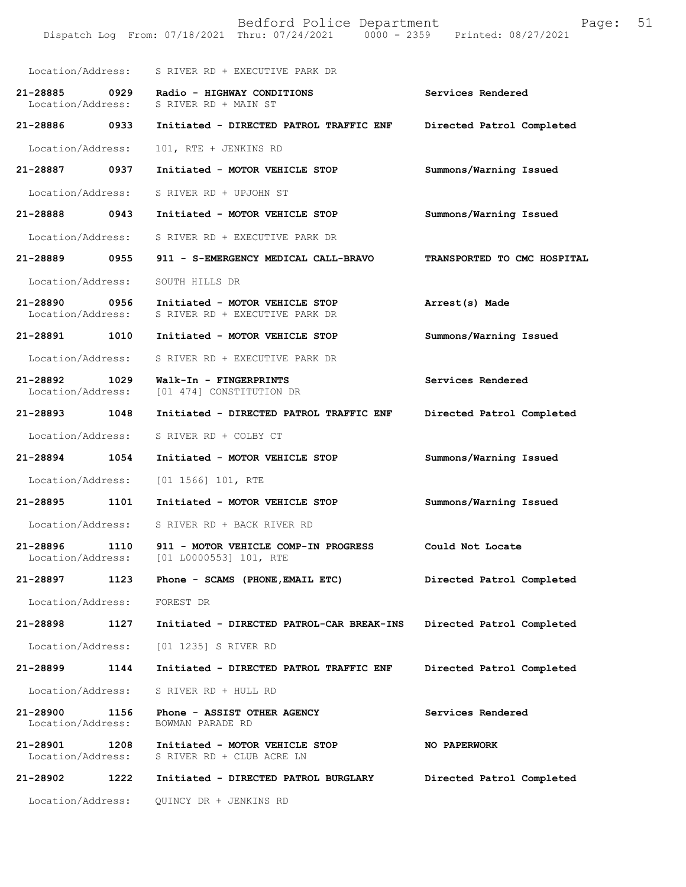Bedford Police Department Page: 51 Dispatch Log From: 07/18/2021 Thru: 07/24/2021 Location/Address: S RIVER RD + EXECUTIVE PARK DR **21-28885 0929 Radio - HIGHWAY CONDITIONS Services Rendered**  S RIVER RD + MAIN ST **21-28886 0933 Initiated - DIRECTED PATROL TRAFFIC ENF Directed Patrol Completed**  Location/Address: 101, RTE + JENKINS RD **21-28887 0937 Initiated - MOTOR VEHICLE STOP Summons/Warning Issued**  Location/Address: S RIVER RD + UPJOHN ST **21-28888 0943 Initiated - MOTOR VEHICLE STOP Summons/Warning Issued**  Location/Address: S RIVER RD + EXECUTIVE PARK DR **21-28889 0955 911 - S-EMERGENCY MEDICAL CALL-BRAVO TRANSPORTED TO CMC HOSPITAL**  Location/Address: SOUTH HILLS DR **21-28890 0956 Initiated - MOTOR VEHICLE STOP Arrest(s) Made**  Location/Address: S RIVER RD + EXECUTIVE PARK DR **21-28891 1010 Initiated - MOTOR VEHICLE STOP Summons/Warning Issued**  Location/Address: S RIVER RD + EXECUTIVE PARK DR **21-28892 1029 Walk-In - FINGERPRINTS Services Rendered**  Location/Address: [01 474] CONSTITUTION DR **21-28893 1048 Initiated - DIRECTED PATROL TRAFFIC ENF Directed Patrol Completed**  Location/Address: S RIVER RD + COLBY CT **21-28894 1054 Initiated - MOTOR VEHICLE STOP Summons/Warning Issued**  Location/Address: [01 1566] 101, RTE **21-28895 1101 Initiated - MOTOR VEHICLE STOP Summons/Warning Issued**  Location/Address: S RIVER RD + BACK RIVER RD **21-28896 1110 911 - MOTOR VEHICLE COMP-IN PROGRESS Could Not Locate**  Location/Address: [01 L0000553] 101, RTE **21-28897 1123 Phone - SCAMS (PHONE,EMAIL ETC) Directed Patrol Completed**  Location/Address: FOREST DR **21-28898 1127 Initiated - DIRECTED PATROL-CAR BREAK-INS Directed Patrol Completed**  Location/Address: [01 1235] S RIVER RD **21-28899 1144 Initiated - DIRECTED PATROL TRAFFIC ENF Directed Patrol Completed**  Location/Address: S RIVER RD + HULL RD **21-28900 1156 Phone - ASSIST OTHER AGENCY Services Rendered**  Location/Address: BOWMAN PARADE RD **21-28901 1208 Initiated - MOTOR VEHICLE STOP NO PAPERWORK** Location/Address: S RIVER RD + CLUB ACRE LN S RIVER RD + CLUB ACRE LN **21-28902 1222 Initiated - DIRECTED PATROL BURGLARY Directed Patrol Completed**  Location/Address: QUINCY DR + JENKINS RD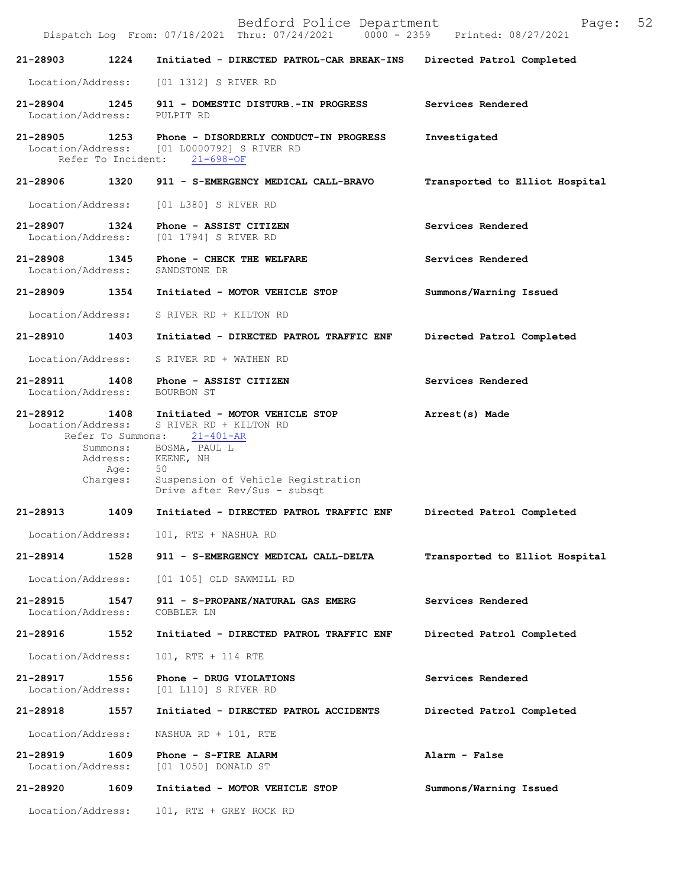Bedford Police Department Page: 52 Dispatch Log From: 07/18/2021 Thru: 07/24/2021 **21-28903 1224 Initiated - DIRECTED PATROL-CAR BREAK-INS Directed Patrol Completed**  Location/Address: [01 1312] S RIVER RD **21-28904 1245 911 - DOMESTIC DISTURB.-IN PROGRESS Services Rendered**  Location/Address: **21-28905 1253 Phone - DISORDERLY CONDUCT-IN PROGRESS Investigated**  [01 L0000792] S RIVER RD<br>ent: 21-698-OF Refer To Incident: **21-28906 1320 911 - S-EMERGENCY MEDICAL CALL-BRAVO Transported to Elliot Hospital** Location/Address: [01 L380] S RIVER RD **21-28907 1324 Phone - ASSIST CITIZEN Services Rendered**  [01 1794] S RIVER RD **21-28908 1345 Phone - CHECK THE WELFARE Services Rendered**  Location/Address: **21-28909 1354 Initiated - MOTOR VEHICLE STOP Summons/Warning Issued**  Location/Address: S RIVER RD + KILTON RD **21-28910 1403 Initiated - DIRECTED PATROL TRAFFIC ENF Directed Patrol Completed**  Location/Address: S RIVER RD + WATHEN RD 21-28911 1408 Phone - ASSIST CITIZEN Services Rendered Location/Address: BOURBON ST Location/Address: **21-28912 1408 Initiated - MOTOR VEHICLE STOP Arrest(s) Made**  Location/Address: S RIVER RD + KILTON RD Refer To Summons:  $21-401-AR$ Summons: BOSMA, PAUL L Address: KEENE, NH Age: 50 Charges: Suspension of Vehicle Registration Drive after Rev/Sus - subsqt **21-28913 1409 Initiated - DIRECTED PATROL TRAFFIC ENF Directed Patrol Completed** Location/Address: 101, RTE + NASHUA RD **21-28914 1528 911 - S-EMERGENCY MEDICAL CALL-DELTA Transported to Elliot Hospital** Location/Address: [01 105] OLD SAWMILL RD **21-28915 1547 911 - S-PROPANE/NATURAL GAS EMERG Services Rendered** Location/Address: COBBLER LN Location/Address: **21-28916 1552 Initiated - DIRECTED PATROL TRAFFIC ENF Directed Patrol Completed** Location/Address: 101, RTE + 114 RTE **21-28917 1556 Phone - DRUG VIOLATIONS Services Rendered** [01 L110] S RIVER RD **21-28918 1557 Initiated - DIRECTED PATROL ACCIDENTS Directed Patrol Completed** Location/Address: NASHUA RD + 101, RTE **21-28919 1609 Phone - S-FIRE ALARM Alarm - False**<br>Location/Address: [01 1050] DONALD ST Location/Address: [01 1050] DONALD ST **21-28920 1609 Initiated - MOTOR VEHICLE STOP Summons/Warning Issued** Location/Address: 101, RTE + GREY ROCK RD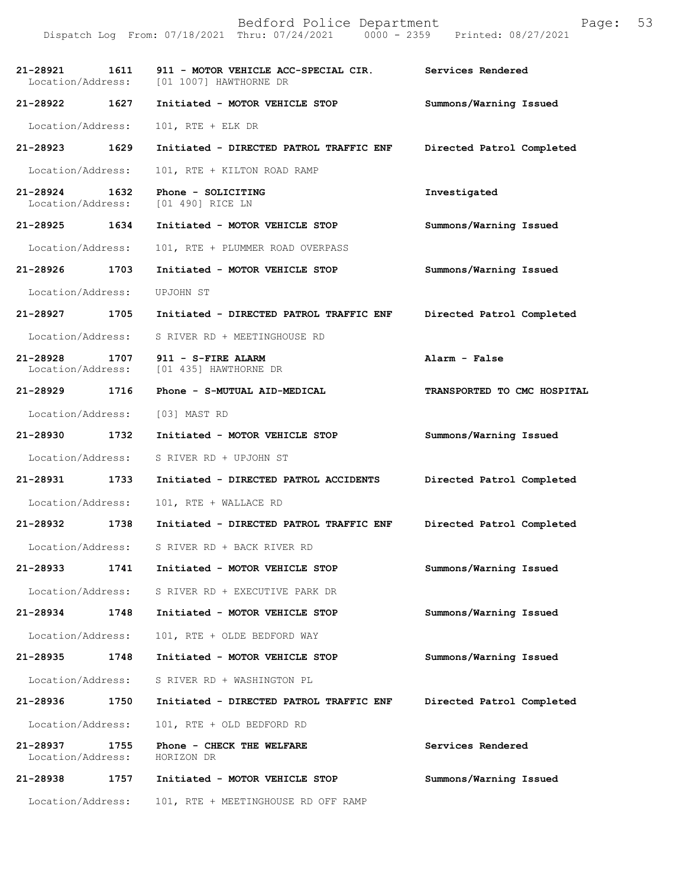Dispatch Log From: 07/18/2021 Thru: 07/24/2021 0000 - 2359 Printed: 08/27/2021

| 21-28921<br>Location/Address: | 1611 | 911 - MOTOR VEHICLE ACC-SPECIAL CIR.<br>[01 1007] HAWTHORNE DR | Services Rendered           |
|-------------------------------|------|----------------------------------------------------------------|-----------------------------|
| 21-28922                      | 1627 | Initiated - MOTOR VEHICLE STOP                                 | Summons/Warning Issued      |
| Location/Address:             |      | $101$ , RTE + ELK DR                                           |                             |
| 21-28923                      | 1629 | Initiated - DIRECTED PATROL TRAFFIC ENF                        | Directed Patrol Completed   |
| Location/Address:             |      | 101, RTE + KILTON ROAD RAMP                                    |                             |
| 21-28924<br>Location/Address: | 1632 | Phone - SOLICITING<br>[01 490] RICE LN                         | Investigated                |
| 21-28925 1634                 |      | Initiated - MOTOR VEHICLE STOP                                 | Summons/Warning Issued      |
| Location/Address:             |      | 101, RTE + PLUMMER ROAD OVERPASS                               |                             |
| 21-28926                      | 1703 | Initiated - MOTOR VEHICLE STOP                                 | Summons/Warning Issued      |
| Location/Address:             |      | UPJOHN ST                                                      |                             |
| 21-28927                      | 1705 | Initiated - DIRECTED PATROL TRAFFIC ENF                        | Directed Patrol Completed   |
| Location/Address:             |      | S RIVER RD + MEETINGHOUSE RD                                   |                             |
| 21-28928<br>Location/Address: | 1707 | 911 - S-FIRE ALARM<br>[01 435] HAWTHORNE DR                    | Alarm - False               |
| 21-28929                      | 1716 | Phone - S-MUTUAL AID-MEDICAL                                   | TRANSPORTED TO CMC HOSPITAL |
| Location/Address:             |      | [03] MAST RD                                                   |                             |
| 21-28930                      | 1732 | Initiated - MOTOR VEHICLE STOP                                 | Summons/Warning Issued      |
| Location/Address:             |      | S RIVER RD + UPJOHN ST                                         |                             |
| 21-28931                      | 1733 | Initiated - DIRECTED PATROL ACCIDENTS                          | Directed Patrol Completed   |
| Location/Address:             |      | 101, RTE + WALLACE RD                                          |                             |
| 21-28932                      | 1738 | Initiated - DIRECTED PATROL TRAFFIC ENF                        | Directed Patrol Completed   |
| Location/Address:             |      | S RIVER RD + BACK RIVER RD                                     |                             |
| 21-28933                      | 1741 | Initiated - MOTOR VEHICLE STOP                                 | Summons/Warning Issued      |
| Location/Address:             |      | S RIVER RD + EXECUTIVE PARK DR                                 |                             |
| 21-28934                      | 1748 | Initiated - MOTOR VEHICLE STOP                                 | Summons/Warning Issued      |
| Location/Address:             |      | 101, RTE + OLDE BEDFORD WAY                                    |                             |
| 21-28935                      | 1748 | Initiated - MOTOR VEHICLE STOP                                 | Summons/Warning Issued      |
| Location/Address:             |      | S RIVER RD + WASHINGTON PL                                     |                             |
| 21-28936                      | 1750 | Initiated - DIRECTED PATROL TRAFFIC ENF                        | Directed Patrol Completed   |
| Location/Address:             |      | 101, RTE + OLD BEDFORD RD                                      |                             |
| 21-28937<br>Location/Address: | 1755 | Phone - CHECK THE WELFARE<br>HORIZON DR                        | Services Rendered           |
| 21-28938                      | 1757 | Initiated - MOTOR VEHICLE STOP                                 | Summons/Warning Issued      |
| Location/Address:             |      | 101, RTE + MEETINGHOUSE RD OFF RAMP                            |                             |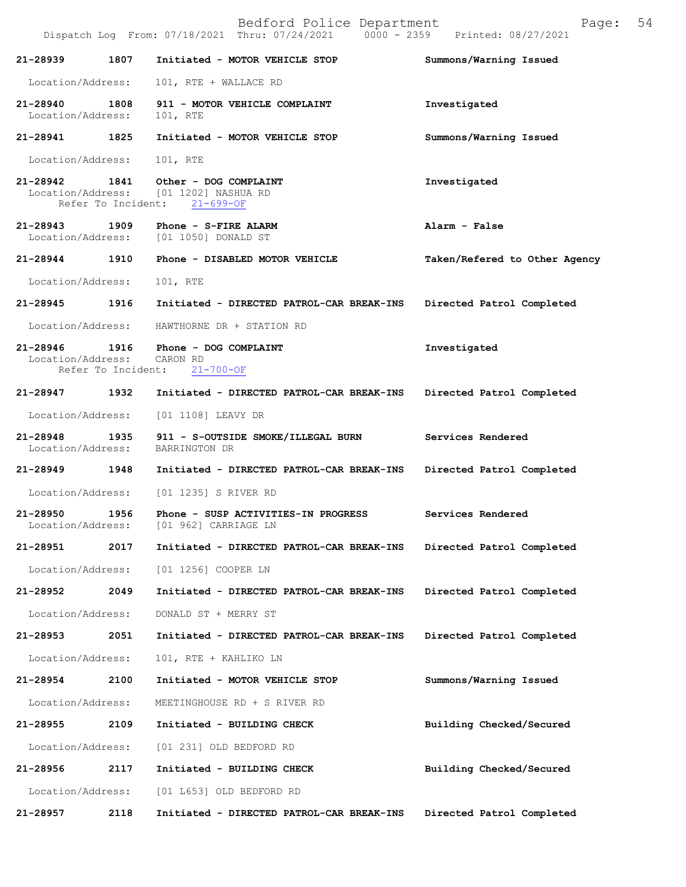Dispatch Log From: 07/18/2021 Thru: 07/24/2021 **21-28939 1807 Initiated - MOTOR VEHICLE STOP Summons/Warning Issued**  Location/Address: 101, RTE + WALLACE RD **21-28940 1808 911 - MOTOR VEHICLE COMPLAINT Investigated**  Location/Address: 101, RTE **21-28941 1825 Initiated - MOTOR VEHICLE STOP Summons/Warning Issued**  Location/Address: 101, RTE **21-28942 1841 Other - DOG COMPLAINT Investigated**  Location/Address: [01 1202] NASHUA RD Refer To Incident: 21-699-OF **21-28943 1909 Phone - S-FIRE ALARM Alarm - False**  [01 1050] DONALD ST **21-28944 1910 Phone - DISABLED MOTOR VEHICLE Taken/Refered to Other Agency** Location/Address: 101, RTE **21-28945 1916 Initiated - DIRECTED PATROL-CAR BREAK-INS Directed Patrol Completed**  Location/Address: HAWTHORNE DR + STATION RD **21-28946 1916 Phone - DOG COMPLAINT Investigated**  Location/Address: CARON RD<br>Refer To Incident: 21-700-OF Refer To Incident: **21-28947 1932 Initiated - DIRECTED PATROL-CAR BREAK-INS Directed Patrol Completed**  Location/Address: [01 1108] LEAVY DR **21-28948 1935 911 - S-OUTSIDE SMOKE/ILLEGAL BURN Services Rendered**  Location/Address: BARRINGTON DR **21-28949 1948 Initiated - DIRECTED PATROL-CAR BREAK-INS Directed Patrol Completed**  Location/Address: [01 1235] S RIVER RD **21-28950 1956 Phone - SUSP ACTIVITIES-IN PROGRESS Services Rendered**  Location/Address: [01 962] CARRIAGE LN **21-28951 2017 Initiated - DIRECTED PATROL-CAR BREAK-INS Directed Patrol Completed**  Location/Address: [01 1256] COOPER LN **21-28952 2049 Initiated - DIRECTED PATROL-CAR BREAK-INS Directed Patrol Completed**  Location/Address: DONALD ST + MERRY ST **21-28953 2051 Initiated - DIRECTED PATROL-CAR BREAK-INS Directed Patrol Completed**  Location/Address: 101, RTE + KAHLIKO LN **21-28954 2100 Initiated - MOTOR VEHICLE STOP Summons/Warning Issued**  Location/Address: MEETINGHOUSE RD + S RIVER RD **21-28955 2109 Initiated - BUILDING CHECK Building Checked/Secured**  Location/Address: [01 231] OLD BEDFORD RD **21-28956 2117 Initiated - BUILDING CHECK Building Checked/Secured**  Location/Address: [01 L653] OLD BEDFORD RD

**21-28957 2118 Initiated - DIRECTED PATROL-CAR BREAK-INS Directed Patrol Completed**